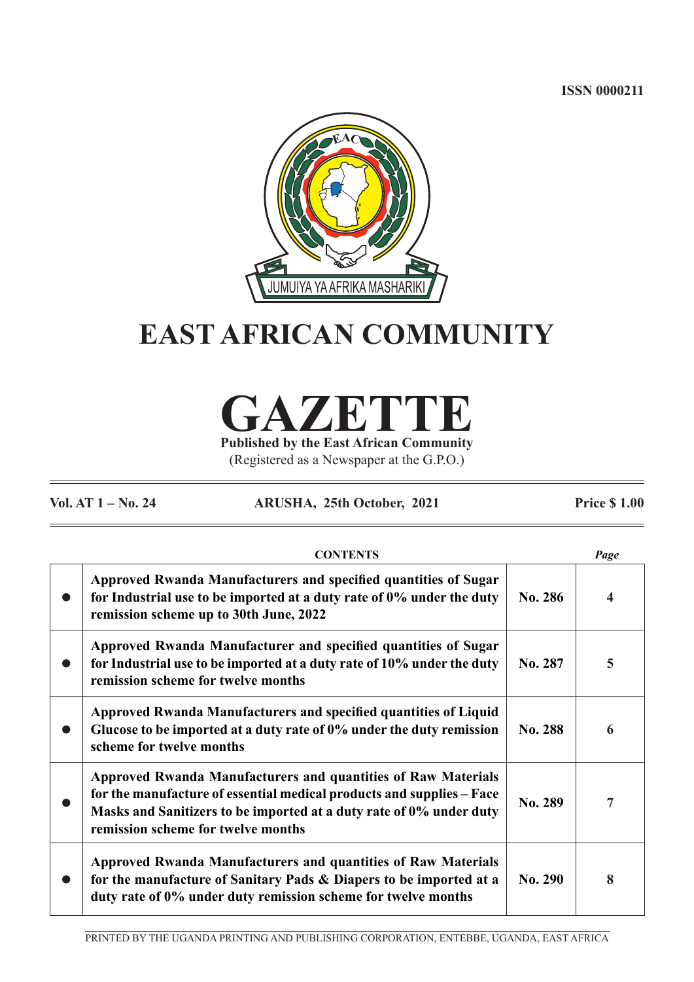**ISSN 0000211**



# **EAST AFRICAN COMMUNITY**

## **GAZETTE Published by the East African Community**

(Registered as a Newspaper at the G.P.O.)

**Vol. AT 1 – No. 24 ARUSHA, 25th October, 2021 Price \$ 1.00**

| <b>CONTENTS</b>                                                                                                                                                                                                                                     |                | Page |
|-----------------------------------------------------------------------------------------------------------------------------------------------------------------------------------------------------------------------------------------------------|----------------|------|
| Approved Rwanda Manufacturers and specified quantities of Sugar<br>for Industrial use to be imported at a duty rate of 0% under the duty<br>remission scheme up to 30th June, 2022                                                                  | <b>No. 286</b> |      |
| Approved Rwanda Manufacturer and specified quantities of Sugar<br>for Industrial use to be imported at a duty rate of 10% under the duty<br>remission scheme for twelve months                                                                      | No. 287        | 5    |
| Approved Rwanda Manufacturers and specified quantities of Liquid<br>Glucose to be imported at a duty rate of 0% under the duty remission<br>scheme for twelve months                                                                                | No. 288        | 6    |
| Approved Rwanda Manufacturers and quantities of Raw Materials<br>for the manufacture of essential medical products and supplies – Face<br>Masks and Sanitizers to be imported at a duty rate of 0% under duty<br>remission scheme for twelve months | No. 289        |      |
| <b>Approved Rwanda Manufacturers and quantities of Raw Materials</b><br>for the manufacture of Sanitary Pads & Diapers to be imported at a<br>duty rate of 0% under duty remission scheme for twelve months                                         | No. 290        | 8    |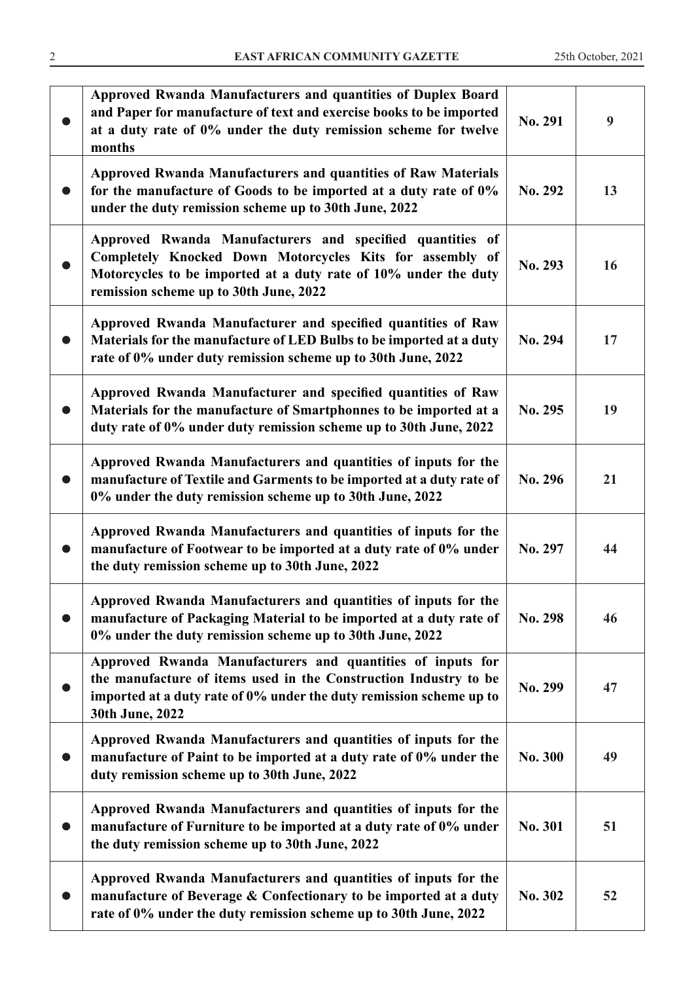|           | Approved Rwanda Manufacturers and quantities of Duplex Board<br>and Paper for manufacture of text and exercise books to be imported<br>at a duty rate of 0% under the duty remission scheme for twelve<br>months                   | No. 291        | 9  |
|-----------|------------------------------------------------------------------------------------------------------------------------------------------------------------------------------------------------------------------------------------|----------------|----|
|           | <b>Approved Rwanda Manufacturers and quantities of Raw Materials</b><br>for the manufacture of Goods to be imported at a duty rate of 0%<br>under the duty remission scheme up to 30th June, 2022                                  | No. 292        | 13 |
|           | Approved Rwanda Manufacturers and specified quantities of<br>Completely Knocked Down Motorcycles Kits for assembly of<br>Motorcycles to be imported at a duty rate of 10% under the duty<br>remission scheme up to 30th June, 2022 | No. 293        | 16 |
|           | Approved Rwanda Manufacturer and specified quantities of Raw<br>Materials for the manufacture of LED Bulbs to be imported at a duty<br>rate of 0% under duty remission scheme up to 30th June, 2022                                | No. 294        | 17 |
|           | Approved Rwanda Manufacturer and specified quantities of Raw<br>Materials for the manufacture of Smartphonnes to be imported at a<br>duty rate of 0% under duty remission scheme up to 30th June, 2022                             | No. 295        | 19 |
|           | Approved Rwanda Manufacturers and quantities of inputs for the<br>manufacture of Textile and Garments to be imported at a duty rate of<br>0% under the duty remission scheme up to 30th June, 2022                                 | No. 296        | 21 |
| $\bullet$ | Approved Rwanda Manufacturers and quantities of inputs for the<br>manufacture of Footwear to be imported at a duty rate of 0% under<br>the duty remission scheme up to 30th June, 2022                                             | No. 297        | 44 |
| ●         | Approved Rwanda Manufacturers and quantities of inputs for the<br>manufacture of Packaging Material to be imported at a duty rate of<br>0% under the duty remission scheme up to 30th June, 2022                                   | No. 298        | 46 |
|           | Approved Rwanda Manufacturers and quantities of inputs for<br>the manufacture of items used in the Construction Industry to be<br>imported at a duty rate of 0% under the duty remission scheme up to<br>30th June, 2022           | No. 299        | 47 |
|           | Approved Rwanda Manufacturers and quantities of inputs for the<br>manufacture of Paint to be imported at a duty rate of 0% under the<br>duty remission scheme up to 30th June, 2022                                                | <b>No. 300</b> | 49 |
|           | Approved Rwanda Manufacturers and quantities of inputs for the<br>manufacture of Furniture to be imported at a duty rate of 0% under<br>the duty remission scheme up to 30th June, 2022                                            | No. 301        | 51 |
|           | Approved Rwanda Manufacturers and quantities of inputs for the<br>manufacture of Beverage & Confectionary to be imported at a duty<br>rate of 0% under the duty remission scheme up to 30th June, 2022                             | No. 302        | 52 |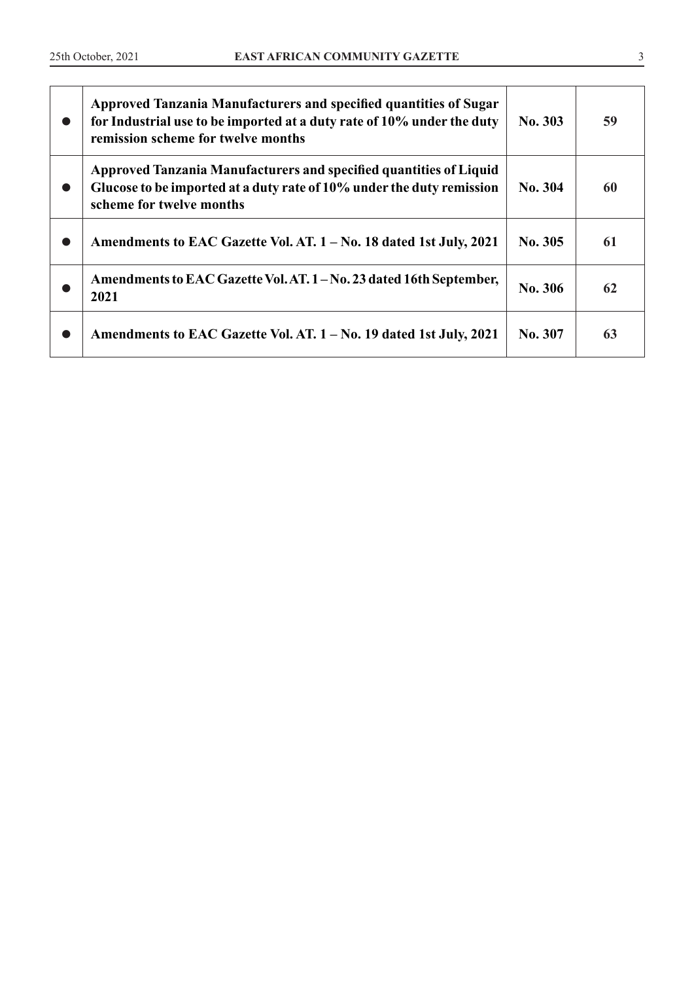| œ         | Approved Tanzania Manufacturers and specified quantities of Sugar<br>for Industrial use to be imported at a duty rate of 10% under the duty<br>remission scheme for twelve months | No. 303 | 59 |
|-----------|-----------------------------------------------------------------------------------------------------------------------------------------------------------------------------------|---------|----|
| o         | Approved Tanzania Manufacturers and specified quantities of Liquid<br>Glucose to be imported at a duty rate of 10% under the duty remission<br>scheme for twelve months           | No. 304 | 60 |
| $\bullet$ | Amendments to EAC Gazette Vol. AT. 1 – No. 18 dated 1st July, 2021                                                                                                                | No. 305 | 61 |
|           | Amendments to EAC Gazette Vol. AT. 1 - No. 23 dated 16th September,<br>2021                                                                                                       | No. 306 | 62 |
|           | Amendments to EAC Gazette Vol. AT. 1 – No. 19 dated 1st July, 2021                                                                                                                | No. 307 | 63 |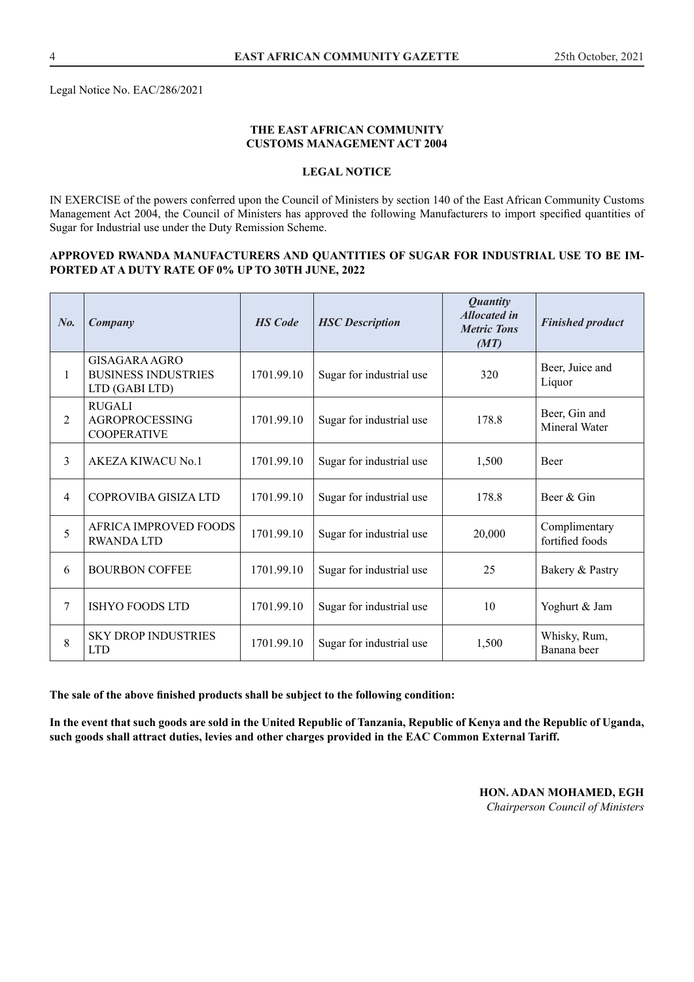Legal Notice No. EAC/286/2021

#### **THE EAST AFRICAN COMMUNITY CUSTOMS MANAGEMENT ACT 2004**

#### **LEGAL NOTICE**

IN EXERCISE of the powers conferred upon the Council of Ministers by section 140 of the East African Community Customs Management Act 2004, the Council of Ministers has approved the following Manufacturers to import specified quantities of Sugar for Industrial use under the Duty Remission Scheme.

#### **APPROVED RWANDA MANUFACTURERS AND QUANTITIES OF SUGAR FOR INDUSTRIAL USE TO BE IM-PORTED AT A DUTY RATE OF 0% UP TO 30TH JUNE, 2022**

| No.          | Company                                                       | <b>HS</b> Code | <b>HSC</b> Description   | <b>Quantity</b><br><b>Allocated in</b><br><b>Metric Tons</b><br>(MT) | <b>Finished product</b>          |
|--------------|---------------------------------------------------------------|----------------|--------------------------|----------------------------------------------------------------------|----------------------------------|
| $\mathbf{1}$ | GISAGARA AGRO<br><b>BUSINESS INDUSTRIES</b><br>LTD (GABI LTD) | 1701.99.10     | Sugar for industrial use | 320                                                                  | Beer, Juice and<br>Liquor        |
| 2            | <b>RUGALI</b><br><b>AGROPROCESSING</b><br><b>COOPERATIVE</b>  | 1701.99.10     | Sugar for industrial use | 178.8                                                                | Beer, Gin and<br>Mineral Water   |
| 3            | AKEZA KIWACU No.1                                             | 1701.99.10     | Sugar for industrial use | 1,500                                                                | <b>Beer</b>                      |
| 4            | COPROVIBA GISIZA LTD                                          | 1701.99.10     | Sugar for industrial use | 178.8                                                                | Beer & Gin                       |
| 5            | AFRICA IMPROVED FOODS<br><b>RWANDA LTD</b>                    | 1701.99.10     | Sugar for industrial use | 20,000                                                               | Complimentary<br>fortified foods |
| 6            | <b>BOURBON COFFEE</b>                                         | 1701.99.10     | Sugar for industrial use | 25                                                                   | Bakery & Pastry                  |
| 7            | <b>ISHYO FOODS LTD</b>                                        | 1701.99.10     | Sugar for industrial use | 10                                                                   | Yoghurt & Jam                    |
| 8            | <b>SKY DROP INDUSTRIES</b><br><b>LTD</b>                      | 1701.99.10     | Sugar for industrial use | 1,500                                                                | Whisky, Rum,<br>Banana beer      |

**The sale of the above finished products shall be subject to the following condition:**

**In the event that such goods are sold in the United Republic of Tanzania, Republic of Kenya and the Republic of Uganda, such goods shall attract duties, levies and other charges provided in the EAC Common External Tariff.**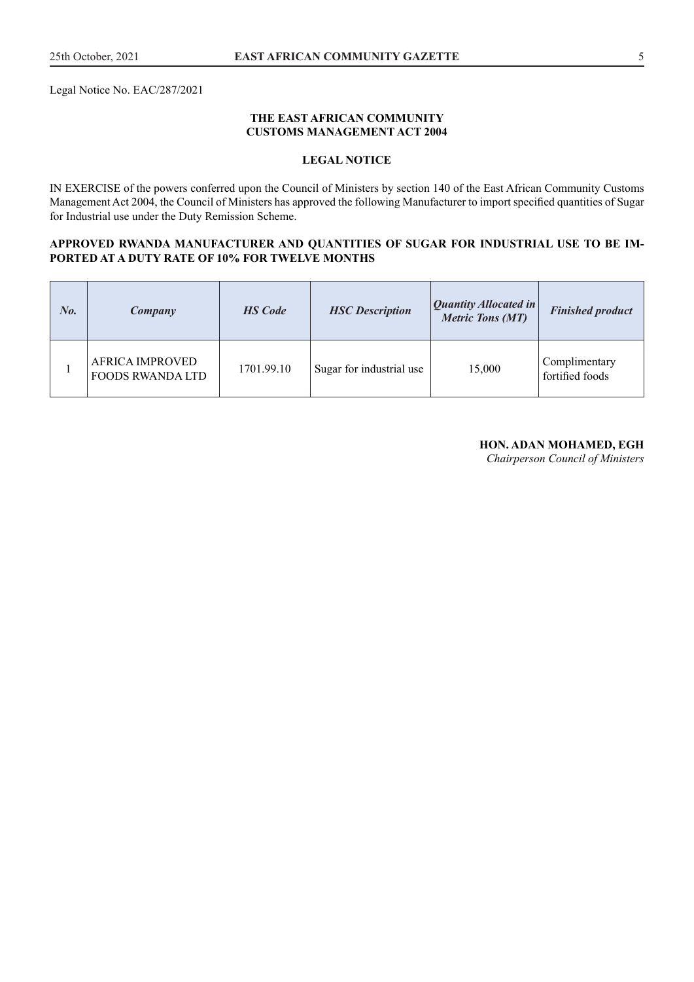Legal Notice No. EAC/287/2021

#### **THE EAST AFRICAN COMMUNITY CUSTOMS MANAGEMENT ACT 2004**

## **LEGAL NOTICE**

IN EXERCISE of the powers conferred upon the Council of Ministers by section 140 of the East African Community Customs Management Act 2004, the Council of Ministers has approved the following Manufacturer to import specified quantities of Sugar for Industrial use under the Duty Remission Scheme.

#### **APPROVED RWANDA MANUFACTURER AND QUANTITIES OF SUGAR FOR INDUSTRIAL USE TO BE IM-PORTED AT A DUTY RATE OF 10% FOR TWELVE MONTHS**

| No. | Company                                           | <b>HS</b> Code | <b>HSC</b> Description   | <b>Quantity Allocated in</b><br><b>Metric Tons (MT)</b> | <b>Finished product</b>          |
|-----|---------------------------------------------------|----------------|--------------------------|---------------------------------------------------------|----------------------------------|
|     | <b>AFRICA IMPROVED</b><br><b>FOODS RWANDA LTD</b> | 1701.99.10     | Sugar for industrial use | 15,000                                                  | Complimentary<br>fortified foods |

#### **HON. ADAN MOHAMED, EGH**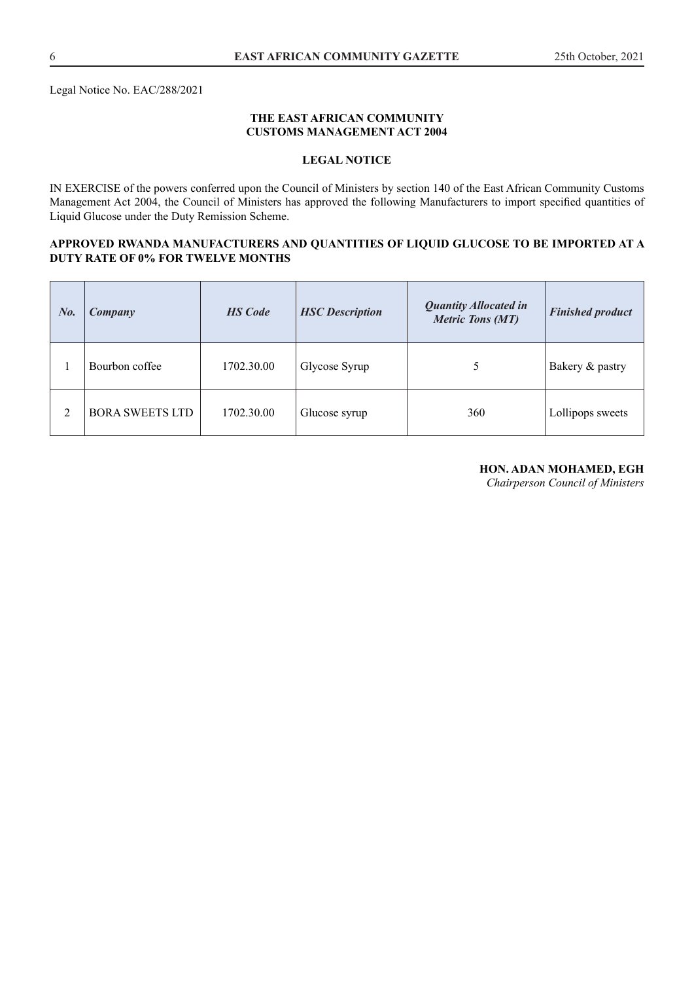Legal Notice No. EAC/288/2021

#### **THE EAST AFRICAN COMMUNITY CUSTOMS MANAGEMENT ACT 2004**

## **LEGAL NOTICE**

IN EXERCISE of the powers conferred upon the Council of Ministers by section 140 of the East African Community Customs Management Act 2004, the Council of Ministers has approved the following Manufacturers to import specified quantities of Liquid Glucose under the Duty Remission Scheme.

#### **APPROVED RWANDA MANUFACTURERS AND QUANTITIES OF LIQUID GLUCOSE TO BE IMPORTED AT A DUTY RATE OF 0% FOR TWELVE MONTHS**

| No. | Company                | <b>HS</b> Code | <b>HSC</b> Description | <b>Quantity Allocated in</b><br><b>Metric Tons (MT)</b> | <b>Finished product</b> |
|-----|------------------------|----------------|------------------------|---------------------------------------------------------|-------------------------|
|     | Bourbon coffee         | 1702.30.00     | Glycose Syrup          |                                                         | Bakery & pastry         |
| 2   | <b>BORA SWEETS LTD</b> | 1702.30.00     | Glucose syrup          | 360                                                     | Lollipops sweets        |

#### **HON. ADAN MOHAMED, EGH**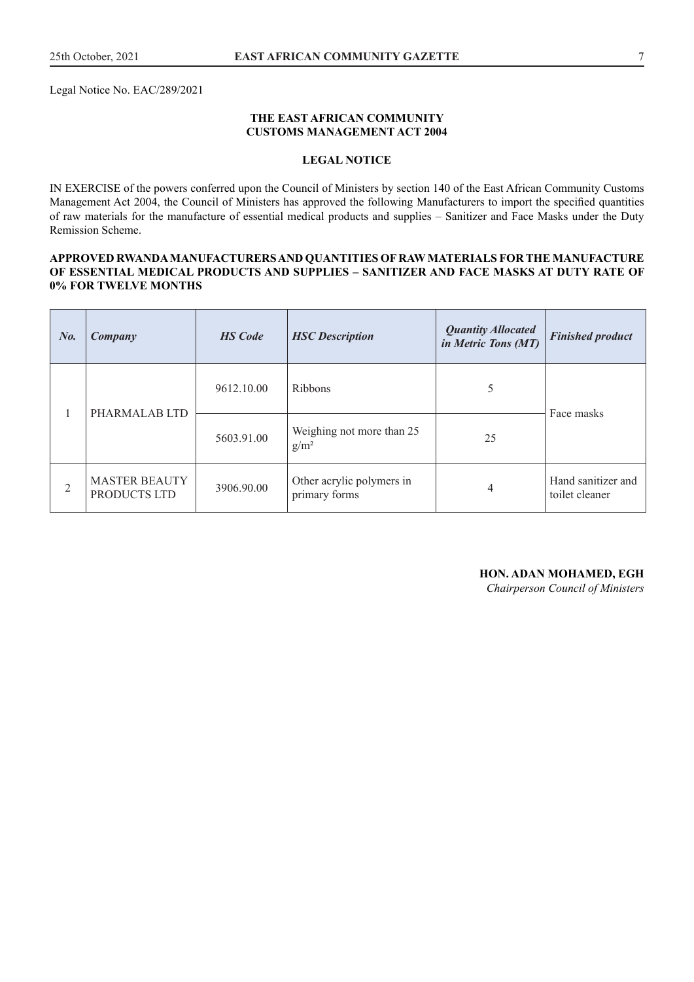#### **THE EAST AFRICAN COMMUNITY CUSTOMS MANAGEMENT ACT 2004**

#### **LEGAL NOTICE**

IN EXERCISE of the powers conferred upon the Council of Ministers by section 140 of the East African Community Customs Management Act 2004, the Council of Ministers has approved the following Manufacturers to import the specified quantities of raw materials for the manufacture of essential medical products and supplies – Sanitizer and Face Masks under the Duty Remission Scheme.

#### **APPROVED RWANDA MANUFACTURERS AND QUANTITIES OF RAW MATERIALS FOR THE MANUFACTURE OF ESSENTIAL MEDICAL PRODUCTS AND SUPPLIES – SANITIZER AND FACE MASKS AT DUTY RATE OF 0% FOR TWELVE MONTHS**

| $N_{0}$       | Company                              | <b>HS</b> Code | <b>HSC</b> Description                     | <b>Quantity Allocated</b><br>in Metric Tons (MT) | <b>Finished product</b>              |
|---------------|--------------------------------------|----------------|--------------------------------------------|--------------------------------------------------|--------------------------------------|
| PHARMALAB LTD | 9612.10.00                           | <b>Ribbons</b> | 5                                          | Face masks                                       |                                      |
|               |                                      | 5603.91.00     | Weighing not more than 25<br>$g/m^2$       | 25                                               |                                      |
| 2             | <b>MASTER BEAUTY</b><br>PRODUCTS LTD | 3906.90.00     | Other acrylic polymers in<br>primary forms | 4                                                | Hand sanitizer and<br>toilet cleaner |

**HON. ADAN MOHAMED, EGH**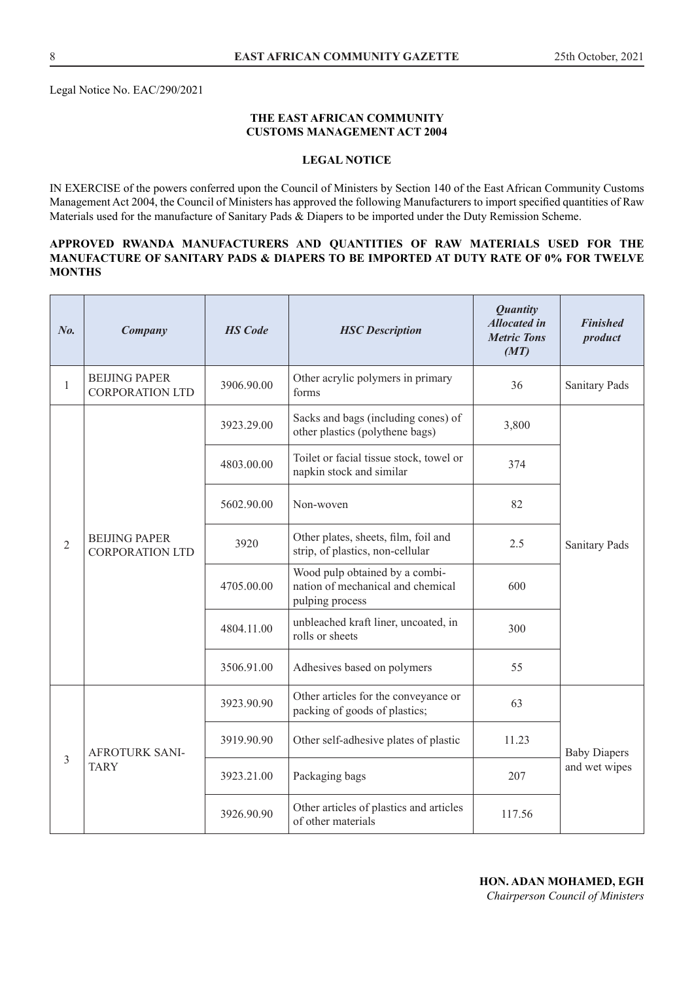Legal Notice No. EAC/290/2021

#### **THE EAST AFRICAN COMMUNITY CUSTOMS MANAGEMENT ACT 2004**

#### **LEGAL NOTICE**

IN EXERCISE of the powers conferred upon the Council of Ministers by Section 140 of the East African Community Customs Management Act 2004, the Council of Ministers has approved the following Manufacturers to import specified quantities of Raw Materials used for the manufacture of Sanitary Pads & Diapers to be imported under the Duty Remission Scheme.

#### **APPROVED RWANDA MANUFACTURERS AND QUANTITIES OF RAW MATERIALS USED FOR THE MANUFACTURE OF SANITARY PADS & DIAPERS TO BE IMPORTED AT DUTY RATE OF 0% FOR TWELVE MONTHS**

| No.            | Company                                        | <b>HS</b> Code | <b>HSC</b> Description                                                                 | <b>Quantity</b><br><b>Allocated in</b><br><b>Metric Tons</b><br>(MT) | <b>Finished</b><br>product |
|----------------|------------------------------------------------|----------------|----------------------------------------------------------------------------------------|----------------------------------------------------------------------|----------------------------|
| $\mathbf{1}$   | <b>BEIJING PAPER</b><br><b>CORPORATION LTD</b> | 3906.90.00     | Other acrylic polymers in primary<br>forms                                             | 36                                                                   | <b>Sanitary Pads</b>       |
|                |                                                | 3923.29.00     | Sacks and bags (including cones) of<br>other plastics (polythene bags)                 | 3,800                                                                |                            |
|                |                                                | 4803.00.00     | Toilet or facial tissue stock, towel or<br>napkin stock and similar                    | 374                                                                  |                            |
|                | <b>BEIJING PAPER</b><br><b>CORPORATION LTD</b> | 5602.90.00     | Non-woven                                                                              | 82                                                                   |                            |
| $\overline{2}$ |                                                | 3920           | Other plates, sheets, film, foil and<br>strip, of plastics, non-cellular               | 2.5                                                                  | <b>Sanitary Pads</b>       |
|                |                                                | 4705.00.00     | Wood pulp obtained by a combi-<br>nation of mechanical and chemical<br>pulping process | 600                                                                  |                            |
|                |                                                | 4804.11.00     | unbleached kraft liner, uncoated, in<br>rolls or sheets                                | 300                                                                  |                            |
|                |                                                | 3506.91.00     | Adhesives based on polymers                                                            | 55                                                                   |                            |
|                |                                                | 3923.90.90     | Other articles for the conveyance or<br>packing of goods of plastics;                  | 63                                                                   |                            |
| 3              | <b>AFROTURK SANI-</b>                          | 3919.90.90     | Other self-adhesive plates of plastic                                                  | 11.23                                                                | <b>Baby Diapers</b>        |
|                | <b>TARY</b>                                    | 3923.21.00     | Packaging bags                                                                         | 207                                                                  | and wet wipes              |
|                |                                                | 3926.90.90     | Other articles of plastics and articles<br>of other materials                          | 117.56                                                               |                            |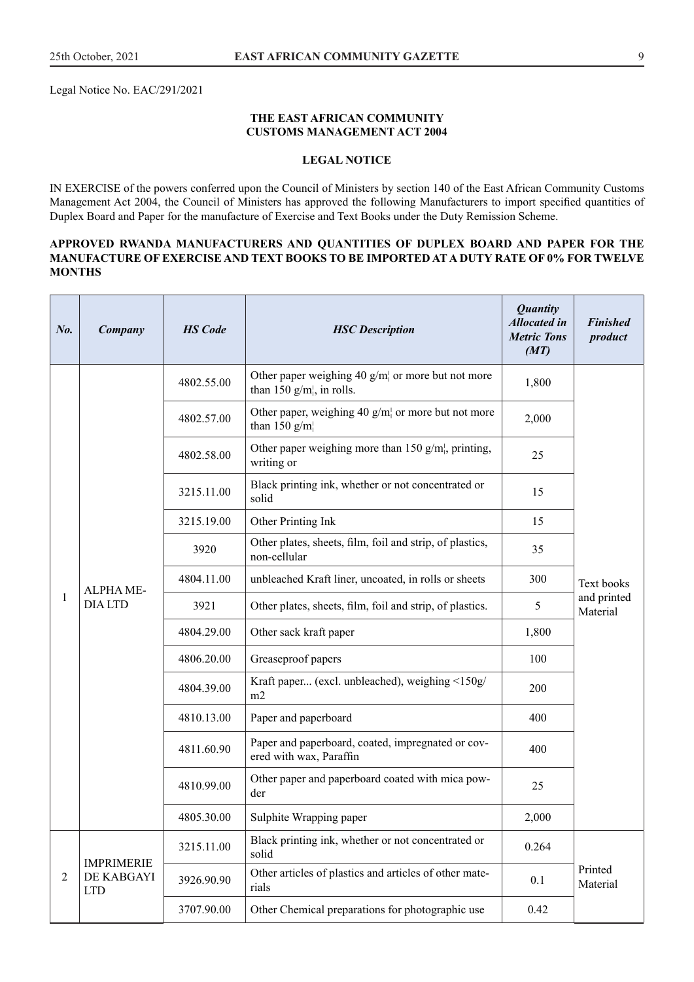Legal Notice No. EAC/291/2021

#### **THE EAST AFRICAN COMMUNITY CUSTOMS MANAGEMENT ACT 2004**

#### **LEGAL NOTICE**

IN EXERCISE of the powers conferred upon the Council of Ministers by section 140 of the East African Community Customs Management Act 2004, the Council of Ministers has approved the following Manufacturers to import specified quantities of Duplex Board and Paper for the manufacture of Exercise and Text Books under the Duty Remission Scheme.

#### **APPROVED RWANDA MANUFACTURERS AND QUANTITIES OF DUPLEX BOARD AND PAPER FOR THE MANUFACTURE OF EXERCISE AND TEXT BOOKS TO BE IMPORTED AT A DUTY RATE OF 0% FOR TWELVE MONTHS**

| No. | Company                     | <b>HS</b> Code | <b>HSC</b> Description                                                           | <b>Quantity</b><br><b>Allocated in</b><br><b>Metric Tons</b><br>(MT) | <b>Finished</b><br>product |
|-----|-----------------------------|----------------|----------------------------------------------------------------------------------|----------------------------------------------------------------------|----------------------------|
|     |                             | 4802.55.00     | Other paper weighing 40 $g/m$ or more but not more<br>than 150 $g/m$ , in rolls. | 1,800                                                                |                            |
|     |                             | 4802.57.00     | Other paper, weighing 40 $g/m$ or more but not more<br>than 150 $g/m$            | 2,000                                                                |                            |
|     |                             | 4802.58.00     | Other paper weighing more than 150 $g/m$ , printing,<br>writing or               | 25                                                                   |                            |
|     |                             | 3215.11.00     | Black printing ink, whether or not concentrated or<br>solid                      | 15                                                                   |                            |
|     |                             | 3215.19.00     | Other Printing Ink                                                               | 15                                                                   |                            |
|     | ALPHA ME-<br><b>DIA LTD</b> | 3920           | Other plates, sheets, film, foil and strip, of plastics,<br>non-cellular         | 35                                                                   | Text books                 |
|     |                             | 4804.11.00     | unbleached Kraft liner, uncoated, in rolls or sheets                             | 300                                                                  |                            |
| 1   |                             | 3921           | Other plates, sheets, film, foil and strip, of plastics.                         | 5                                                                    | and printed<br>Material    |
|     |                             | 4804.29.00     | Other sack kraft paper                                                           | 1,800                                                                |                            |
|     |                             | 4806.20.00     | Greaseproof papers                                                               | 100                                                                  |                            |
|     |                             | 4804.39.00     | Kraft paper (excl. unbleached), weighing <150g/<br>m2                            | 200                                                                  |                            |
|     |                             | 4810.13.00     | Paper and paperboard                                                             | 400                                                                  |                            |
|     |                             | 4811.60.90     | Paper and paperboard, coated, impregnated or cov-<br>ered with wax, Paraffin     | 400                                                                  |                            |
|     |                             | 4810.99.00     | Other paper and paperboard coated with mica pow-<br>der                          | 25                                                                   |                            |
|     |                             | 4805.30.00     | Sulphite Wrapping paper                                                          | 2,000                                                                |                            |
|     | <b>IMPRIMERIE</b>           | 3215.11.00     | Black printing ink, whether or not concentrated or<br>solid                      | 0.264                                                                |                            |
| 2   | DE KABGAYI<br><b>LTD</b>    | 3926.90.90     | Other articles of plastics and articles of other mate-<br>rials                  | 0.1                                                                  | Printed<br>Material        |
|     |                             | 3707.90.00     | Other Chemical preparations for photographic use                                 | 0.42                                                                 |                            |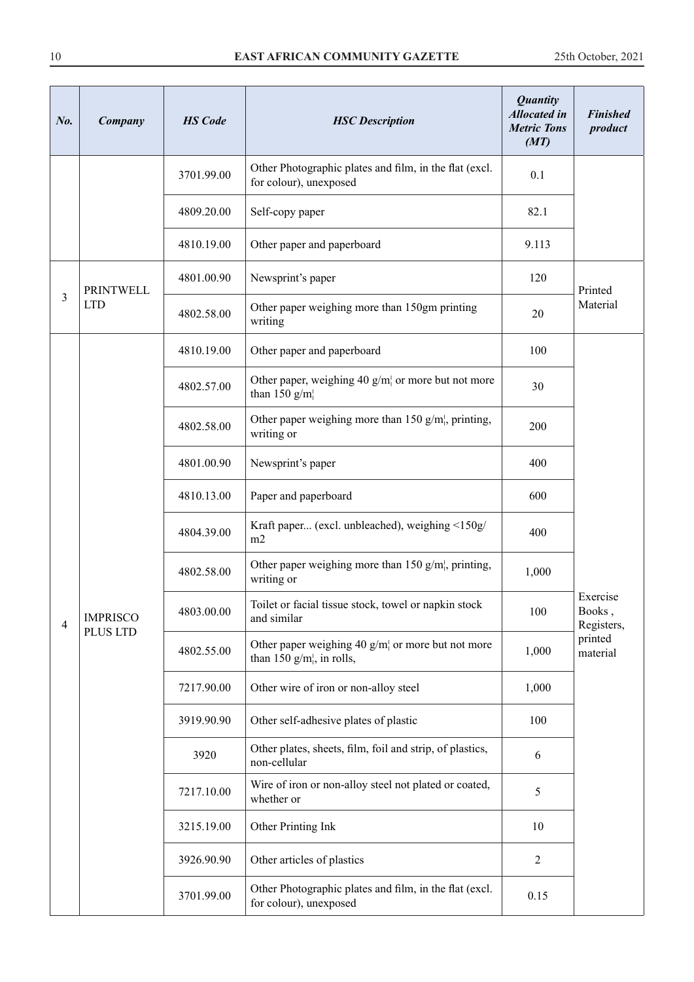| No. | Company          | <b>HS</b> Code | <b>HSC</b> Description                                                           | <b>Quantity</b><br><b>Allocated in</b><br><b>Metric Tons</b><br>(MT) | <b>Finished</b><br>product       |
|-----|------------------|----------------|----------------------------------------------------------------------------------|----------------------------------------------------------------------|----------------------------------|
|     |                  | 3701.99.00     | Other Photographic plates and film, in the flat (excl.<br>for colour), unexposed | 0.1                                                                  |                                  |
|     |                  | 4809.20.00     | Self-copy paper                                                                  | 82.1                                                                 |                                  |
|     |                  | 4810.19.00     | Other paper and paperboard                                                       | 9.113                                                                |                                  |
|     | <b>PRINTWELL</b> | 4801.00.90     | Newsprint's paper                                                                | 120                                                                  | Printed                          |
| 3   | <b>LTD</b>       | 4802.58.00     | Other paper weighing more than 150gm printing<br>writing                         | 20                                                                   | Material                         |
|     |                  | 4810.19.00     | Other paper and paperboard                                                       | 100                                                                  |                                  |
|     |                  | 4802.57.00     | Other paper, weighing 40 $g/m$ or more but not more<br>than 150 $g/m$            | 30                                                                   |                                  |
|     | <b>IMPRISCO</b>  | 4802.58.00     | Other paper weighing more than 150 $g/m$ , printing,<br>writing or               | 200                                                                  |                                  |
|     |                  | 4801.00.90     | Newsprint's paper                                                                | 400                                                                  |                                  |
|     |                  | 4810.13.00     | Paper and paperboard                                                             | 600                                                                  |                                  |
|     |                  | 4804.39.00     | Kraft paper (excl. unbleached), weighing <150g/<br>m2                            | 400                                                                  |                                  |
|     |                  | 4802.58.00     | Other paper weighing more than 150 $g/m$ , printing,<br>writing or               | 1,000                                                                |                                  |
| 4   |                  | 4803.00.00     | Toilet or facial tissue stock, towel or napkin stock<br>and similar              | 100                                                                  | Exercise<br>Books,<br>Registers, |
|     | PLUS LTD         | 4802.55.00     | Other paper weighing 40 $g/m$ or more but not more<br>than 150 $g/m$ , in rolls, | 1,000                                                                | printed<br>material              |
|     |                  | 7217.90.00     | Other wire of iron or non-alloy steel                                            | 1,000                                                                |                                  |
|     |                  | 3919.90.90     | Other self-adhesive plates of plastic                                            | 100                                                                  |                                  |
|     |                  | 3920           | Other plates, sheets, film, foil and strip, of plastics,<br>non-cellular         | 6                                                                    |                                  |
|     |                  | 7217.10.00     | Wire of iron or non-alloy steel not plated or coated,<br>whether or              | 5                                                                    |                                  |
|     |                  | 3215.19.00     | Other Printing Ink                                                               | 10                                                                   |                                  |
|     |                  | 3926.90.90     | Other articles of plastics                                                       | $\overline{2}$                                                       |                                  |
|     |                  | 3701.99.00     | Other Photographic plates and film, in the flat (excl.<br>for colour), unexposed | 0.15                                                                 |                                  |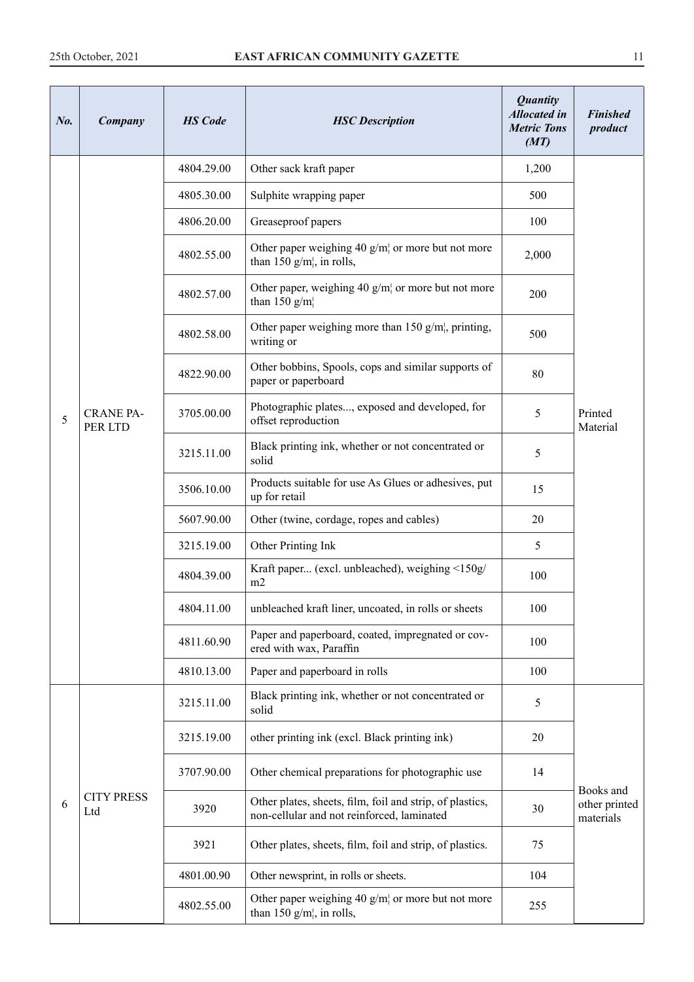| N <sub>0</sub> | Company                     | <b>HS</b> Code | <b>HSC</b> Description                                                                                 | <b>Quantity</b><br><b>Allocated in</b><br><b>Metric Tons</b><br>(MT) | <b>Finished</b><br>product |
|----------------|-----------------------------|----------------|--------------------------------------------------------------------------------------------------------|----------------------------------------------------------------------|----------------------------|
|                |                             | 4804.29.00     | Other sack kraft paper                                                                                 | 1,200                                                                |                            |
|                |                             | 4805.30.00     | Sulphite wrapping paper                                                                                | 500                                                                  |                            |
|                |                             | 4806.20.00     | Greaseproof papers                                                                                     | 100                                                                  |                            |
|                |                             | 4802.55.00     | Other paper weighing 40 $g/m$ or more but not more<br>than 150 $g/m$ , in rolls,                       | 2,000                                                                |                            |
|                |                             | 4802.57.00     | Other paper, weighing 40 $g/m$ or more but not more<br>than 150 $g/m$                                  | 200                                                                  |                            |
|                |                             | 4802.58.00     | Other paper weighing more than 150 $g/m$ , printing,<br>writing or                                     | 500                                                                  |                            |
|                |                             | 4822.90.00     | Other bobbins, Spools, cops and similar supports of<br>paper or paperboard                             | 80                                                                   |                            |
| 5              | <b>CRANE PA-</b><br>PER LTD | 3705.00.00     | Photographic plates, exposed and developed, for<br>offset reproduction                                 | 5                                                                    | Printed<br>Material        |
|                |                             | 3215.11.00     | Black printing ink, whether or not concentrated or<br>solid                                            | 5                                                                    |                            |
|                |                             | 3506.10.00     | Products suitable for use As Glues or adhesives, put<br>up for retail                                  | 15                                                                   |                            |
|                |                             | 5607.90.00     | Other (twine, cordage, ropes and cables)                                                               | 20                                                                   |                            |
|                |                             | 3215.19.00     | Other Printing Ink                                                                                     | 5                                                                    |                            |
|                |                             | 4804.39.00     | Kraft paper (excl. unbleached), weighing <150g/<br>m2                                                  | 100                                                                  |                            |
|                |                             | 4804.11.00     | unbleached kraft liner, uncoated, in rolls or sheets                                                   | 100                                                                  |                            |
|                |                             | 4811.60.90     | Paper and paperboard, coated, impregnated or cov-<br>ered with wax, Paraffin                           | 100                                                                  |                            |
|                |                             | 4810.13.00     | Paper and paperboard in rolls                                                                          | 100                                                                  |                            |
|                |                             | 3215.11.00     | Black printing ink, whether or not concentrated or<br>solid                                            | 5                                                                    |                            |
|                |                             | 3215.19.00     | other printing ink (excl. Black printing ink)                                                          | 20                                                                   |                            |
|                |                             | 3707.90.00     | Other chemical preparations for photographic use                                                       | 14                                                                   | Books and                  |
| 6              | <b>CITY PRESS</b><br>Ltd    | 3920           | Other plates, sheets, film, foil and strip, of plastics,<br>non-cellular and not reinforced, laminated | 30                                                                   | other printed<br>materials |
|                |                             | 3921           | Other plates, sheets, film, foil and strip, of plastics.                                               | 75                                                                   |                            |
|                |                             | 4801.00.90     | Other newsprint, in rolls or sheets.                                                                   | 104                                                                  |                            |
|                |                             | 4802.55.00     | Other paper weighing 40 $g/m$ or more but not more<br>than 150 $g/m_l$ , in rolls,                     | 255                                                                  |                            |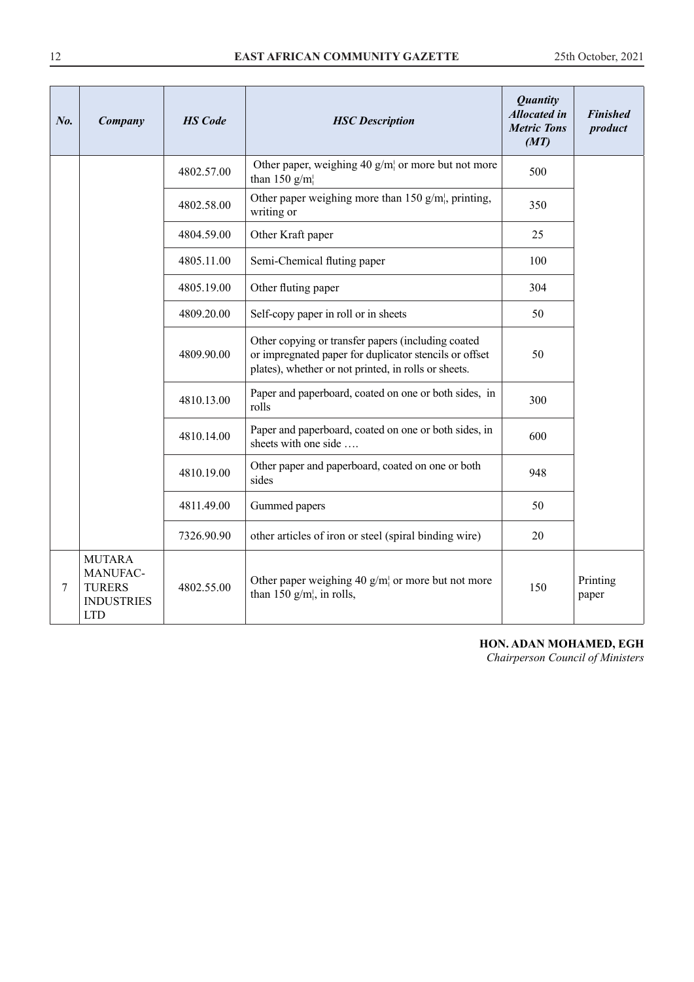| No. | Company                                                                       | <b>HS</b> Code | <b>HSC</b> Description                                                                                                                                               | <b>Quantity</b><br><b>Allocated in</b><br><b>Metric Tons</b><br>(MT) | <b>Finished</b><br>product |
|-----|-------------------------------------------------------------------------------|----------------|----------------------------------------------------------------------------------------------------------------------------------------------------------------------|----------------------------------------------------------------------|----------------------------|
|     |                                                                               | 4802.57.00     | Other paper, weighing 40 $g/m$ or more but not more<br>than 150 $g/m$                                                                                                | 500                                                                  |                            |
|     |                                                                               | 4802.58.00     | Other paper weighing more than 150 $g/m$ , printing,<br>writing or                                                                                                   | 350                                                                  |                            |
|     |                                                                               | 4804.59.00     | Other Kraft paper                                                                                                                                                    | 25                                                                   |                            |
|     |                                                                               | 4805.11.00     | Semi-Chemical fluting paper                                                                                                                                          | 100                                                                  |                            |
|     |                                                                               | 4805.19.00     | Other fluting paper                                                                                                                                                  | 304                                                                  |                            |
|     |                                                                               | 4809.20.00     | Self-copy paper in roll or in sheets                                                                                                                                 | 50                                                                   |                            |
|     |                                                                               | 4809.90.00     | Other copying or transfer papers (including coated<br>or impregnated paper for duplicator stencils or offset<br>plates), whether or not printed, in rolls or sheets. | 50                                                                   |                            |
|     |                                                                               | 4810.13.00     | Paper and paperboard, coated on one or both sides, in<br>rolls                                                                                                       | 300                                                                  |                            |
|     |                                                                               | 4810.14.00     | Paper and paperboard, coated on one or both sides, in<br>sheets with one side                                                                                        | 600                                                                  |                            |
|     |                                                                               | 4810.19.00     | Other paper and paperboard, coated on one or both<br>sides                                                                                                           | 948                                                                  |                            |
|     |                                                                               | 4811.49.00     | Gummed papers                                                                                                                                                        | 50                                                                   |                            |
|     |                                                                               | 7326.90.90     | other articles of iron or steel (spiral binding wire)                                                                                                                | 20                                                                   |                            |
| 7   | <b>MUTARA</b><br>MANUFAC-<br><b>TURERS</b><br><b>INDUSTRIES</b><br><b>LTD</b> | 4802.55.00     | Other paper weighing 40 $g/m$ or more but not more<br>than 150 $g/m_i$ , in rolls,                                                                                   | 150                                                                  | Printing<br>paper          |

## **HON. ADAN MOHAMED, EGH**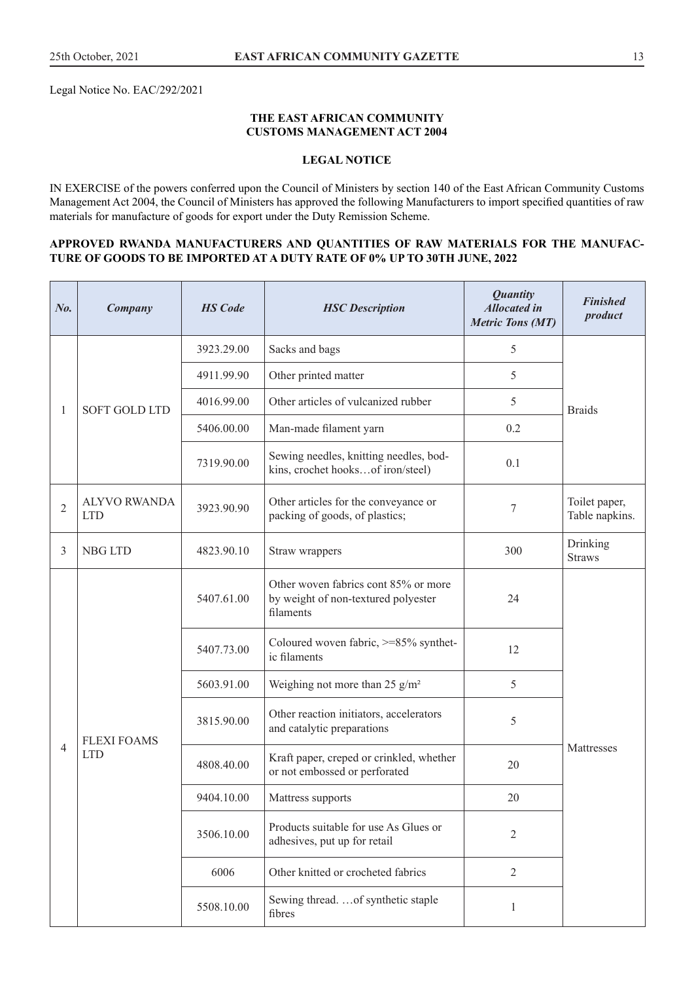Legal Notice No. EAC/292/2021

#### **THE EAST AFRICAN COMMUNITY CUSTOMS MANAGEMENT ACT 2004**

## **LEGAL NOTICE**

IN EXERCISE of the powers conferred upon the Council of Ministers by section 140 of the East African Community Customs Management Act 2004, the Council of Ministers has approved the following Manufacturers to import specified quantities of raw materials for manufacture of goods for export under the Duty Remission Scheme.

#### **APPROVED RWANDA MANUFACTURERS AND QUANTITIES OF RAW MATERIALS FOR THE MANUFAC-TURE OF GOODS TO BE IMPORTED AT A DUTY RATE OF 0% UP TO 30TH JUNE, 2022**

| No.            | Company                           | <b>HS</b> Code | <b>HSC</b> Description                                                                   | <b>Quantity</b><br><b>Allocated</b> in<br><b>Metric Tons (MT)</b> | <b>Finished</b><br>product      |
|----------------|-----------------------------------|----------------|------------------------------------------------------------------------------------------|-------------------------------------------------------------------|---------------------------------|
|                |                                   | 3923.29.00     | Sacks and bags                                                                           | $\sqrt{5}$                                                        |                                 |
|                |                                   | 4911.99.90     | Other printed matter                                                                     | 5                                                                 |                                 |
| 1              | <b>SOFT GOLD LTD</b>              | 4016.99.00     | Other articles of vulcanized rubber                                                      | 5                                                                 | <b>Braids</b>                   |
|                |                                   | 5406.00.00     | Man-made filament yarn                                                                   | 0.2                                                               |                                 |
|                |                                   | 7319.90.00     | Sewing needles, knitting needles, bod-<br>kins, crochet hooksof iron/steel)              | 0.1                                                               |                                 |
| $\overline{2}$ | <b>ALYVO RWANDA</b><br><b>LTD</b> | 3923.90.90     | Other articles for the conveyance or<br>packing of goods, of plastics;                   | 7                                                                 | Toilet paper,<br>Table napkins. |
| 3              | <b>NBG LTD</b>                    | 4823.90.10     | Straw wrappers                                                                           | 300                                                               | Drinking<br><b>Straws</b>       |
|                |                                   | 5407.61.00     | Other woven fabrics cont 85% or more<br>by weight of non-textured polyester<br>filaments | 24                                                                |                                 |
|                |                                   | 5407.73.00     | Coloured woven fabric, >=85% synthet-<br>ic filaments                                    | 12                                                                |                                 |
|                |                                   | 5603.91.00     | Weighing not more than 25 $g/m^2$                                                        | 5                                                                 |                                 |
|                | <b>FLEXI FOAMS</b>                | 3815.90.00     | Other reaction initiators, accelerators<br>and catalytic preparations                    | 5                                                                 |                                 |
| 4              | <b>LTD</b>                        | 4808.40.00     | Kraft paper, creped or crinkled, whether<br>or not embossed or perforated                | 20                                                                | Mattresses                      |
|                |                                   | 9404.10.00     | Mattress supports                                                                        | 20                                                                |                                 |
|                |                                   | 3506.10.00     | Products suitable for use As Glues or<br>adhesives, put up for retail                    | $\overline{2}$                                                    |                                 |
|                |                                   | 6006           | Other knitted or crocheted fabrics                                                       | $\overline{2}$                                                    |                                 |
|                |                                   | 5508.10.00     | Sewing thread.  of synthetic staple<br>fibres                                            | 1                                                                 |                                 |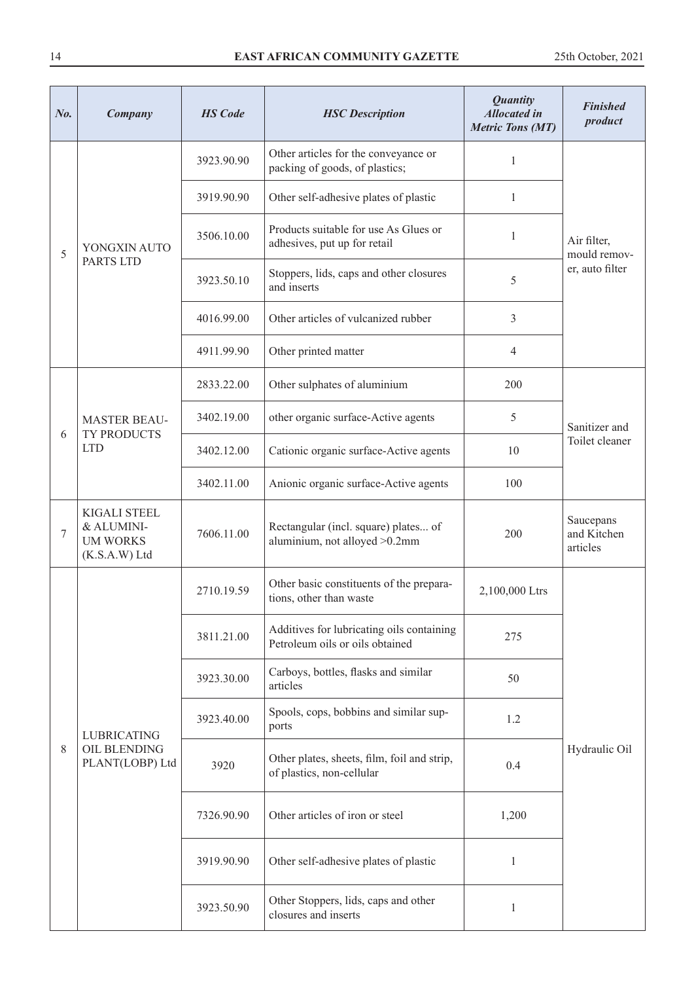| $N0$ . | Company                                                               | <b>HS</b> Code | <b>HSC</b> Description                                                       | <b>Quantity</b><br><b>Allocated in</b><br><b>Metric Tons (MT)</b> | <b>Finished</b><br>product           |
|--------|-----------------------------------------------------------------------|----------------|------------------------------------------------------------------------------|-------------------------------------------------------------------|--------------------------------------|
|        |                                                                       | 3923.90.90     | Other articles for the conveyance or<br>packing of goods, of plastics;       | 1                                                                 |                                      |
|        |                                                                       | 3919.90.90     | Other self-adhesive plates of plastic                                        | $\mathbf{1}$                                                      |                                      |
| 5      | YONGXIN AUTO                                                          | 3506.10.00     | Products suitable for use As Glues or<br>adhesives, put up for retail        | 1                                                                 | Air filter,<br>mould remov-          |
|        | PARTS LTD                                                             | 3923.50.10     | Stoppers, lids, caps and other closures<br>and inserts                       | 5                                                                 | er, auto filter                      |
|        |                                                                       | 4016.99.00     | Other articles of vulcanized rubber                                          | 3                                                                 |                                      |
|        |                                                                       | 4911.99.90     | Other printed matter                                                         | 4                                                                 |                                      |
|        |                                                                       | 2833.22.00     | Other sulphates of aluminium                                                 | 200                                                               |                                      |
|        | <b>MASTER BEAU-</b>                                                   | 3402.19.00     | other organic surface-Active agents                                          | 5                                                                 | Sanitizer and                        |
|        | TY PRODUCTS<br>6<br><b>LTD</b>                                        | 3402.12.00     | Cationic organic surface-Active agents                                       | 10                                                                | Toilet cleaner                       |
|        |                                                                       | 3402.11.00     | Anionic organic surface-Active agents                                        | 100                                                               |                                      |
| 7      | <b>KIGALI STEEL</b><br>& ALUMINI-<br><b>UM WORKS</b><br>(K.S.A.W) Ltd | 7606.11.00     | Rectangular (incl. square) plates of<br>aluminium, not alloyed >0.2mm        | 200                                                               | Saucepans<br>and Kitchen<br>articles |
|        |                                                                       | 2710.19.59     | Other basic constituents of the prepara-<br>tions, other than waste          | 2,100,000 Ltrs                                                    |                                      |
|        |                                                                       | 3811.21.00     | Additives for lubricating oils containing<br>Petroleum oils or oils obtained | 275                                                               |                                      |
|        |                                                                       | 3923.30.00     | Carboys, bottles, flasks and similar<br>articles                             | 50                                                                |                                      |
|        | <b>LUBRICATING</b>                                                    | 3923.40.00     | Spools, cops, bobbins and similar sup-<br>ports                              | 1.2                                                               |                                      |
| 8      | OIL BLENDING<br>PLANT(LOBP) Ltd                                       | 3920           | Other plates, sheets, film, foil and strip,<br>of plastics, non-cellular     | 0.4                                                               | Hydraulic Oil                        |
|        |                                                                       | 7326.90.90     | Other articles of iron or steel                                              | 1,200                                                             |                                      |
|        |                                                                       | 3919.90.90     | Other self-adhesive plates of plastic                                        | $\mathbf{1}$                                                      |                                      |
|        |                                                                       | 3923.50.90     | Other Stoppers, lids, caps and other<br>closures and inserts                 | 1                                                                 |                                      |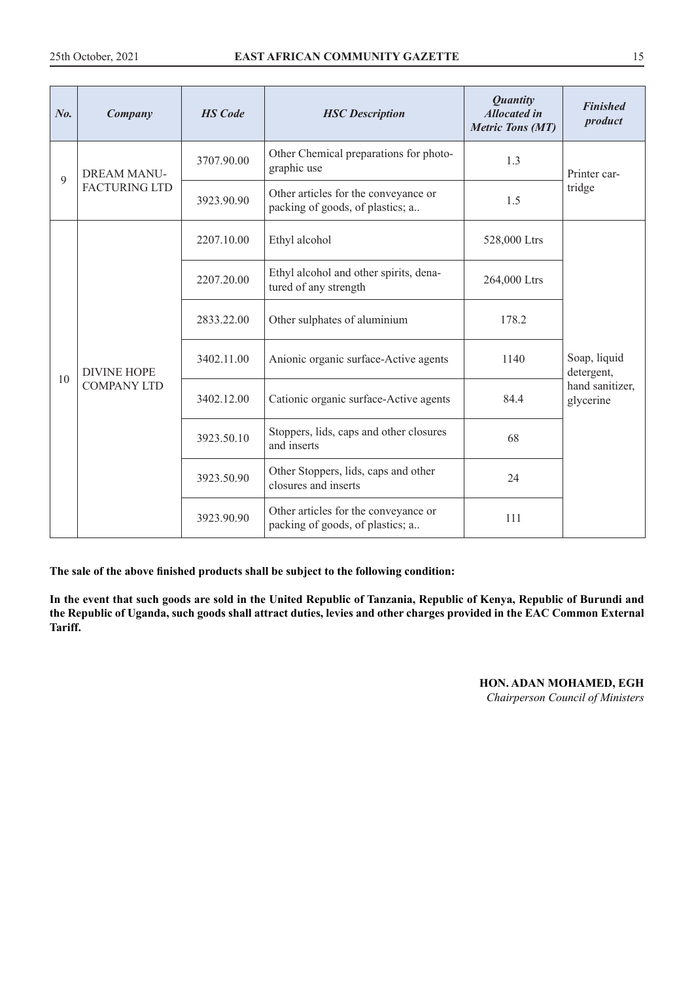| No. | Company              | <b>HS</b> Code | <b>HSC</b> Description                                                   | <b>Quantity</b><br><b>Allocated in</b><br><b>Metric Tons (MT)</b> | <b>Finished</b><br>product   |
|-----|----------------------|----------------|--------------------------------------------------------------------------|-------------------------------------------------------------------|------------------------------|
| 9   | <b>DREAM MANU-</b>   | 3707.90.00     | Other Chemical preparations for photo-<br>graphic use                    | 1.3                                                               | Printer car-                 |
|     | <b>FACTURING LTD</b> | 3923.90.90     | Other articles for the conveyance or<br>packing of goods, of plastics; a | 1.5                                                               | tridge                       |
|     |                      | 2207.10.00     | Ethyl alcohol                                                            | 528,000 Ltrs                                                      |                              |
|     |                      | 2207.20.00     | Ethyl alcohol and other spirits, dena-<br>tured of any strength          | 264,000 Ltrs                                                      |                              |
|     |                      | 2833.22.00     | Other sulphates of aluminium                                             | 178.2                                                             |                              |
| 10  | <b>DIVINE HOPE</b>   | 3402.11.00     | Anionic organic surface-Active agents                                    | 1140                                                              | Soap, liquid<br>detergent,   |
|     | <b>COMPANY LTD</b>   | 3402.12.00     | Cationic organic surface-Active agents                                   | 84.4                                                              | hand sanitizer,<br>glycerine |
|     |                      | 3923.50.10     | Stoppers, lids, caps and other closures<br>and inserts                   | 68                                                                |                              |
|     |                      | 3923.50.90     | Other Stoppers, lids, caps and other<br>closures and inserts             | 24                                                                |                              |
|     |                      | 3923.90.90     | Other articles for the conveyance or<br>packing of goods, of plastics; a | 111                                                               |                              |

**In the event that such goods are sold in the United Republic of Tanzania, Republic of Kenya, Republic of Burundi and the Republic of Uganda, such goods shall attract duties, levies and other charges provided in the EAC Common External Tariff.**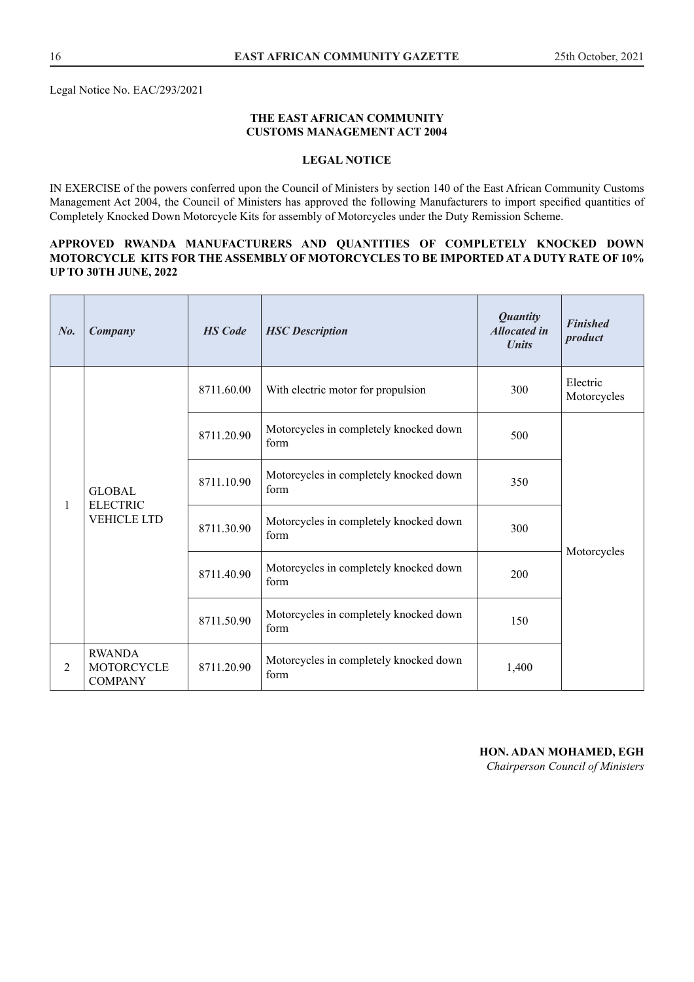Legal Notice No. EAC/293/2021

#### **THE EAST AFRICAN COMMUNITY CUSTOMS MANAGEMENT ACT 2004**

#### **LEGAL NOTICE**

IN EXERCISE of the powers conferred upon the Council of Ministers by section 140 of the East African Community Customs Management Act 2004, the Council of Ministers has approved the following Manufacturers to import specified quantities of Completely Knocked Down Motorcycle Kits for assembly of Motorcycles under the Duty Remission Scheme.

#### **APPROVED RWANDA MANUFACTURERS AND QUANTITIES OF COMPLETELY KNOCKED DOWN MOTORCYCLE KITS FOR THE ASSEMBLY OF MOTORCYCLES TO BE IMPORTED AT A DUTY RATE OF 10% UP TO 30TH JUNE, 2022**

| $N_{0}$ . | <b>Company</b>                                         | <b>HS</b> Code | <b>HSC</b> Description                         | <b>Quantity</b><br><b>Allocated in</b><br><b><i>Units</i></b> | <b>Finished</b><br>product |
|-----------|--------------------------------------------------------|----------------|------------------------------------------------|---------------------------------------------------------------|----------------------------|
|           | <b>GLOBAL</b><br><b>ELECTRIC</b><br><b>VEHICLE LTD</b> | 8711.60.00     | With electric motor for propulsion             | 300                                                           | Electric<br>Motorcycles    |
|           |                                                        | 8711.20.90     | Motorcycles in completely knocked down<br>form | 500                                                           |                            |
|           |                                                        | 8711.10.90     | Motorcycles in completely knocked down<br>form | 350                                                           |                            |
| 1         |                                                        | 8711.30.90     | Motorcycles in completely knocked down<br>form | 300                                                           |                            |
|           |                                                        | 8711.40.90     | Motorcycles in completely knocked down<br>form | 200                                                           | Motorcycles                |
|           |                                                        | 8711.50.90     | Motorcycles in completely knocked down<br>form | 150                                                           |                            |
| 2         | <b>RWANDA</b><br>MOTORCYCLE<br><b>COMPANY</b>          | 8711.20.90     | Motorcycles in completely knocked down<br>form | 1,400                                                         |                            |

#### **HON. ADAN MOHAMED, EGH**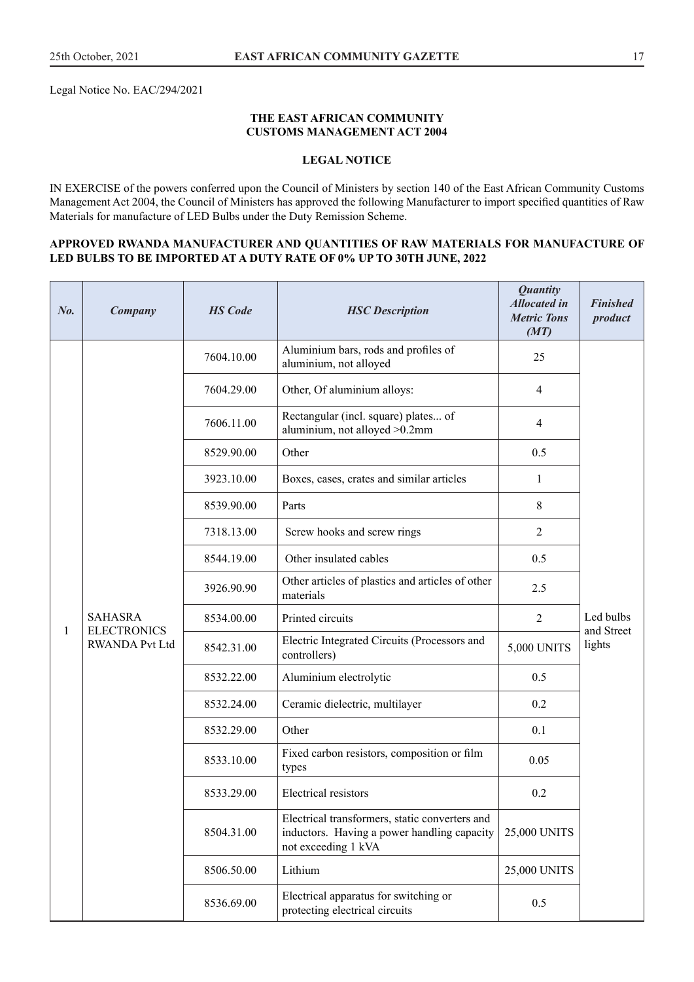Legal Notice No. EAC/294/2021

#### **THE EAST AFRICAN COMMUNITY CUSTOMS MANAGEMENT ACT 2004**

#### **LEGAL NOTICE**

IN EXERCISE of the powers conferred upon the Council of Ministers by section 140 of the East African Community Customs Management Act 2004, the Council of Ministers has approved the following Manufacturer to import specified quantities of Raw Materials for manufacture of LED Bulbs under the Duty Remission Scheme.

#### **APPROVED RWANDA MANUFACTURER AND QUANTITIES OF RAW MATERIALS FOR MANUFACTURE OF LED BULBS TO BE IMPORTED AT A DUTY RATE OF 0% UP TO 30TH JUNE, 2022**

| No. | Company                                                       | <b>HS</b> Code | <b>HSC</b> Description                                                  | <b>Quantity</b><br><b>Allocated in</b><br><b>Metric Tons</b><br>(MT)                                                 | <b>Finished</b><br>product |                         |
|-----|---------------------------------------------------------------|----------------|-------------------------------------------------------------------------|----------------------------------------------------------------------------------------------------------------------|----------------------------|-------------------------|
|     |                                                               | 7604.10.00     | Aluminium bars, rods and profiles of<br>aluminium, not alloyed          | 25                                                                                                                   |                            |                         |
|     |                                                               | 7604.29.00     | Other, Of aluminium alloys:                                             | 4                                                                                                                    |                            |                         |
|     |                                                               | 7606.11.00     | Rectangular (incl. square) plates of<br>aluminium, not alloyed >0.2mm   | 4                                                                                                                    |                            |                         |
|     |                                                               | 8529.90.00     | Other                                                                   | 0.5                                                                                                                  |                            |                         |
|     |                                                               | 3923.10.00     | Boxes, cases, crates and similar articles                               | $\mathbf{1}$                                                                                                         |                            |                         |
|     |                                                               | 8539.90.00     | Parts                                                                   | 8                                                                                                                    |                            |                         |
|     |                                                               | 7318.13.00     | Screw hooks and screw rings                                             | $\overline{2}$                                                                                                       |                            |                         |
|     | <b>SAHASRA</b><br><b>ELECTRONICS</b><br><b>RWANDA Pvt Ltd</b> |                | 8544.19.00                                                              | Other insulated cables                                                                                               | 0.5                        |                         |
|     |                                                               |                | 3926.90.90                                                              | Other articles of plastics and articles of other<br>materials                                                        | 2.5                        |                         |
| 1   |                                                               |                | 8534.00.00                                                              | Printed circuits                                                                                                     | $\overline{2}$             | Led bulbs<br>and Street |
|     |                                                               |                | 8542.31.00                                                              | Electric Integrated Circuits (Processors and<br>controllers)                                                         | 5,000 UNITS                | lights                  |
|     |                                                               | 8532.22.00     | Aluminium electrolytic                                                  | 0.5                                                                                                                  |                            |                         |
|     |                                                               | 8532.24.00     | Ceramic dielectric, multilayer                                          | 0.2                                                                                                                  |                            |                         |
|     |                                                               | 8532.29.00     | Other                                                                   | 0.1                                                                                                                  |                            |                         |
|     |                                                               | 8533.10.00     | Fixed carbon resistors, composition or film<br>types                    | 0.05                                                                                                                 |                            |                         |
|     |                                                               | 8533.29.00     | Electrical resistors                                                    | 0.2                                                                                                                  |                            |                         |
|     |                                                               |                | 8504.31.00                                                              | Electrical transformers, static converters and<br>inductors. Having a power handling capacity<br>not exceeding 1 kVA | 25,000 UNITS               |                         |
|     |                                                               | 8506.50.00     | Lithium                                                                 | 25,000 UNITS                                                                                                         |                            |                         |
|     |                                                               | 8536.69.00     | Electrical apparatus for switching or<br>protecting electrical circuits | 0.5                                                                                                                  |                            |                         |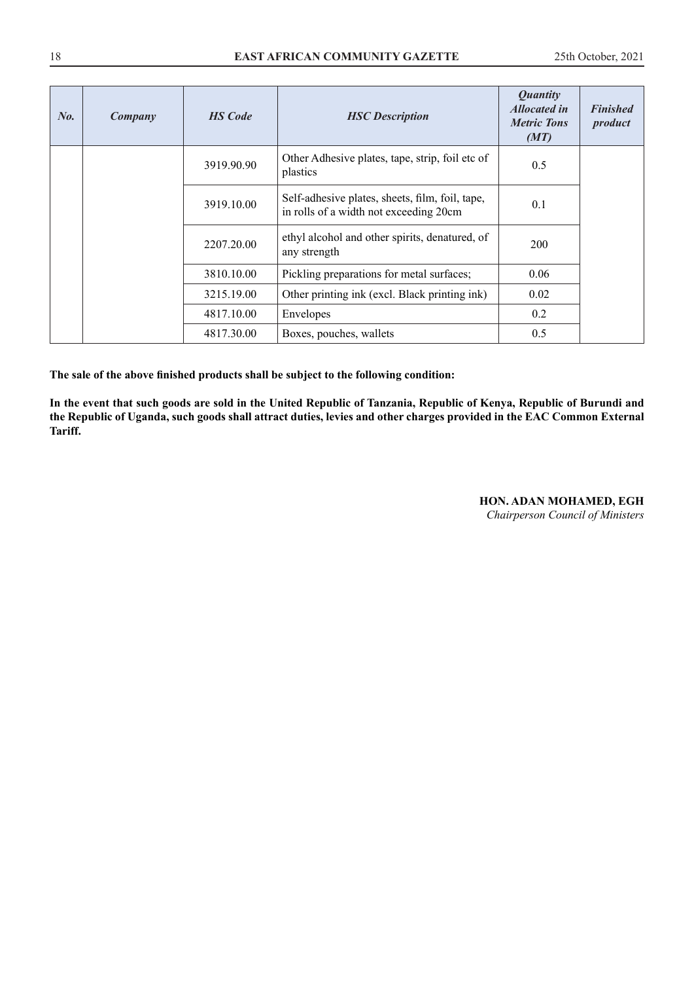| No. | Company | <b>HS</b> Code | <b>HSC</b> Description                                                                    | <b>Quantity</b><br><b>Allocated in</b><br><b>Metric Tons</b><br>(MT) | <b>Finished</b><br>product |
|-----|---------|----------------|-------------------------------------------------------------------------------------------|----------------------------------------------------------------------|----------------------------|
|     |         | 3919.90.90     | Other Adhesive plates, tape, strip, foil etc of<br>plastics                               | 0.5                                                                  |                            |
|     |         | 3919.10.00     | Self-adhesive plates, sheets, film, foil, tape,<br>in rolls of a width not exceeding 20cm | 0.1                                                                  |                            |
|     |         | 2207.20.00     | ethyl alcohol and other spirits, denatured, of<br>any strength                            | 200                                                                  |                            |
|     |         | 3810.10.00     | Pickling preparations for metal surfaces;                                                 | 0.06                                                                 |                            |
|     |         | 3215.19.00     | Other printing ink (excl. Black printing ink)                                             | 0.02                                                                 |                            |
|     |         | 4817.10.00     | Envelopes                                                                                 | 0.2                                                                  |                            |
|     |         | 4817.30.00     | Boxes, pouches, wallets                                                                   | 0.5                                                                  |                            |

**In the event that such goods are sold in the United Republic of Tanzania, Republic of Kenya, Republic of Burundi and the Republic of Uganda, such goods shall attract duties, levies and other charges provided in the EAC Common External Tariff.**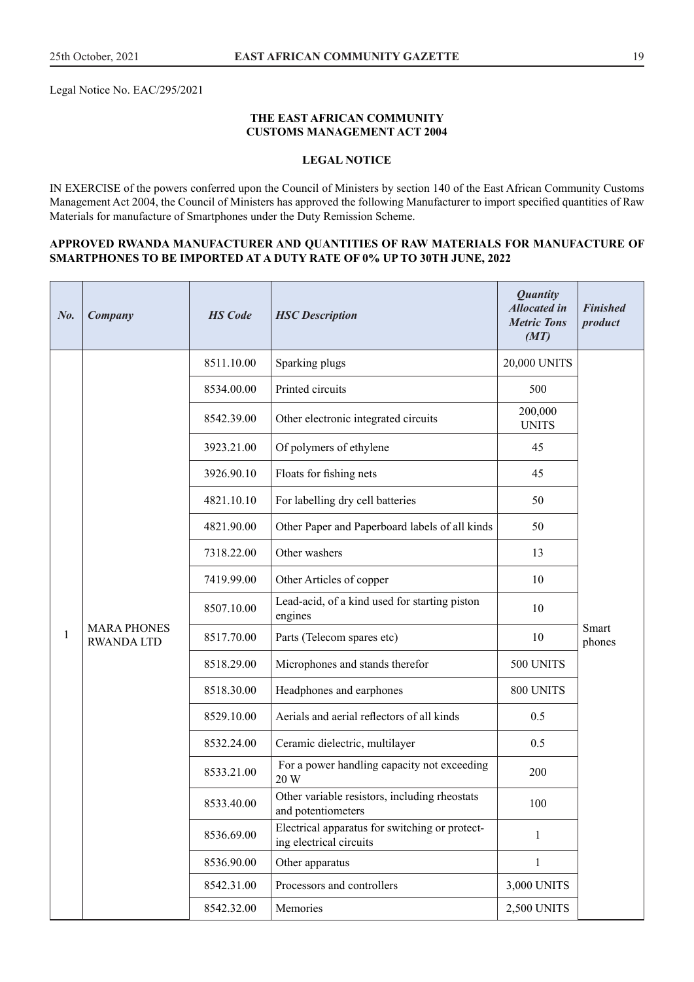Legal Notice No. EAC/295/2021

#### **THE EAST AFRICAN COMMUNITY CUSTOMS MANAGEMENT ACT 2004**

#### **LEGAL NOTICE**

IN EXERCISE of the powers conferred upon the Council of Ministers by section 140 of the East African Community Customs Management Act 2004, the Council of Ministers has approved the following Manufacturer to import specified quantities of Raw Materials for manufacture of Smartphones under the Duty Remission Scheme.

#### **APPROVED RWANDA MANUFACTURER AND QUANTITIES OF RAW MATERIALS FOR MANUFACTURE OF SMARTPHONES TO BE IMPORTED AT A DUTY RATE OF 0% UP TO 30TH JUNE, 2022**

| No. | Company                                | <b>HS</b> Code | <b>HSC</b> Description                                                    | <b>Quantity</b><br><b>Allocated</b> in<br><b>Metric Tons</b><br>(MT) | <b>Finished</b><br>product |
|-----|----------------------------------------|----------------|---------------------------------------------------------------------------|----------------------------------------------------------------------|----------------------------|
|     |                                        | 8511.10.00     | Sparking plugs                                                            | 20,000 UNITS                                                         |                            |
|     |                                        | 8534.00.00     | Printed circuits                                                          | 500                                                                  |                            |
|     |                                        | 8542.39.00     | Other electronic integrated circuits                                      | 200,000<br><b>UNITS</b>                                              |                            |
|     |                                        | 3923.21.00     | Of polymers of ethylene                                                   | 45                                                                   |                            |
|     |                                        | 3926.90.10     | Floats for fishing nets                                                   | 45                                                                   |                            |
|     |                                        | 4821.10.10     | For labelling dry cell batteries                                          | 50                                                                   |                            |
|     |                                        | 4821.90.00     | Other Paper and Paperboard labels of all kinds                            | 50                                                                   |                            |
|     |                                        | 7318.22.00     | Other washers                                                             | 13                                                                   |                            |
|     |                                        | 7419.99.00     | Other Articles of copper                                                  | 10                                                                   |                            |
|     |                                        |                | 8507.10.00                                                                | Lead-acid, of a kind used for starting piston<br>engines             | 10                         |
| 1   | <b>MARA PHONES</b><br><b>RWANDALTD</b> | 8517.70.00     | Parts (Telecom spares etc)                                                | 10                                                                   | Smart<br>phones            |
|     |                                        | 8518.29.00     | Microphones and stands therefor                                           | 500 UNITS                                                            |                            |
|     |                                        | 8518.30.00     | Headphones and earphones                                                  | 800 UNITS                                                            |                            |
|     |                                        | 8529.10.00     | Aerials and aerial reflectors of all kinds                                | 0.5                                                                  |                            |
|     |                                        | 8532.24.00     | Ceramic dielectric, multilayer                                            | 0.5                                                                  |                            |
|     |                                        | 8533.21.00     | For a power handling capacity not exceeding<br>20 W                       | 200                                                                  |                            |
|     |                                        | 8533.40.00     | Other variable resistors, including rheostats<br>and potentiometers       | 100                                                                  |                            |
|     |                                        | 8536.69.00     | Electrical apparatus for switching or protect-<br>ing electrical circuits | $\mathbf{1}$                                                         |                            |
|     |                                        | 8536.90.00     | Other apparatus                                                           | $\mathbf{1}$                                                         |                            |
|     |                                        | 8542.31.00     | Processors and controllers                                                | 3,000 UNITS                                                          |                            |
|     |                                        | 8542.32.00     | Memories                                                                  | 2,500 UNITS                                                          |                            |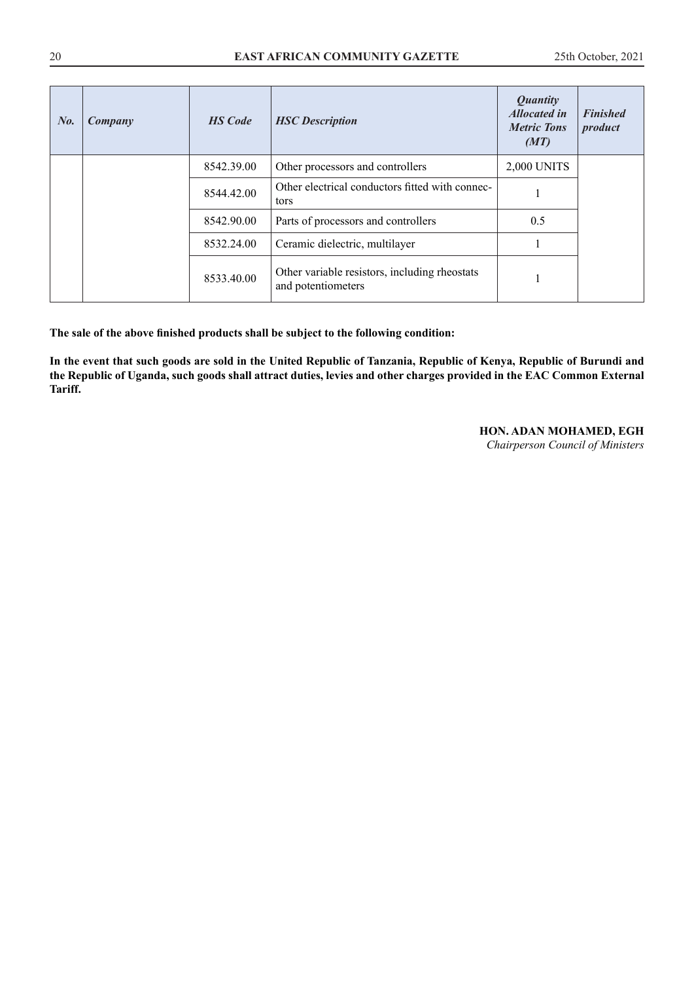| $N_{0}$ . | Company | <b>HS</b> Code | <b>HSC</b> Description                                              | <i>Quantity</i><br><b>Allocated in</b><br><b>Metric Tons</b><br>(MT) | <b>Finished</b><br>product |
|-----------|---------|----------------|---------------------------------------------------------------------|----------------------------------------------------------------------|----------------------------|
|           |         | 8542.39.00     | Other processors and controllers                                    | 2,000 UNITS                                                          |                            |
|           |         | 8544.42.00     | Other electrical conductors fitted with connec-<br>tors             |                                                                      |                            |
|           |         | 8542.90.00     | Parts of processors and controllers                                 | 0.5                                                                  |                            |
|           |         | 8532.24.00     | Ceramic dielectric, multilayer                                      |                                                                      |                            |
|           |         | 8533.40.00     | Other variable resistors, including rheostats<br>and potentiometers |                                                                      |                            |

**In the event that such goods are sold in the United Republic of Tanzania, Republic of Kenya, Republic of Burundi and the Republic of Uganda, such goods shall attract duties, levies and other charges provided in the EAC Common External Tariff.**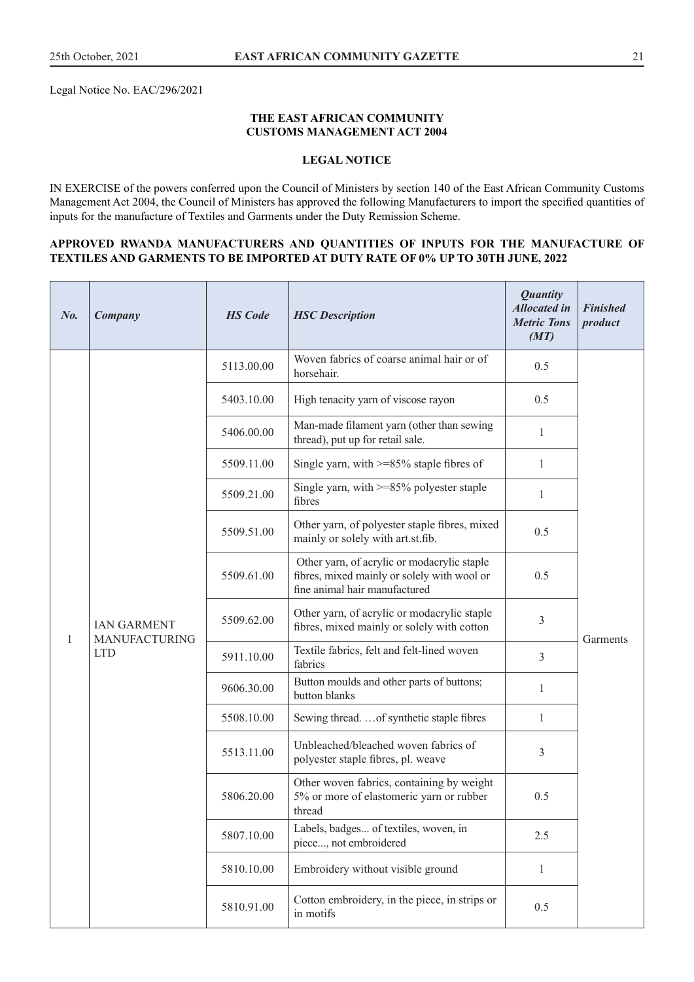Legal Notice No. EAC/296/2021

#### **THE EAST AFRICAN COMMUNITY CUSTOMS MANAGEMENT ACT 2004**

## **LEGAL NOTICE**

IN EXERCISE of the powers conferred upon the Council of Ministers by section 140 of the East African Community Customs Management Act 2004, the Council of Ministers has approved the following Manufacturers to import the specified quantities of inputs for the manufacture of Textiles and Garments under the Duty Remission Scheme.

#### **APPROVED RWANDA MANUFACTURERS AND QUANTITIES OF INPUTS FOR THE MANUFACTURE OF TEXTILES AND GARMENTS TO BE IMPORTED AT DUTY RATE OF 0% UP TO 30TH JUNE, 2022**

| $N_{0}$ | Company            | <b>HS</b> Code       | <b>HSC</b> Description                                                                          | <b>Quantity</b><br><b>Allocated in</b><br><b>Metric Tons</b><br>(MT)                                                        | <b>Finished</b><br>product |          |
|---------|--------------------|----------------------|-------------------------------------------------------------------------------------------------|-----------------------------------------------------------------------------------------------------------------------------|----------------------------|----------|
|         |                    | 5113.00.00           | Woven fabrics of coarse animal hair or of<br>horsehair.                                         | 0.5                                                                                                                         |                            |          |
|         |                    | 5403.10.00           | High tenacity yarn of viscose rayon                                                             | 0.5                                                                                                                         |                            |          |
|         |                    | 5406.00.00           | Man-made filament yarn (other than sewing<br>thread), put up for retail sale.                   | $\mathbf{1}$                                                                                                                |                            |          |
|         |                    | 5509.11.00           | Single yarn, with $>= 85\%$ staple fibres of                                                    | $\mathbf{1}$                                                                                                                |                            |          |
|         |                    | 5509.21.00           | Single yarn, with $>= 85\%$ polyester staple<br>fibres                                          | $\mathbf{1}$                                                                                                                |                            |          |
|         | <b>IAN GARMENT</b> | 5509.51.00           | Other yarn, of polyester staple fibres, mixed<br>mainly or solely with art.st.fib.              | 0.5                                                                                                                         |                            |          |
|         |                    | <b>MANUFACTURING</b> | 5509.61.00                                                                                      | Other yarn, of acrylic or modacrylic staple<br>fibres, mixed mainly or solely with wool or<br>fine animal hair manufactured | 0.5                        |          |
| 1       |                    |                      | 5509.62.00                                                                                      | Other yarn, of acrylic or modacrylic staple<br>fibres, mixed mainly or solely with cotton                                   | 3                          | Garments |
|         | <b>LTD</b>         | 5911.10.00           | Textile fabrics, felt and felt-lined woven<br>fabrics                                           | 3                                                                                                                           |                            |          |
|         |                    | 9606.30.00           | Button moulds and other parts of buttons;<br>button blanks                                      | 1                                                                                                                           |                            |          |
|         |                    | 5508.10.00           | Sewing thread.  of synthetic staple fibres                                                      | $\mathbf{1}$                                                                                                                |                            |          |
|         |                    | 5513.11.00           | Unbleached/bleached woven fabrics of<br>polyester staple fibres, pl. weave                      | 3                                                                                                                           |                            |          |
|         |                    | 5806.20.00           | Other woven fabrics, containing by weight<br>5% or more of elastomeric yarn or rubber<br>thread | 0.5                                                                                                                         |                            |          |
|         |                    | 5807.10.00           | Labels, badges of textiles, woven, in<br>piece, not embroidered                                 | 2.5                                                                                                                         |                            |          |
|         |                    | 5810.10.00           | Embroidery without visible ground                                                               | $\mathbf{1}$                                                                                                                |                            |          |
|         |                    | 5810.91.00           | Cotton embroidery, in the piece, in strips or<br>in motifs                                      | 0.5                                                                                                                         |                            |          |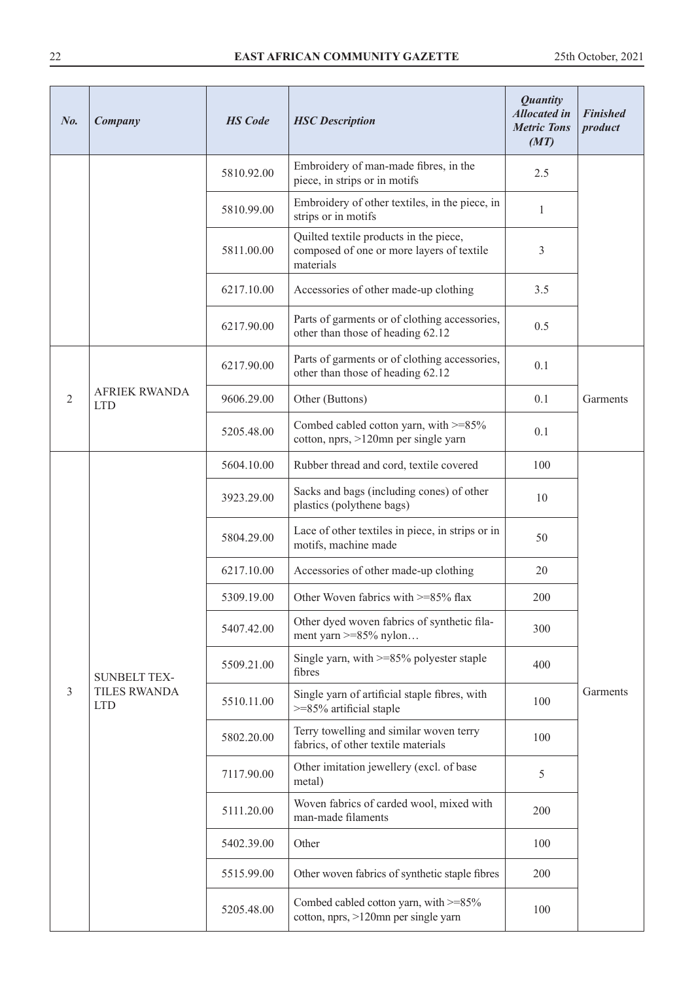| No.            | Company                            | <b>HS</b> Code | <b>HSC</b> Description                                                                           | <b>Quantity</b><br><b>Allocated in</b><br><b>Metric Tons</b><br>(MT) | <b>Finished</b><br>product |
|----------------|------------------------------------|----------------|--------------------------------------------------------------------------------------------------|----------------------------------------------------------------------|----------------------------|
|                |                                    | 5810.92.00     | Embroidery of man-made fibres, in the<br>piece, in strips or in motifs                           | 2.5                                                                  |                            |
|                |                                    | 5810.99.00     | Embroidery of other textiles, in the piece, in<br>strips or in motifs                            | $\mathbf{1}$                                                         |                            |
|                |                                    | 5811.00.00     | Quilted textile products in the piece,<br>composed of one or more layers of textile<br>materials | 3                                                                    |                            |
|                |                                    | 6217.10.00     | Accessories of other made-up clothing                                                            | 3.5                                                                  |                            |
|                |                                    | 6217.90.00     | Parts of garments or of clothing accessories,<br>other than those of heading 62.12               | 0.5                                                                  |                            |
|                |                                    | 6217.90.00     | Parts of garments or of clothing accessories,<br>other than those of heading 62.12               | 0.1                                                                  |                            |
| $\mathfrak{2}$ | <b>AFRIEK RWANDA</b><br><b>LTD</b> | 9606.29.00     | Other (Buttons)                                                                                  | 0.1                                                                  | Garments                   |
|                |                                    | 5205.48.00     | Combed cabled cotton yarn, with $>=85\%$<br>cotton, nprs, >120mn per single yarn                 | 0.1                                                                  |                            |
|                |                                    | 5604.10.00     | Rubber thread and cord, textile covered                                                          | 100                                                                  |                            |
|                |                                    | 3923.29.00     | Sacks and bags (including cones) of other<br>plastics (polythene bags)                           | 10                                                                   |                            |
|                |                                    | 5804.29.00     | Lace of other textiles in piece, in strips or in<br>motifs, machine made                         | 50                                                                   |                            |
|                |                                    | 6217.10.00     | Accessories of other made-up clothing                                                            | 20                                                                   |                            |
|                |                                    | 5309.19.00     | Other Woven fabrics with >=85% flax                                                              | 200                                                                  |                            |
|                |                                    | 5407.42.00     | Other dyed woven fabrics of synthetic fila-<br>ment yarn $>= 85\%$ nylon                         | 300                                                                  |                            |
|                | <b>SUNBELT TEX-</b>                | 5509.21.00     | Single yarn, with $>= 85\%$ polyester staple<br>fibres                                           | 400                                                                  |                            |
| 3              | <b>TILES RWANDA</b><br><b>LTD</b>  | 5510.11.00     | Single yarn of artificial staple fibres, with<br>$>=85\%$ artificial staple                      | 100                                                                  | Garments                   |
|                |                                    | 5802.20.00     | Terry towelling and similar woven terry<br>fabrics, of other textile materials                   | 100                                                                  |                            |
|                |                                    | 7117.90.00     | Other imitation jewellery (excl. of base<br>metal)                                               | 5                                                                    |                            |
|                |                                    | 5111.20.00     | Woven fabrics of carded wool, mixed with<br>man-made filaments                                   | 200                                                                  |                            |
|                |                                    | 5402.39.00     | Other                                                                                            | 100                                                                  |                            |
|                |                                    | 5515.99.00     | Other woven fabrics of synthetic staple fibres                                                   | 200                                                                  |                            |
|                |                                    | 5205.48.00     | Combed cabled cotton yarn, with >=85%<br>cotton, nprs, >120mn per single yarn                    | 100                                                                  |                            |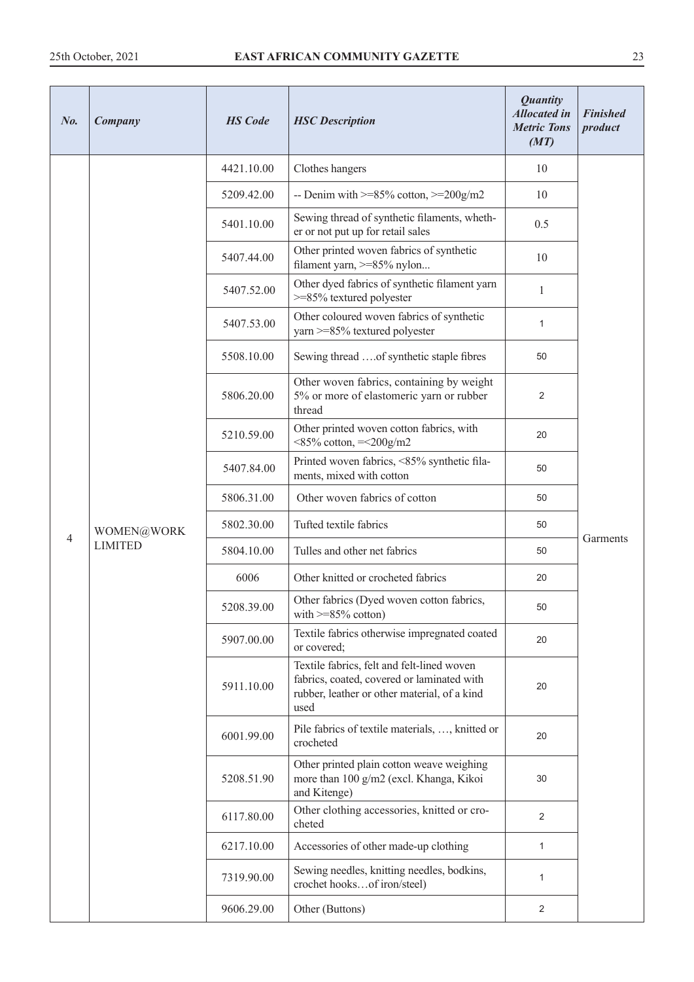| $N_{0}$ .      | Company        | <b>HS</b> Code | <b>HSC</b> Description                                                                                                                           | <b>Quantity</b><br><b>Allocated in</b><br><b>Metric Tons</b><br>(MT) | <b>Finished</b><br>product |
|----------------|----------------|----------------|--------------------------------------------------------------------------------------------------------------------------------------------------|----------------------------------------------------------------------|----------------------------|
|                |                | 4421.10.00     | Clothes hangers                                                                                                                                  | 10                                                                   |                            |
|                |                | 5209.42.00     | -- Denim with $>= 85\%$ cotton, $>= 200$ g/m2                                                                                                    | 10                                                                   |                            |
|                |                | 5401.10.00     | Sewing thread of synthetic filaments, wheth-<br>er or not put up for retail sales                                                                | 0.5                                                                  |                            |
|                |                | 5407.44.00     | Other printed woven fabrics of synthetic<br>filament yarn, >=85% nylon                                                                           | 10                                                                   |                            |
|                |                | 5407.52.00     | Other dyed fabrics of synthetic filament yarn<br>$>=$ 85% textured polyester                                                                     | $\mathbf{1}$                                                         |                            |
|                |                | 5407.53.00     | Other coloured woven fabrics of synthetic<br>yarn >=85% textured polyester                                                                       | $\mathbf{1}$                                                         |                            |
|                |                | 5508.10.00     | Sewing thread of synthetic staple fibres                                                                                                         | 50                                                                   |                            |
|                |                | 5806.20.00     | Other woven fabrics, containing by weight<br>5% or more of elastomeric yarn or rubber<br>thread                                                  | 2                                                                    |                            |
|                |                | 5210.59.00     | Other printed woven cotton fabrics, with<br>$<85\% \text{ cotton}, =<200 \text{g/m2}$                                                            | 20                                                                   |                            |
|                |                | 5407.84.00     | Printed woven fabrics, <85% synthetic fila-<br>ments, mixed with cotton                                                                          | 50                                                                   |                            |
|                |                |                | 5806.31.00                                                                                                                                       | Other woven fabrics of cotton                                        | 50                         |
| $\overline{4}$ | WOMEN@WORK     | 5802.30.00     | Tufted textile fabrics                                                                                                                           | 50                                                                   | Garments                   |
|                | <b>LIMITED</b> | 5804.10.00     | Tulles and other net fabrics                                                                                                                     | 50                                                                   |                            |
|                |                | 6006           | Other knitted or crocheted fabrics                                                                                                               | 20                                                                   |                            |
|                |                | 5208.39.00     | Other fabrics (Dyed woven cotton fabrics,<br>with $>=85\%$ cotton)                                                                               | 50                                                                   |                            |
|                |                | 5907.00.00     | Textile fabrics otherwise impregnated coated<br>or covered;                                                                                      | 20                                                                   |                            |
|                |                | 5911.10.00     | Textile fabrics, felt and felt-lined woven<br>fabrics, coated, covered or laminated with<br>rubber, leather or other material, of a kind<br>used | 20                                                                   |                            |
|                |                | 6001.99.00     | Pile fabrics of textile materials, , knitted or<br>crocheted                                                                                     | 20                                                                   |                            |
|                |                | 5208.51.90     | Other printed plain cotton weave weighing<br>more than 100 g/m2 (excl. Khanga, Kikoi<br>and Kitenge)                                             | 30                                                                   |                            |
|                |                | 6117.80.00     | Other clothing accessories, knitted or cro-<br>cheted                                                                                            | $\overline{2}$                                                       |                            |
|                |                | 6217.10.00     | Accessories of other made-up clothing                                                                                                            | $\mathbf{1}$                                                         |                            |
|                |                | 7319.90.00     | Sewing needles, knitting needles, bodkins,<br>crochet hooksof iron/steel)                                                                        | 1                                                                    |                            |
|                |                | 9606.29.00     | Other (Buttons)                                                                                                                                  | 2                                                                    |                            |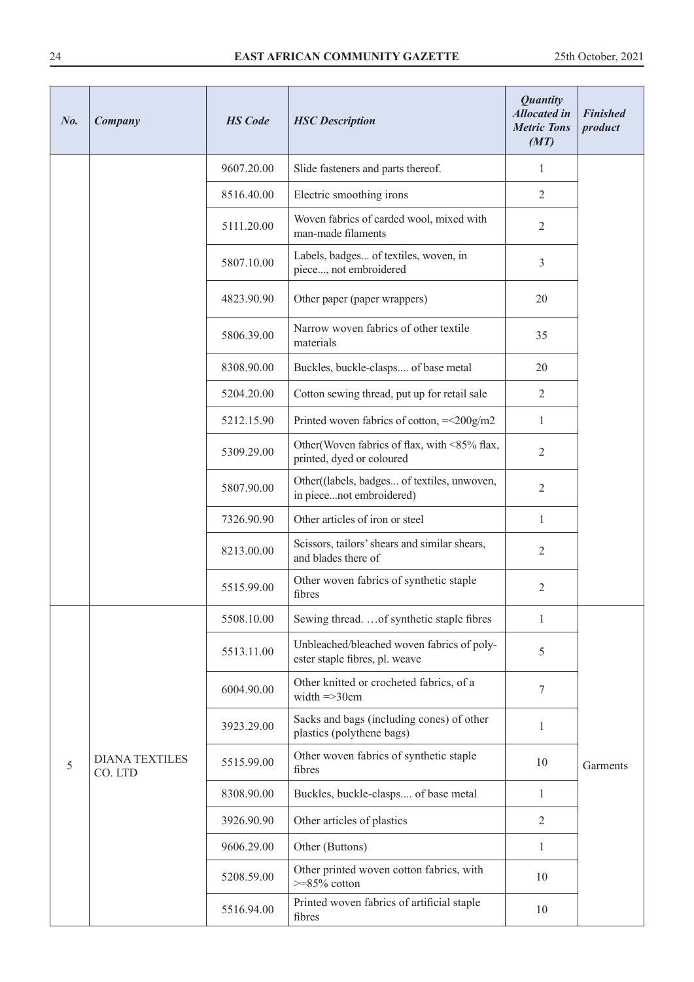| No. | Company                          | <b>HS</b> Code           | <b>HSC</b> Description                                                       | <b>Quantity</b><br><b>Allocated in</b><br><b>Metric Tons</b><br>(MT) | <b>Finished</b><br>product |
|-----|----------------------------------|--------------------------|------------------------------------------------------------------------------|----------------------------------------------------------------------|----------------------------|
|     |                                  | 9607.20.00               | Slide fasteners and parts thereof.                                           | 1                                                                    |                            |
|     | 8516.40.00                       | Electric smoothing irons | 2                                                                            |                                                                      |                            |
|     |                                  | 5111.20.00               | Woven fabrics of carded wool, mixed with<br>man-made filaments               | 2                                                                    |                            |
|     |                                  | 5807.10.00               | Labels, badges of textiles, woven, in<br>piece, not embroidered              | 3                                                                    |                            |
|     |                                  | 4823.90.90               | Other paper (paper wrappers)                                                 | 20                                                                   |                            |
|     |                                  | 5806.39.00               | Narrow woven fabrics of other textile<br>materials                           | 35                                                                   |                            |
|     |                                  | 8308.90.00               | Buckles, buckle-clasps of base metal                                         | 20                                                                   |                            |
|     |                                  | 5204.20.00               | Cotton sewing thread, put up for retail sale                                 | $\mathfrak{2}$                                                       |                            |
|     |                                  | 5212.15.90               | Printed woven fabrics of cotton, $=<200g/m2$                                 | $\mathbf{1}$                                                         |                            |
|     |                                  | 5309.29.00               | Other (Woven fabrics of flax, with <85% flax,<br>printed, dyed or coloured   | $\overline{2}$                                                       |                            |
|     |                                  | 5807.90.00               | Other((labels, badges of textiles, unwoven,<br>in piecenot embroidered)      | $\overline{2}$                                                       |                            |
|     |                                  | 7326.90.90               | Other articles of iron or steel                                              | $\mathbf{1}$                                                         |                            |
|     |                                  | 8213.00.00               | Scissors, tailors' shears and similar shears,<br>and blades there of         | $\overline{2}$                                                       |                            |
|     |                                  | 5515.99.00               | Other woven fabrics of synthetic staple<br>fibres                            | 2                                                                    |                            |
|     |                                  | 5508.10.00               | Sewing thread.  of synthetic staple fibres                                   | 1                                                                    |                            |
|     |                                  | 5513.11.00               | Unbleached/bleached woven fabrics of poly-<br>ester staple fibres, pl. weave | 5                                                                    |                            |
|     |                                  | 6004.90.00               | Other knitted or crocheted fabrics, of a<br>width $\Rightarrow$ 30cm         | 7                                                                    |                            |
|     |                                  | 3923.29.00               | Sacks and bags (including cones) of other<br>plastics (polythene bags)       | 1                                                                    |                            |
| 5   | <b>DIANA TEXTILES</b><br>CO. LTD | 5515.99.00               | Other woven fabrics of synthetic staple<br>fibres                            | 10                                                                   | Garments                   |
|     |                                  | 8308.90.00               | Buckles, buckle-clasps of base metal                                         | 1                                                                    |                            |
|     |                                  | 3926.90.90               | Other articles of plastics                                                   | $\overline{2}$                                                       |                            |
|     |                                  | 9606.29.00               | Other (Buttons)                                                              | $\mathbf{1}$                                                         |                            |
|     |                                  | 5208.59.00               | Other printed woven cotton fabrics, with<br>$>=85\%$ cotton                  | 10                                                                   |                            |
|     |                                  | 5516.94.00               | Printed woven fabrics of artificial staple<br>fibres                         | 10                                                                   |                            |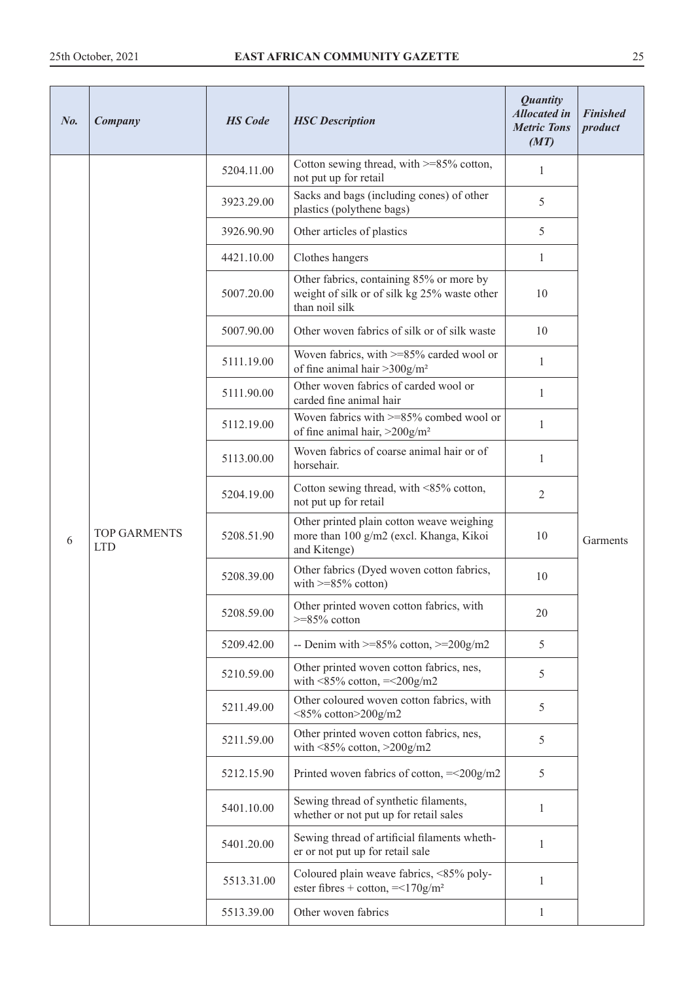| $N_{0}$ | Company                           | <b>HS</b> Code | <b>HSC</b> Description                                                                                     | <b>Quantity</b><br><b>Allocated in</b><br><b>Metric Tons</b><br>(MT) | <b>Finished</b><br>product |
|---------|-----------------------------------|----------------|------------------------------------------------------------------------------------------------------------|----------------------------------------------------------------------|----------------------------|
|         |                                   | 5204.11.00     | Cotton sewing thread, with $>=85\%$ cotton,<br>not put up for retail                                       | 1                                                                    |                            |
|         |                                   | 3923.29.00     | Sacks and bags (including cones) of other<br>plastics (polythene bags)                                     | 5                                                                    |                            |
|         |                                   | 3926.90.90     | Other articles of plastics                                                                                 | 5                                                                    |                            |
|         |                                   | 4421.10.00     | Clothes hangers                                                                                            | 1                                                                    |                            |
|         |                                   | 5007.20.00     | Other fabrics, containing 85% or more by<br>weight of silk or of silk kg 25% waste other<br>than noil silk | 10                                                                   |                            |
|         |                                   | 5007.90.00     | Other woven fabrics of silk or of silk waste                                                               | 10                                                                   |                            |
|         |                                   | 5111.19.00     | Woven fabrics, with >=85% carded wool or<br>of fine animal hair $>300$ g/m <sup>2</sup>                    | $\mathbf{1}$                                                         |                            |
|         |                                   | 5111.90.00     | Other woven fabrics of carded wool or<br>carded fine animal hair                                           | $\mathbf{1}$                                                         |                            |
|         | <b>TOP GARMENTS</b><br><b>LTD</b> | 5112.19.00     | Woven fabrics with $>= 85\%$ combed wool or<br>of fine animal hair, $>200$ g/m <sup>2</sup>                | $\mathbf{1}$                                                         |                            |
|         |                                   | 5113.00.00     | Woven fabrics of coarse animal hair or of<br>horsehair.                                                    | 1                                                                    | Garments                   |
|         |                                   | 5204.19.00     | Cotton sewing thread, with <85% cotton,<br>not put up for retail                                           | $\overline{2}$                                                       |                            |
| 6       |                                   | 5208.51.90     | Other printed plain cotton weave weighing<br>more than 100 g/m2 (excl. Khanga, Kikoi<br>and Kitenge)       | 10                                                                   |                            |
|         |                                   | 5208.39.00     | Other fabrics (Dyed woven cotton fabrics,<br>with $>=85\%$ cotton)                                         | 10                                                                   |                            |
|         |                                   | 5208.59.00     | Other printed woven cotton fabrics, with<br>$>=85\%$ cotton                                                | 20                                                                   |                            |
|         |                                   | 5209.42.00     | -- Denim with $>= 85\%$ cotton, $>= 200$ g/m2                                                              | 5                                                                    |                            |
|         |                                   | 5210.59.00     | Other printed woven cotton fabrics, nes,<br>with $\leq$ 85% cotton, $=\leq$ 200g/m2                        | 5                                                                    |                            |
|         |                                   | 5211.49.00     | Other coloured woven cotton fabrics, with<br><85% cotton>200g/m2                                           | 5                                                                    |                            |
|         |                                   | 5211.59.00     | Other printed woven cotton fabrics, nes,<br>with $\leq$ 85% cotton, $\geq$ 200g/m2                         | 5                                                                    |                            |
|         |                                   | 5212.15.90     | Printed woven fabrics of cotton, $=<200g/m2$                                                               | 5                                                                    |                            |
|         |                                   | 5401.10.00     | Sewing thread of synthetic filaments,<br>whether or not put up for retail sales                            | 1                                                                    |                            |
|         |                                   | 5401.20.00     | Sewing thread of artificial filaments wheth-<br>er or not put up for retail sale                           | $\mathbf{1}$                                                         |                            |
|         |                                   | 5513.31.00     | Coloured plain weave fabrics, <85% poly-<br>ester fibres + cotton, $=<170g/m2$                             | 1                                                                    |                            |
|         |                                   | 5513.39.00     | Other woven fabrics                                                                                        | 1                                                                    |                            |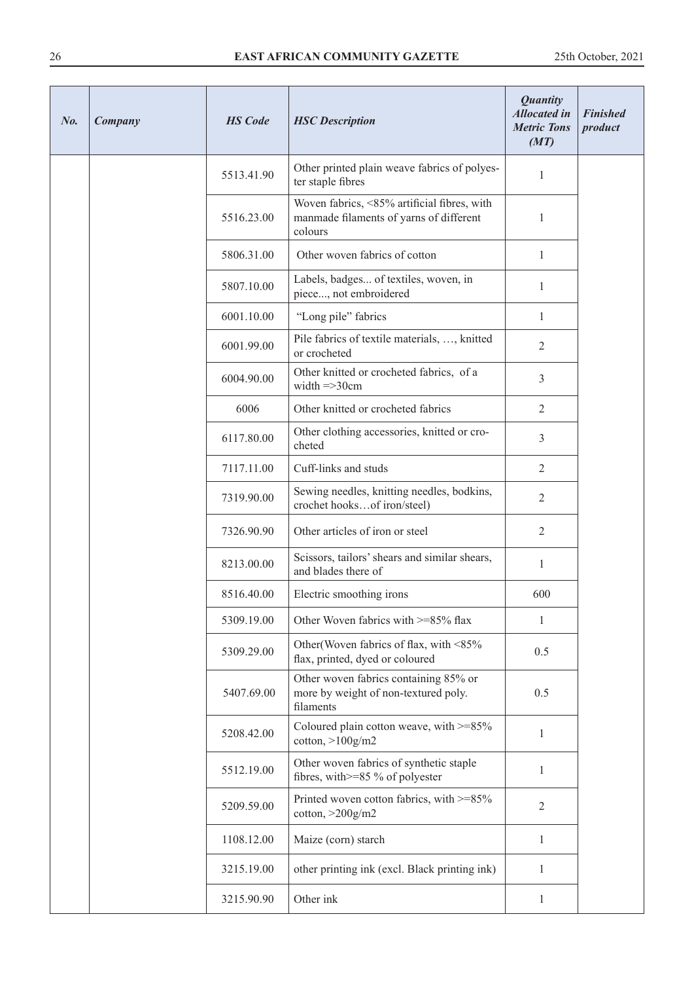| No. | Company | <b>HS</b> Code | <b>HSC</b> Description                                                                            | <b>Quantity</b><br><b>Allocated</b> in<br><b>Metric Tons</b><br>(MT) | <b>Finished</b><br>product |
|-----|---------|----------------|---------------------------------------------------------------------------------------------------|----------------------------------------------------------------------|----------------------------|
|     |         | 5513.41.90     | Other printed plain weave fabrics of polyes-<br>ter staple fibres                                 | 1                                                                    |                            |
|     |         | 5516.23.00     | Woven fabrics, <85% artificial fibres, with<br>manmade filaments of yarns of different<br>colours | 1                                                                    |                            |
|     |         | 5806.31.00     | Other woven fabrics of cotton                                                                     | $\mathbf{1}$                                                         |                            |
|     |         | 5807.10.00     | Labels, badges of textiles, woven, in<br>piece, not embroidered                                   | 1                                                                    |                            |
|     |         | 6001.10.00     | "Long pile" fabrics                                                                               | 1                                                                    |                            |
|     |         | 6001.99.00     | Pile fabrics of textile materials, , knitted<br>or crocheted                                      | $\mathfrak{2}$                                                       |                            |
|     |         | 6004.90.00     | Other knitted or crocheted fabrics, of a<br>width $\Rightarrow$ 30 $cm$                           | $\overline{3}$                                                       |                            |
|     |         | 6006           | Other knitted or crocheted fabrics                                                                | 2                                                                    |                            |
|     |         | 6117.80.00     | Other clothing accessories, knitted or cro-<br>cheted                                             | 3                                                                    |                            |
|     |         | 7117.11.00     | Cuff-links and studs                                                                              | $\overline{2}$                                                       |                            |
|     |         | 7319.90.00     | Sewing needles, knitting needles, bodkins,<br>crochet hooksof iron/steel)                         | $\overline{2}$                                                       |                            |
|     |         | 7326.90.90     | Other articles of iron or steel                                                                   | $\mathbf{2}$                                                         |                            |
|     |         | 8213.00.00     | Scissors, tailors' shears and similar shears,<br>and blades there of                              | 1                                                                    |                            |
|     |         | 8516.40.00     | Electric smoothing irons                                                                          | 600                                                                  |                            |
|     |         | 5309.19.00     | Other Woven fabrics with >=85% flax                                                               | $\mathbf{1}$                                                         |                            |
|     |         | 5309.29.00     | Other (Woven fabrics of flax, with <85%<br>flax, printed, dyed or coloured                        | 0.5                                                                  |                            |
|     |         | 5407.69.00     | Other woven fabrics containing 85% or<br>more by weight of non-textured poly.<br>filaments        | 0.5                                                                  |                            |
|     |         | 5208.42.00     | Coloured plain cotton weave, with $>=85\%$<br>$\cot$ <sub>ton,</sub> $>100$ g/m2                  | $\mathbf{1}$                                                         |                            |
|     |         | 5512.19.00     | Other woven fabrics of synthetic staple<br>fibres, with $>= 85 \%$ of polyester                   | 1                                                                    |                            |
|     |         | 5209.59.00     | Printed woven cotton fabrics, with >=85%<br>$\cot$ <sub>ton,</sub> $>$ 200 $\frac{g}{m}$ 2        | $\overline{2}$                                                       |                            |
|     |         | 1108.12.00     | Maize (corn) starch                                                                               | 1                                                                    |                            |
|     |         | 3215.19.00     | other printing ink (excl. Black printing ink)                                                     | 1                                                                    |                            |
|     |         | 3215.90.90     | Other ink                                                                                         | $\mathbf{1}$                                                         |                            |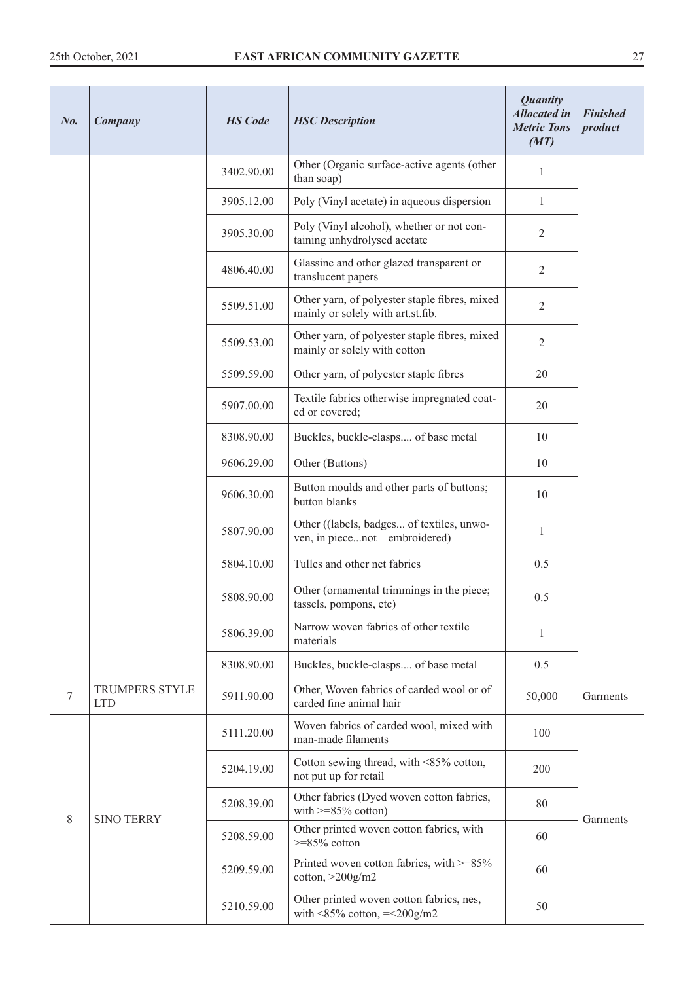| N <sub>0</sub> | Company                             | <b>HS</b> Code | <b>HSC</b> Description                                                              | <b>Quantity</b><br><b>Allocated in</b><br><b>Metric Tons</b><br>(MT) | <b>Finished</b><br>product |
|----------------|-------------------------------------|----------------|-------------------------------------------------------------------------------------|----------------------------------------------------------------------|----------------------------|
|                |                                     | 3402.90.00     | Other (Organic surface-active agents (other<br>than soap)                           | 1                                                                    |                            |
|                |                                     | 3905.12.00     | Poly (Vinyl acetate) in aqueous dispersion                                          | $\mathbf{1}$                                                         |                            |
|                |                                     | 3905.30.00     | Poly (Vinyl alcohol), whether or not con-<br>taining unhydrolysed acetate           | 2                                                                    |                            |
|                |                                     | 4806.40.00     | Glassine and other glazed transparent or<br>translucent papers                      | $\overline{2}$                                                       |                            |
|                |                                     | 5509.51.00     | Other yarn, of polyester staple fibres, mixed<br>mainly or solely with art.st.fib.  | $\overline{2}$                                                       |                            |
|                |                                     | 5509.53.00     | Other yarn, of polyester staple fibres, mixed<br>mainly or solely with cotton       | $\overline{2}$                                                       |                            |
|                |                                     | 5509.59.00     | Other yarn, of polyester staple fibres                                              | 20                                                                   |                            |
|                |                                     | 5907.00.00     | Textile fabrics otherwise impregnated coat-<br>ed or covered;                       | 20                                                                   |                            |
|                |                                     | 8308.90.00     | Buckles, buckle-clasps of base metal                                                | 10                                                                   |                            |
|                |                                     | 9606.29.00     | Other (Buttons)                                                                     | 10                                                                   |                            |
|                |                                     | 9606.30.00     | Button moulds and other parts of buttons;<br>button blanks                          | 10                                                                   |                            |
|                |                                     | 5807.90.00     | Other ((labels, badges of textiles, unwo-<br>ven, in piecenot embroidered)          | $\mathbf{1}$                                                         |                            |
|                |                                     | 5804.10.00     | Tulles and other net fabrics                                                        | 0.5                                                                  |                            |
|                |                                     | 5808.90.00     | Other (ornamental trimmings in the piece;<br>tassels, pompons, etc)                 | 0.5                                                                  |                            |
|                |                                     | 5806.39.00     | Narrow woven fabrics of other textile<br>materials                                  | 1                                                                    |                            |
|                |                                     | 8308.90.00     | Buckles, buckle-clasps of base metal                                                | 0.5                                                                  |                            |
| 7              | <b>TRUMPERS STYLE</b><br><b>LTD</b> | 5911.90.00     | Other, Woven fabrics of carded wool or of<br>carded fine animal hair                | 50,000                                                               | Garments                   |
|                |                                     | 5111.20.00     | Woven fabrics of carded wool, mixed with<br>man-made filaments                      | 100                                                                  |                            |
|                |                                     | 5204.19.00     | Cotton sewing thread, with <85% cotton,<br>not put up for retail                    | 200                                                                  |                            |
| 8              | <b>SINO TERRY</b>                   | 5208.39.00     | Other fabrics (Dyed woven cotton fabrics,<br>with $>=85\%$ cotton)                  | 80                                                                   | Garments                   |
|                |                                     | 5208.59.00     | Other printed woven cotton fabrics, with<br>$>=85\%$ cotton                         | 60                                                                   |                            |
|                |                                     | 5209.59.00     | Printed woven cotton fabrics, with >=85%<br>cotton, $>200$ g/m2                     | 60                                                                   |                            |
|                |                                     | 5210.59.00     | Other printed woven cotton fabrics, nes,<br>with $\leq$ 85% cotton, $=\leq$ 200g/m2 | 50                                                                   |                            |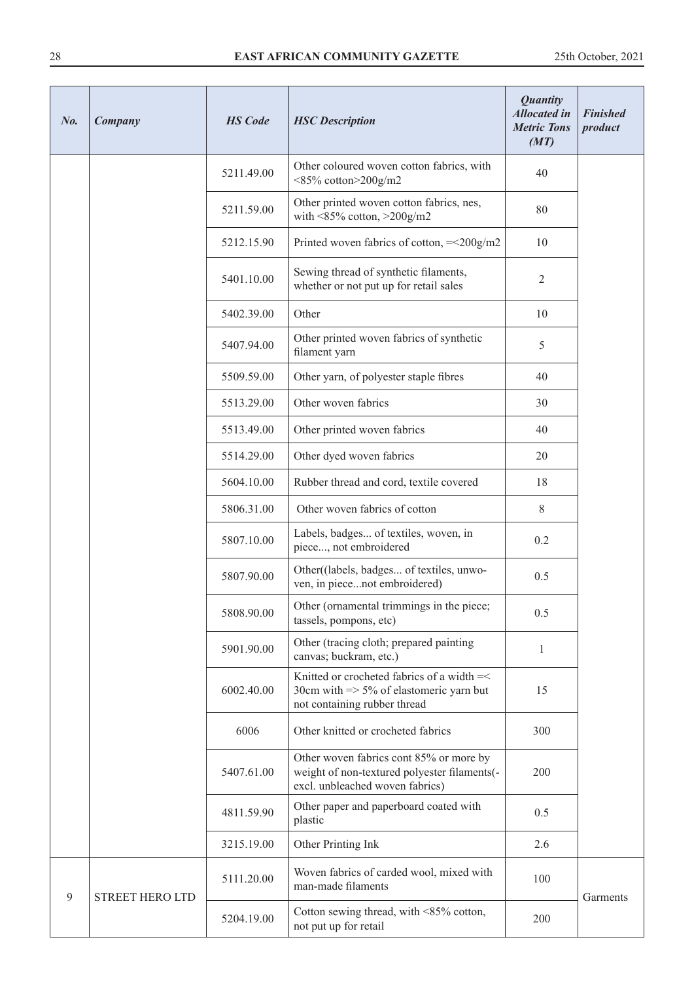| No.            | Company                | <b>HS</b> Code | <b>HSC</b> Description                                                                                                           | <b>Quantity</b><br><b>Allocated in</b><br><b>Metric Tons</b><br>(MT) | <b>Finished</b><br>product |
|----------------|------------------------|----------------|----------------------------------------------------------------------------------------------------------------------------------|----------------------------------------------------------------------|----------------------------|
|                |                        | 5211.49.00     | Other coloured woven cotton fabrics, with<br><85% cotton>200g/m2                                                                 | 40                                                                   |                            |
|                |                        | 5211.59.00     | Other printed woven cotton fabrics, nes,<br>with $\leq$ 85% cotton, $\geq$ 200g/m2                                               | 80                                                                   |                            |
|                |                        | 5212.15.90     | Printed woven fabrics of cotton, $=<200g/m2$                                                                                     | 10                                                                   |                            |
|                |                        | 5401.10.00     | Sewing thread of synthetic filaments,<br>whether or not put up for retail sales                                                  | 2                                                                    |                            |
|                |                        | 5402.39.00     | Other                                                                                                                            | 10                                                                   |                            |
|                |                        | 5407.94.00     | Other printed woven fabrics of synthetic<br>filament yarn                                                                        | 5                                                                    |                            |
|                |                        | 5509.59.00     | Other yarn, of polyester staple fibres                                                                                           | 40                                                                   |                            |
|                |                        | 5513.29.00     | Other woven fabrics                                                                                                              | 30                                                                   |                            |
|                |                        | 5513.49.00     | Other printed woven fabrics                                                                                                      | 40                                                                   |                            |
|                |                        | 5514.29.00     | Other dyed woven fabrics                                                                                                         | 20                                                                   |                            |
|                |                        | 5604.10.00     | Rubber thread and cord, textile covered                                                                                          | 18                                                                   |                            |
|                |                        | 5806.31.00     | Other woven fabrics of cotton                                                                                                    | 8                                                                    |                            |
|                |                        | 5807.10.00     | Labels, badges of textiles, woven, in<br>piece, not embroidered                                                                  | 0.2                                                                  |                            |
|                |                        | 5807.90.00     | Other((labels, badges of textiles, unwo-<br>ven, in piecenot embroidered)                                                        | 0.5                                                                  |                            |
|                |                        | 5808.90.00     | Other (ornamental trimmings in the piece;<br>tassels, pompons, etc)                                                              | 0.5                                                                  |                            |
|                |                        | 5901.90.00     | Other (tracing cloth; prepared painting<br>canvas; buckram, etc.)                                                                | 1                                                                    |                            |
|                |                        | 6002.40.00     | Knitted or crocheted fabrics of a width =<<br>30cm with $\Rightarrow$ 5% of elastomeric yarn but<br>not containing rubber thread | 15                                                                   |                            |
|                |                        | 6006           | Other knitted or crocheted fabrics                                                                                               | 300                                                                  |                            |
|                |                        | 5407.61.00     | Other woven fabrics cont 85% or more by<br>weight of non-textured polyester filaments(-<br>excl. unbleached woven fabrics)       | 200                                                                  |                            |
|                |                        | 4811.59.90     | Other paper and paperboard coated with<br>plastic                                                                                | 0.5                                                                  |                            |
|                |                        | 3215.19.00     | Other Printing Ink                                                                                                               | 2.6                                                                  |                            |
| $\overline{9}$ | <b>STREET HERO LTD</b> | 5111.20.00     | Woven fabrics of carded wool, mixed with<br>man-made filaments                                                                   | 100                                                                  | Garments                   |
|                |                        | 5204.19.00     | Cotton sewing thread, with <85% cotton,<br>not put up for retail                                                                 | 200                                                                  |                            |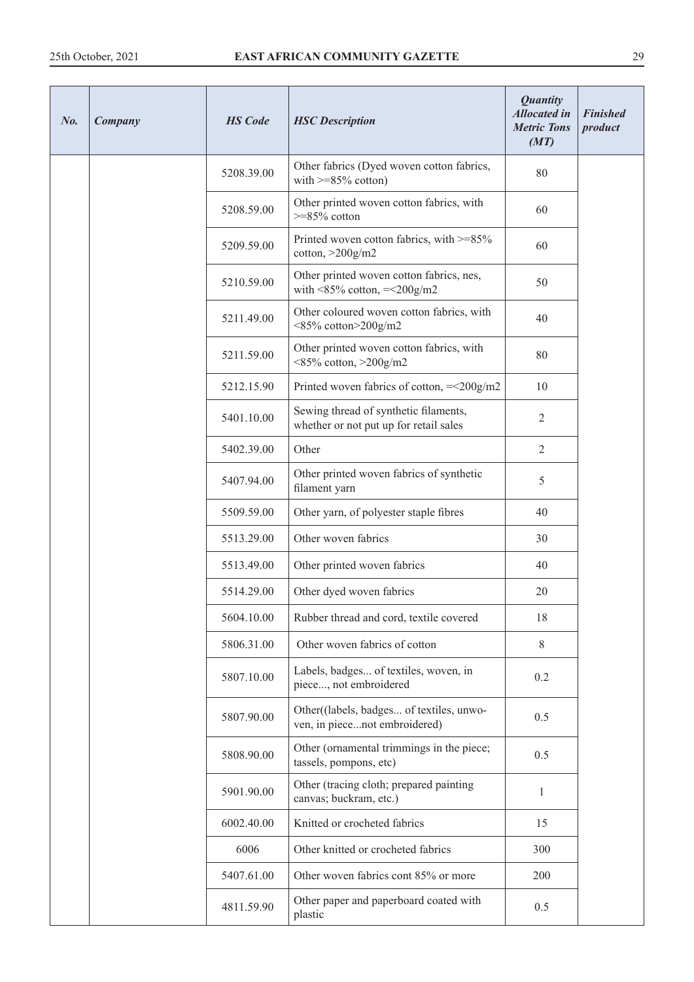| No. | Company | <b>HS</b> Code | <b>HSC</b> Description                                                              | <b>Quantity</b><br><b>Allocated in</b><br><b>Metric Tons</b><br>(MT) | <b>Finished</b><br>product |
|-----|---------|----------------|-------------------------------------------------------------------------------------|----------------------------------------------------------------------|----------------------------|
|     |         | 5208.39.00     | Other fabrics (Dyed woven cotton fabrics,<br>with $>=85\%$ cotton)                  | 80                                                                   |                            |
|     |         | 5208.59.00     | Other printed woven cotton fabrics, with<br>$>=85\%$ cotton                         | 60                                                                   |                            |
|     |         | 5209.59.00     | Printed woven cotton fabrics, with >=85%<br>cotton, $>200$ g/m2                     | 60                                                                   |                            |
|     |         | 5210.59.00     | Other printed woven cotton fabrics, nes,<br>with $\leq$ 85% cotton, $=\leq$ 200g/m2 | 50                                                                   |                            |
|     |         | 5211.49.00     | Other coloured woven cotton fabrics, with<br><85% cotton>200g/m2                    | 40                                                                   |                            |
|     |         | 5211.59.00     | Other printed woven cotton fabrics, with<br>$<$ 85% cotton, $>$ 200g/m2             | 80                                                                   |                            |
|     |         | 5212.15.90     | Printed woven fabrics of cotton, $=<200g/m2$                                        | 10                                                                   |                            |
|     |         | 5401.10.00     | Sewing thread of synthetic filaments,<br>whether or not put up for retail sales     | 2                                                                    |                            |
|     |         | 5402.39.00     | Other                                                                               | $\overline{2}$                                                       |                            |
|     |         | 5407.94.00     | Other printed woven fabrics of synthetic<br>filament yarn                           | 5                                                                    |                            |
|     |         | 5509.59.00     | Other yarn, of polyester staple fibres                                              | 40                                                                   |                            |
|     |         | 5513.29.00     | Other woven fabrics                                                                 | 30                                                                   |                            |
|     |         | 5513.49.00     | Other printed woven fabrics                                                         | 40                                                                   |                            |
|     |         | 5514.29.00     | Other dyed woven fabrics                                                            | 20                                                                   |                            |
|     |         | 5604.10.00     | Rubber thread and cord, textile covered                                             | 18                                                                   |                            |
|     |         | 5806.31.00     | Other woven fabrics of cotton                                                       | 8                                                                    |                            |
|     |         | 5807.10.00     | Labels, badges of textiles, woven, in<br>piece, not embroidered                     | 0.2                                                                  |                            |
|     |         | 5807.90.00     | Other((labels, badges of textiles, unwo-<br>ven, in piecenot embroidered)           | 0.5                                                                  |                            |
|     |         | 5808.90.00     | Other (ornamental trimmings in the piece;<br>tassels, pompons, etc)                 | 0.5                                                                  |                            |
|     |         | 5901.90.00     | Other (tracing cloth; prepared painting<br>canvas; buckram, etc.)                   | $\mathbf{1}$                                                         |                            |
|     |         | 6002.40.00     | Knitted or crocheted fabrics                                                        | 15                                                                   |                            |
|     |         | 6006           | Other knitted or crocheted fabrics                                                  | 300                                                                  |                            |
|     |         | 5407.61.00     | Other woven fabrics cont 85% or more                                                | 200                                                                  |                            |
|     |         | 4811.59.90     | Other paper and paperboard coated with<br>plastic                                   | 0.5                                                                  |                            |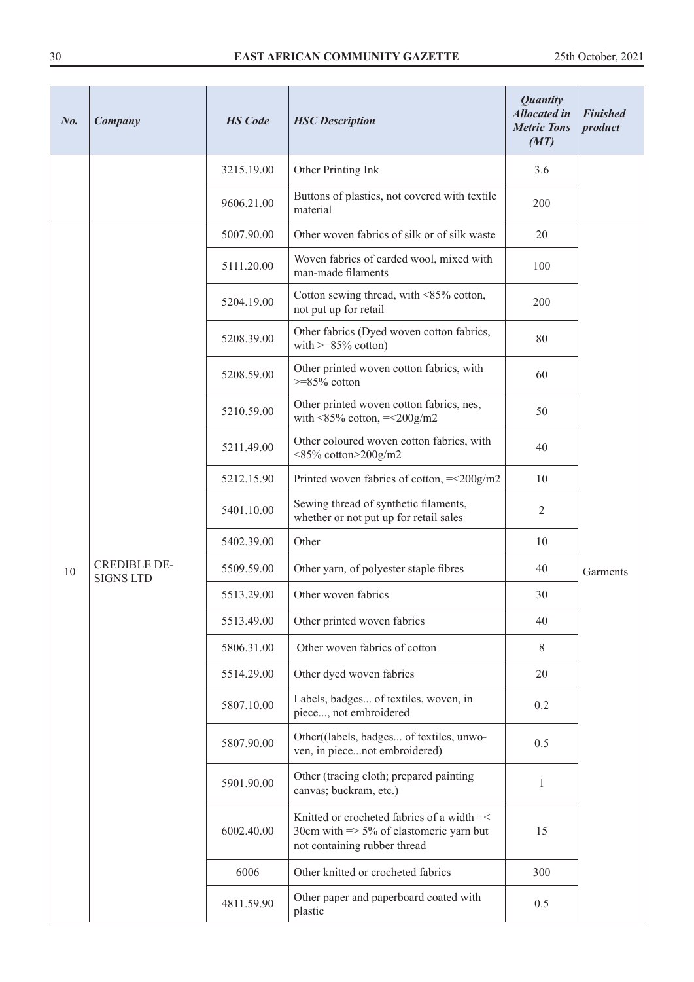| $N_{0}$ . | Company                                 | <b>HS</b> Code | <b>HSC</b> Description                                                                                                           | <b>Quantity</b><br><b>Allocated in</b><br><b>Metric Tons</b><br>(MT) | <b>Finished</b><br>product |
|-----------|-----------------------------------------|----------------|----------------------------------------------------------------------------------------------------------------------------------|----------------------------------------------------------------------|----------------------------|
|           |                                         | 3215.19.00     | Other Printing Ink                                                                                                               | 3.6                                                                  |                            |
|           |                                         | 9606.21.00     | Buttons of plastics, not covered with textile<br>material                                                                        | 200                                                                  |                            |
|           |                                         | 5007.90.00     | Other woven fabrics of silk or of silk waste                                                                                     | 20                                                                   |                            |
|           |                                         | 5111.20.00     | Woven fabrics of carded wool, mixed with<br>man-made filaments                                                                   | 100                                                                  |                            |
|           |                                         | 5204.19.00     | Cotton sewing thread, with <85% cotton,<br>not put up for retail                                                                 | 200                                                                  |                            |
|           |                                         | 5208.39.00     | Other fabrics (Dyed woven cotton fabrics,<br>with $>=85\%$ cotton)                                                               | 80                                                                   |                            |
|           |                                         | 5208.59.00     | Other printed woven cotton fabrics, with<br>$>=85\%$ cotton                                                                      | 60                                                                   |                            |
|           |                                         | 5210.59.00     | Other printed woven cotton fabrics, nes,<br>with $\leq$ 85% cotton, $=\leq$ 200g/m2                                              | 50                                                                   |                            |
|           |                                         | 5211.49.00     | Other coloured woven cotton fabrics, with<br><85% cotton>200g/m2                                                                 | 40                                                                   |                            |
|           |                                         | 5212.15.90     | Printed woven fabrics of cotton, $=<200g/m2$                                                                                     | 10                                                                   |                            |
|           |                                         | 5401.10.00     | Sewing thread of synthetic filaments,<br>whether or not put up for retail sales                                                  | $\overline{2}$                                                       |                            |
|           |                                         | 5402.39.00     | Other                                                                                                                            | 10                                                                   |                            |
| 10        | <b>CREDIBLE DE-</b><br><b>SIGNS LTD</b> | 5509.59.00     | Other yarn, of polyester staple fibres                                                                                           | 40                                                                   | Garments                   |
|           |                                         | 5513.29.00     | Other woven fabrics                                                                                                              | 30                                                                   |                            |
|           |                                         | 5513.49.00     | Other printed woven fabrics                                                                                                      | 40                                                                   |                            |
|           |                                         | 5806.31.00     | Other woven fabrics of cotton                                                                                                    | 8                                                                    |                            |
|           |                                         | 5514.29.00     | Other dyed woven fabrics                                                                                                         | 20                                                                   |                            |
|           |                                         | 5807.10.00     | Labels, badges of textiles, woven, in<br>piece, not embroidered                                                                  | 0.2                                                                  |                            |
|           |                                         | 5807.90.00     | Other((labels, badges of textiles, unwo-<br>ven, in piecenot embroidered)                                                        | 0.5                                                                  |                            |
|           |                                         | 5901.90.00     | Other (tracing cloth; prepared painting<br>canvas; buckram, etc.)                                                                | 1                                                                    |                            |
|           |                                         | 6002.40.00     | Knitted or crocheted fabrics of a width =<<br>30cm with $\Rightarrow$ 5% of elastomeric yarn but<br>not containing rubber thread | 15                                                                   |                            |
|           |                                         | 6006           | Other knitted or crocheted fabrics                                                                                               | 300                                                                  |                            |
|           |                                         | 4811.59.90     | Other paper and paperboard coated with<br>plastic                                                                                | 0.5                                                                  |                            |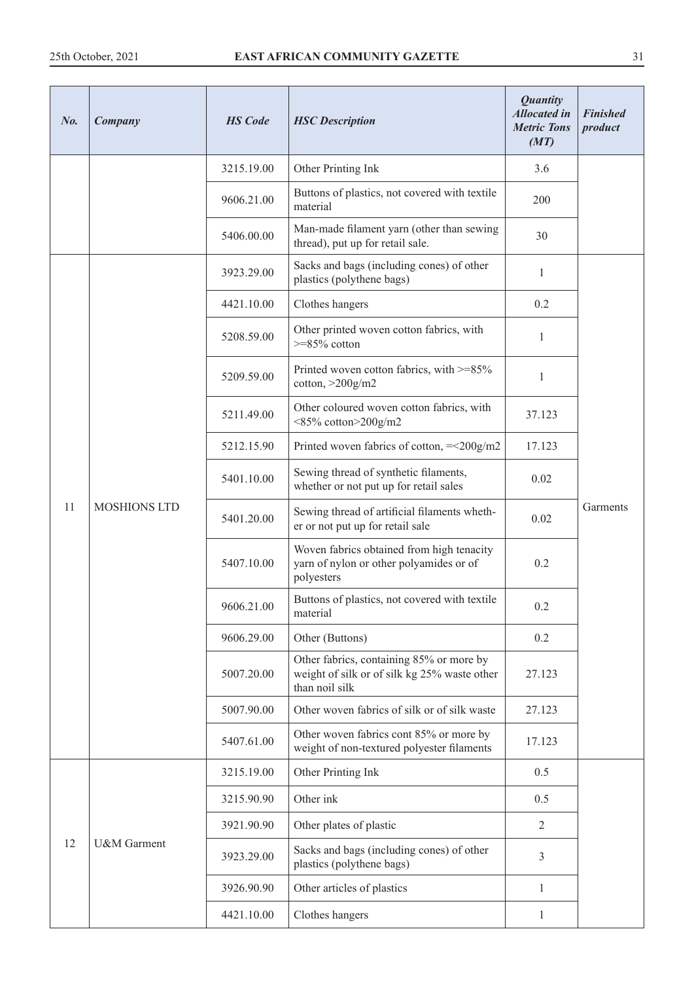| No. | Company             | <b>HS</b> Code | <b>HSC</b> Description                                                                                     | <b>Quantity</b><br><b>Allocated in</b><br><b>Metric Tons</b><br>(MT) | <b>Finished</b><br>product |
|-----|---------------------|----------------|------------------------------------------------------------------------------------------------------------|----------------------------------------------------------------------|----------------------------|
|     |                     | 3215.19.00     | Other Printing Ink                                                                                         | 3.6                                                                  |                            |
|     |                     | 9606.21.00     | Buttons of plastics, not covered with textile<br>material                                                  | 200                                                                  |                            |
|     |                     | 5406.00.00     | Man-made filament yarn (other than sewing<br>thread), put up for retail sale.                              | 30                                                                   |                            |
|     |                     | 3923.29.00     | Sacks and bags (including cones) of other<br>plastics (polythene bags)                                     | 1                                                                    |                            |
|     |                     | 4421.10.00     | Clothes hangers                                                                                            | 0.2                                                                  |                            |
|     |                     | 5208.59.00     | Other printed woven cotton fabrics, with<br>$>=85\%$ cotton                                                | 1                                                                    |                            |
|     |                     | 5209.59.00     | Printed woven cotton fabrics, with >=85%<br>$\cot$ ton, $>$ 200 $\frac{g}{m2}$                             | $\,1$                                                                |                            |
|     | <b>MOSHIONS LTD</b> | 5211.49.00     | Other coloured woven cotton fabrics, with<br><85% cotton>200g/m2                                           | 37.123                                                               |                            |
|     |                     | 5212.15.90     | Printed woven fabrics of cotton, $=<200g/m2$                                                               | 17.123                                                               |                            |
|     |                     | 5401.10.00     | Sewing thread of synthetic filaments,<br>whether or not put up for retail sales                            | 0.02                                                                 |                            |
| 11  |                     | 5401.20.00     | Sewing thread of artificial filaments wheth-<br>er or not put up for retail sale                           | 0.02                                                                 | Garments                   |
|     |                     | 5407.10.00     | Woven fabrics obtained from high tenacity<br>yarn of nylon or other polyamides or of<br>polyesters         | 0.2                                                                  |                            |
|     |                     | 9606.21.00     | Buttons of plastics, not covered with textile<br>material                                                  | 0.2                                                                  |                            |
|     |                     | 9606.29.00     | Other (Buttons)                                                                                            | 0.2                                                                  |                            |
|     |                     | 5007.20.00     | Other fabrics, containing 85% or more by<br>weight of silk or of silk kg 25% waste other<br>than noil silk | 27.123                                                               |                            |
|     |                     | 5007.90.00     | Other woven fabrics of silk or of silk waste                                                               | 27.123                                                               |                            |
|     |                     | 5407.61.00     | Other woven fabrics cont 85% or more by<br>weight of non-textured polyester filaments                      | 17.123                                                               |                            |
|     |                     | 3215.19.00     | Other Printing Ink                                                                                         | 0.5                                                                  |                            |
|     |                     | 3215.90.90     | Other ink                                                                                                  | 0.5                                                                  |                            |
|     |                     | 3921.90.90     | Other plates of plastic                                                                                    | 2                                                                    |                            |
| 12  | U&M Garment         | 3923.29.00     | Sacks and bags (including cones) of other<br>plastics (polythene bags)                                     | 3                                                                    |                            |
|     |                     | 3926.90.90     | Other articles of plastics                                                                                 | $\mathbf{1}$                                                         |                            |
|     |                     | 4421.10.00     | Clothes hangers                                                                                            | $\mathbf{1}$                                                         |                            |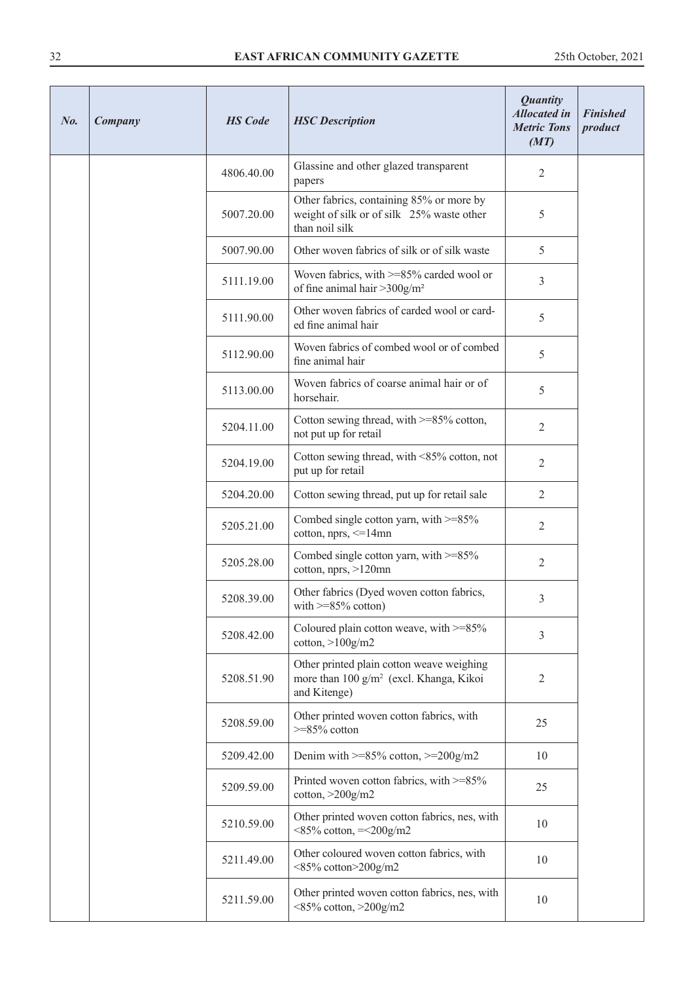| No. | Company | <b>HS</b> Code | <b>HSC</b> Description                                                                                           | <b>Quantity</b><br><b>Allocated in</b><br><b>Metric Tons</b><br>(MT) | <b>Finished</b><br>product |
|-----|---------|----------------|------------------------------------------------------------------------------------------------------------------|----------------------------------------------------------------------|----------------------------|
|     |         | 4806.40.00     | Glassine and other glazed transparent<br>papers                                                                  | $\overline{2}$                                                       |                            |
|     |         | 5007.20.00     | Other fabrics, containing 85% or more by<br>weight of silk or of silk 25% waste other<br>than noil silk          | 5                                                                    |                            |
|     |         | 5007.90.00     | Other woven fabrics of silk or of silk waste                                                                     | 5                                                                    |                            |
|     |         | 5111.19.00     | Woven fabrics, with >=85% carded wool or<br>of fine animal hair $>$ 300g/m <sup>2</sup>                          | $\mathfrak{Z}$                                                       |                            |
|     |         | 5111.90.00     | Other woven fabrics of carded wool or card-<br>ed fine animal hair                                               | 5                                                                    |                            |
|     |         | 5112.90.00     | Woven fabrics of combed wool or of combed<br>fine animal hair                                                    | 5                                                                    |                            |
|     |         | 5113.00.00     | Woven fabrics of coarse animal hair or of<br>horsehair.                                                          | 5                                                                    |                            |
|     |         | 5204.11.00     | Cotton sewing thread, with >=85% cotton,<br>not put up for retail                                                | $\mathbf{2}$                                                         |                            |
|     |         | 5204.19.00     | Cotton sewing thread, with <85% cotton, not<br>put up for retail                                                 | $\overline{2}$                                                       |                            |
|     |         | 5204.20.00     | Cotton sewing thread, put up for retail sale                                                                     | $\overline{2}$                                                       |                            |
|     |         | 5205.21.00     | Combed single cotton yarn, with >=85%<br>cotton, nprs, <= 14mn                                                   | 2                                                                    |                            |
|     |         | 5205.28.00     | Combed single cotton yarn, with $>=85\%$<br>cotton, nprs, >120mn                                                 | $\mathfrak{2}$                                                       |                            |
|     |         | 5208.39.00     | Other fabrics (Dyed woven cotton fabrics,<br>with $>=85\%$ cotton)                                               | 3                                                                    |                            |
|     |         | 5208.42.00     | Coloured plain cotton weave, with $>=85\%$<br>$\cot$ <sub>ton,</sub> $>100$ g/m2                                 | 3                                                                    |                            |
|     |         | 5208.51.90     | Other printed plain cotton weave weighing<br>more than 100 g/m <sup>2</sup> (excl. Khanga, Kikoi<br>and Kitenge) | $\mathfrak{2}$                                                       |                            |
|     |         | 5208.59.00     | Other printed woven cotton fabrics, with<br>$>=85\%$ cotton                                                      | 25                                                                   |                            |
|     |         | 5209.42.00     | Denim with $>=85\%$ cotton, $>=200g/m2$                                                                          | 10                                                                   |                            |
|     |         | 5209.59.00     | Printed woven cotton fabrics, with >=85%<br>$\cot$ <sub>ton,</sub> $>$ 200 $\frac{g}{m}$ 2                       | 25                                                                   |                            |
|     |         | 5210.59.00     | Other printed woven cotton fabrics, nes, with<br>$<85\%$ cotton, $=<200g/m2$                                     | 10                                                                   |                            |
|     |         | 5211.49.00     | Other coloured woven cotton fabrics, with<br>$\leq$ 85% cotton $\geq$ 200g/m2                                    | 10                                                                   |                            |
|     |         | 5211.59.00     | Other printed woven cotton fabrics, nes, with<br>$<85\%$ cotton, $>200g/m2$                                      | 10                                                                   |                            |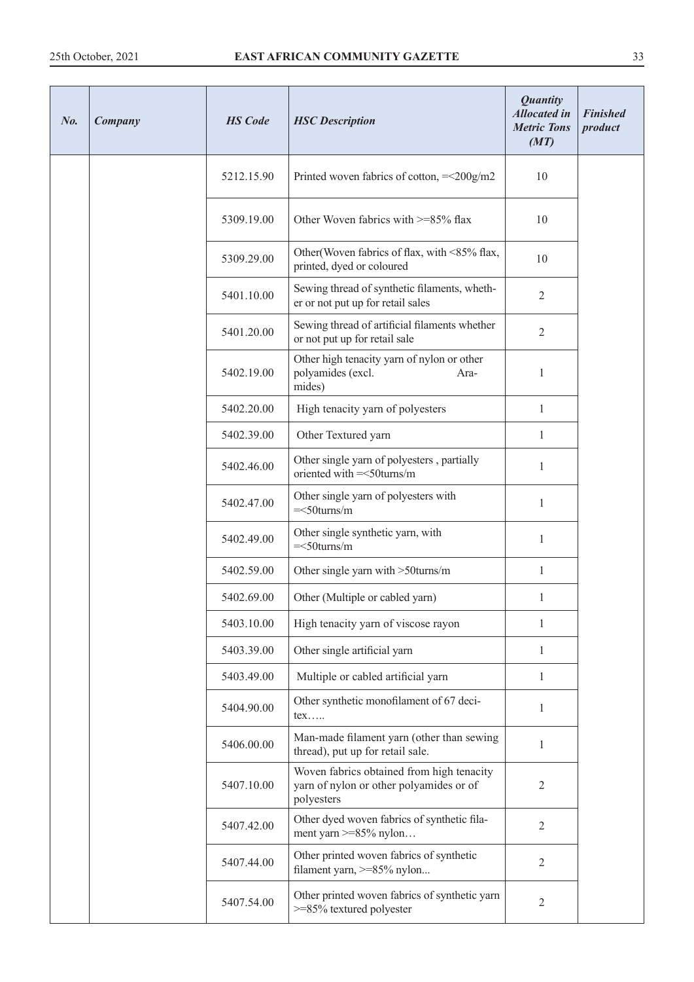| No. | Company | <b>HS</b> Code | <b>HSC</b> Description                                                                             | <b>Quantity</b><br><b>Allocated</b> in<br><b>Metric Tons</b><br>(MT) | <b>Finished</b><br>product |
|-----|---------|----------------|----------------------------------------------------------------------------------------------------|----------------------------------------------------------------------|----------------------------|
|     |         | 5212.15.90     | Printed woven fabrics of cotton, $=<200g/m2$                                                       | 10                                                                   |                            |
|     |         | 5309.19.00     | Other Woven fabrics with >=85% flax                                                                | 10                                                                   |                            |
|     |         | 5309.29.00     | Other (Woven fabrics of flax, with <85% flax,<br>printed, dyed or coloured                         | 10                                                                   |                            |
|     |         | 5401.10.00     | Sewing thread of synthetic filaments, wheth-<br>er or not put up for retail sales                  | $\mathfrak{2}$                                                       |                            |
|     |         | 5401.20.00     | Sewing thread of artificial filaments whether<br>or not put up for retail sale                     | $\mathfrak{2}$                                                       |                            |
|     |         | 5402.19.00     | Other high tenacity yarn of nylon or other<br>polyamides (excl.<br>Ara-<br>mides)                  | $\mathbf{1}$                                                         |                            |
|     |         | 5402.20.00     | High tenacity yarn of polyesters                                                                   | $\mathbf{1}$                                                         |                            |
|     |         | 5402.39.00     | Other Textured yarn                                                                                | $\mathbf{1}$                                                         |                            |
|     |         | 5402.46.00     | Other single yarn of polyesters, partially<br>oriented with $=$ <50 turns/m                        | 1                                                                    |                            |
|     |         | 5402.47.00     | Other single yarn of polyesters with<br>$=<50$ turns/m                                             | $\mathbf{1}$                                                         |                            |
|     |         | 5402.49.00     | Other single synthetic yarn, with<br>$=<50$ turns/m                                                | $\mathbf{1}$                                                         |                            |
|     |         | 5402.59.00     | Other single yarn with >50turns/m                                                                  | 1                                                                    |                            |
|     |         | 5402.69.00     | Other (Multiple or cabled yarn)                                                                    | 1                                                                    |                            |
|     |         | 5403.10.00     | High tenacity yarn of viscose rayon                                                                | 1                                                                    |                            |
|     |         | 5403.39.00     | Other single artificial yarn                                                                       | 1                                                                    |                            |
|     |         | 5403.49.00     | Multiple or cabled artificial yarn                                                                 | 1                                                                    |                            |
|     |         | 5404.90.00     | Other synthetic monofilament of 67 deci-<br>tex                                                    | $\mathbf{1}$                                                         |                            |
|     |         | 5406.00.00     | Man-made filament yarn (other than sewing<br>thread), put up for retail sale.                      | $\mathbf{1}$                                                         |                            |
|     |         | 5407.10.00     | Woven fabrics obtained from high tenacity<br>yarn of nylon or other polyamides or of<br>polyesters | $\overline{2}$                                                       |                            |
|     |         | 5407.42.00     | Other dyed woven fabrics of synthetic fila-<br>ment yarn $>= 85\%$ nylon                           | $\overline{2}$                                                       |                            |
|     |         | 5407.44.00     | Other printed woven fabrics of synthetic<br>filament yarn, >=85% nylon                             | $\mathfrak{2}$                                                       |                            |
|     |         | 5407.54.00     | Other printed woven fabrics of synthetic yarn<br>>=85% textured polyester                          | $\mathfrak{2}$                                                       |                            |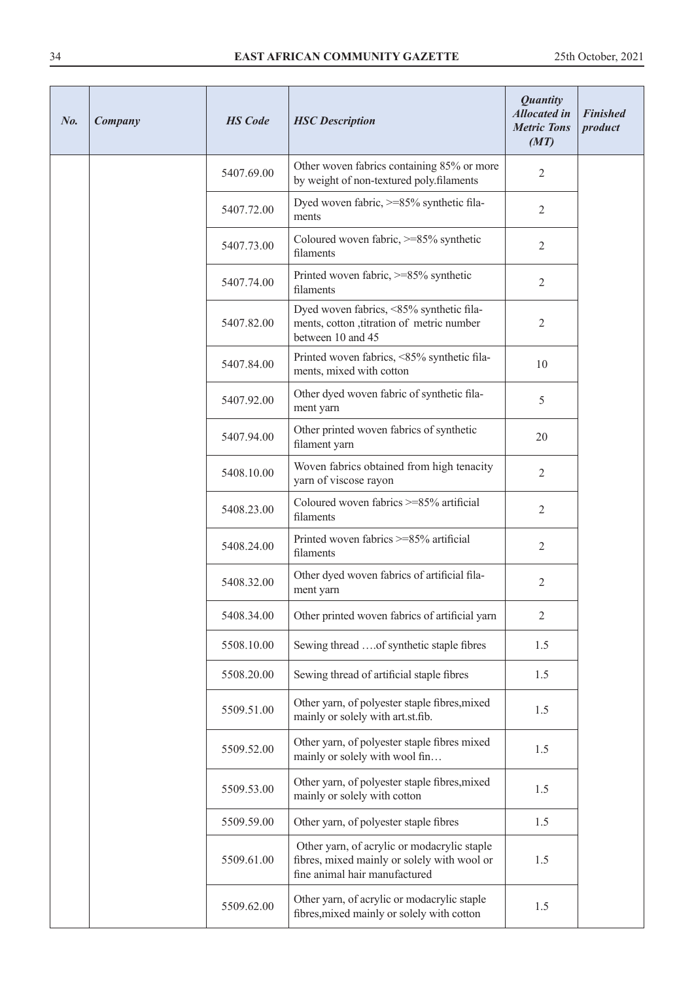| No. | Company | <b>HS</b> Code | <b>HSC</b> Description                                                                                                      | <b>Quantity</b><br><b>Allocated in</b><br><b>Metric Tons</b><br>(MT) | <b>Finished</b><br>product |
|-----|---------|----------------|-----------------------------------------------------------------------------------------------------------------------------|----------------------------------------------------------------------|----------------------------|
|     |         | 5407.69.00     | Other woven fabrics containing 85% or more<br>by weight of non-textured poly.filaments                                      | 2                                                                    |                            |
|     |         | 5407.72.00     | Dyed woven fabric, >=85% synthetic fila-<br>ments                                                                           | $\overline{2}$                                                       |                            |
|     |         | 5407.73.00     | Coloured woven fabric, >=85% synthetic<br>filaments                                                                         | 2                                                                    |                            |
|     |         | 5407.74.00     | Printed woven fabric, >=85% synthetic<br>filaments                                                                          | $\overline{2}$                                                       |                            |
|     |         | 5407.82.00     | Dyed woven fabrics, <85% synthetic fila-<br>ments, cotton , titration of metric number<br>between 10 and 45                 | 2                                                                    |                            |
|     |         | 5407.84.00     | Printed woven fabrics, <85% synthetic fila-<br>ments, mixed with cotton                                                     | 10                                                                   |                            |
|     |         | 5407.92.00     | Other dyed woven fabric of synthetic fila-<br>ment yarn                                                                     | 5                                                                    |                            |
|     |         | 5407.94.00     | Other printed woven fabrics of synthetic<br>filament yarn                                                                   | 20                                                                   |                            |
|     |         | 5408.10.00     | Woven fabrics obtained from high tenacity<br>yarn of viscose rayon                                                          | $\overline{2}$                                                       |                            |
|     |         | 5408.23.00     | Coloured woven fabrics >=85% artificial<br>filaments                                                                        | 2                                                                    |                            |
|     |         | 5408.24.00     | Printed woven fabrics >=85% artificial<br>filaments                                                                         | $\mathbf{2}$                                                         |                            |
|     |         | 5408.32.00     | Other dyed woven fabrics of artificial fila-<br>ment yarn                                                                   | 2                                                                    |                            |
|     |         | 5408.34.00     | Other printed woven fabrics of artificial yarn                                                                              | $\overline{2}$                                                       |                            |
|     |         | 5508.10.00     | Sewing thread of synthetic staple fibres                                                                                    | 1.5                                                                  |                            |
|     |         | 5508.20.00     | Sewing thread of artificial staple fibres                                                                                   | 1.5                                                                  |                            |
|     |         | 5509.51.00     | Other yarn, of polyester staple fibres, mixed<br>mainly or solely with art.st.fib.                                          | 1.5                                                                  |                            |
|     |         | 5509.52.00     | Other yarn, of polyester staple fibres mixed<br>mainly or solely with wool fin                                              | 1.5                                                                  |                            |
|     |         | 5509.53.00     | Other yarn, of polyester staple fibres, mixed<br>mainly or solely with cotton                                               | 1.5                                                                  |                            |
|     |         | 5509.59.00     | Other yarn, of polyester staple fibres                                                                                      | 1.5                                                                  |                            |
|     |         | 5509.61.00     | Other yarn, of acrylic or modacrylic staple<br>fibres, mixed mainly or solely with wool or<br>fine animal hair manufactured | 1.5                                                                  |                            |
|     |         | 5509.62.00     | Other yarn, of acrylic or modacrylic staple<br>fibres, mixed mainly or solely with cotton                                   | 1.5                                                                  |                            |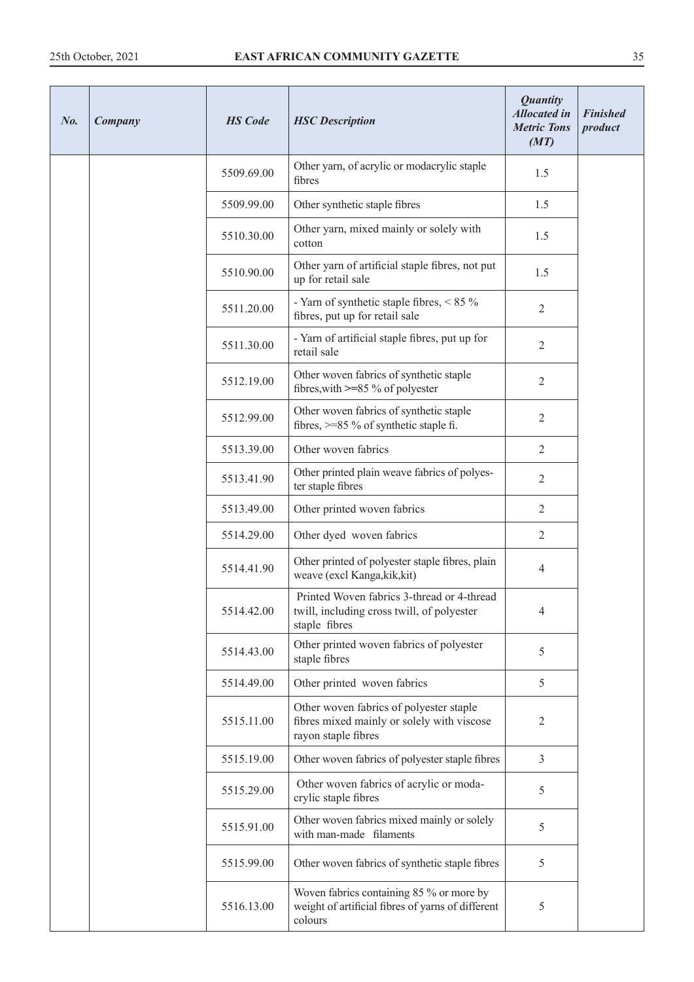| No. | Company | <b>HS</b> Code | <b>HSC</b> Description                                                                                       | <b>Quantity</b><br><b>Allocated</b> in<br><b>Metric Tons</b><br>(MT) | <b>Finished</b><br>product |
|-----|---------|----------------|--------------------------------------------------------------------------------------------------------------|----------------------------------------------------------------------|----------------------------|
|     |         | 5509.69.00     | Other yarn, of acrylic or modacrylic staple<br>fibres                                                        | 1.5                                                                  |                            |
|     |         | 5509.99.00     | Other synthetic staple fibres                                                                                | 1.5                                                                  |                            |
|     |         | 5510.30.00     | Other yarn, mixed mainly or solely with<br>cotton                                                            | 1.5                                                                  |                            |
|     |         | 5510.90.00     | Other yarn of artificial staple fibres, not put<br>up for retail sale                                        | 1.5                                                                  |                            |
|     |         | 5511.20.00     | - Yarn of synthetic staple fibres, $< 85 \%$<br>fibres, put up for retail sale                               | $\mathbf{2}$                                                         |                            |
|     |         | 5511.30.00     | - Yarn of artificial staple fibres, put up for<br>retail sale                                                | $\overline{2}$                                                       |                            |
|     |         | 5512.19.00     | Other woven fabrics of synthetic staple<br>fibres, with $\geq$ =85 % of polyester                            | $\overline{2}$                                                       |                            |
|     |         | 5512.99.00     | Other woven fabrics of synthetic staple<br>fibres, $>= 85 \%$ of synthetic staple fi.                        | $\overline{2}$                                                       |                            |
|     |         | 5513.39.00     | Other woven fabrics                                                                                          | $\overline{2}$                                                       |                            |
|     |         | 5513.41.90     | Other printed plain weave fabrics of polyes-<br>ter staple fibres                                            | $\overline{2}$                                                       |                            |
|     |         | 5513.49.00     | Other printed woven fabrics                                                                                  | $\overline{2}$                                                       |                            |
|     |         | 5514.29.00     | Other dyed woven fabrics                                                                                     | $\overline{2}$                                                       |                            |
|     |         | 5514.41.90     | Other printed of polyester staple fibres, plain<br>weave (excl Kanga, kik, kit)                              | 4                                                                    |                            |
|     |         | 5514.42.00     | Printed Woven fabrics 3-thread or 4-thread<br>twill, including cross twill, of polyester<br>staple fibres    | 4                                                                    |                            |
|     |         | 5514.43.00     | Other printed woven fabrics of polyester<br>staple fibres                                                    | 5                                                                    |                            |
|     |         | 5514.49.00     | Other printed woven fabrics                                                                                  | 5                                                                    |                            |
|     |         | 5515.11.00     | Other woven fabrics of polyester staple<br>fibres mixed mainly or solely with viscose<br>rayon staple fibres | $\overline{2}$                                                       |                            |
|     |         | 5515.19.00     | Other woven fabrics of polyester staple fibres                                                               | $\mathfrak{Z}$                                                       |                            |
|     |         | 5515.29.00     | Other woven fabrics of acrylic or moda-<br>crylic staple fibres                                              | 5                                                                    |                            |
|     |         | 5515.91.00     | Other woven fabrics mixed mainly or solely<br>with man-made filaments                                        | 5                                                                    |                            |
|     |         | 5515.99.00     | Other woven fabrics of synthetic staple fibres                                                               | 5                                                                    |                            |
|     |         | 5516.13.00     | Woven fabrics containing 85 % or more by<br>weight of artificial fibres of yarns of different<br>colours     | 5                                                                    |                            |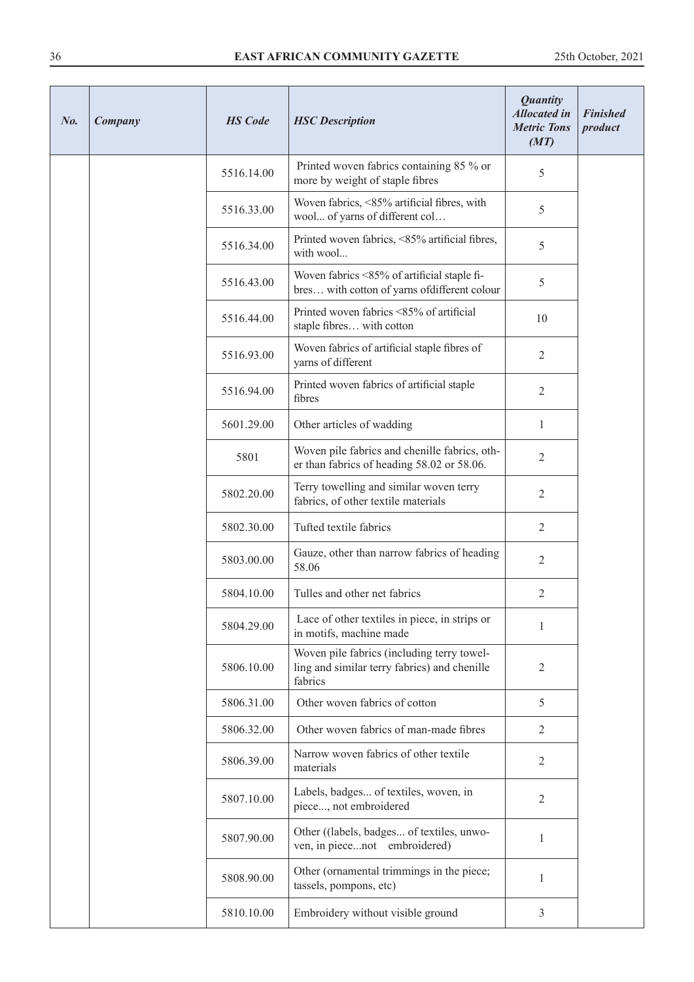| No. | Company | <b>HS</b> Code | <b>HSC</b> Description                                                                                | <b>Quantity</b><br><b>Allocated in</b><br><b>Metric Tons</b><br>(MT) | <b>Finished</b><br>product |
|-----|---------|----------------|-------------------------------------------------------------------------------------------------------|----------------------------------------------------------------------|----------------------------|
|     |         | 5516.14.00     | Printed woven fabrics containing 85 % or<br>more by weight of staple fibres                           | 5                                                                    |                            |
|     |         | 5516.33.00     | Woven fabrics, <85% artificial fibres, with<br>wool of yarns of different col                         | 5                                                                    |                            |
|     |         | 5516.34.00     | Printed woven fabrics, <85% artificial fibres,<br>with wool                                           | 5                                                                    |                            |
|     |         | 5516.43.00     | Woven fabrics <85% of artificial staple fi-<br>bres with cotton of yarns of different colour          | 5                                                                    |                            |
|     |         | 5516.44.00     | Printed woven fabrics <85% of artificial<br>staple fibres with cotton                                 | 10                                                                   |                            |
|     |         | 5516.93.00     | Woven fabrics of artificial staple fibres of<br>yarns of different                                    | 2                                                                    |                            |
|     |         | 5516.94.00     | Printed woven fabrics of artificial staple<br>fibres                                                  | $\overline{2}$                                                       |                            |
|     |         | 5601.29.00     | Other articles of wadding                                                                             | $\mathbf{1}$                                                         |                            |
|     |         | 5801           | Woven pile fabrics and chenille fabrics, oth-<br>er than fabrics of heading 58.02 or 58.06.           | $\overline{2}$                                                       |                            |
|     |         | 5802.20.00     | Terry towelling and similar woven terry<br>fabrics, of other textile materials                        | $\mathbf{2}$                                                         |                            |
|     |         | 5802.30.00     | Tufted textile fabrics                                                                                | $\overline{2}$                                                       |                            |
|     |         | 5803.00.00     | Gauze, other than narrow fabrics of heading<br>58.06                                                  | $\overline{2}$                                                       |                            |
|     |         | 5804.10.00     | Tulles and other net fabrics                                                                          | 2                                                                    |                            |
|     |         | 5804.29.00     | Lace of other textiles in piece, in strips or<br>in motifs, machine made                              | 1                                                                    |                            |
|     |         | 5806.10.00     | Woven pile fabrics (including terry towel-<br>ling and similar terry fabrics) and chenille<br>fabrics | $\mathbf{2}$                                                         |                            |
|     |         | 5806.31.00     | Other woven fabrics of cotton                                                                         | 5                                                                    |                            |
|     |         | 5806.32.00     | Other woven fabrics of man-made fibres                                                                | $\overline{2}$                                                       |                            |
|     |         | 5806.39.00     | Narrow woven fabrics of other textile<br>materials                                                    | $\overline{2}$                                                       |                            |
|     |         | 5807.10.00     | Labels, badges of textiles, woven, in<br>piece, not embroidered                                       | $\mathbf{2}$                                                         |                            |
|     |         | 5807.90.00     | Other ((labels, badges of textiles, unwo-<br>ven, in piecenot embroidered)                            | 1                                                                    |                            |
|     |         | 5808.90.00     | Other (ornamental trimmings in the piece;<br>tassels, pompons, etc)                                   | 1                                                                    |                            |
|     |         | 5810.10.00     | Embroidery without visible ground                                                                     | $\mathfrak{Z}$                                                       |                            |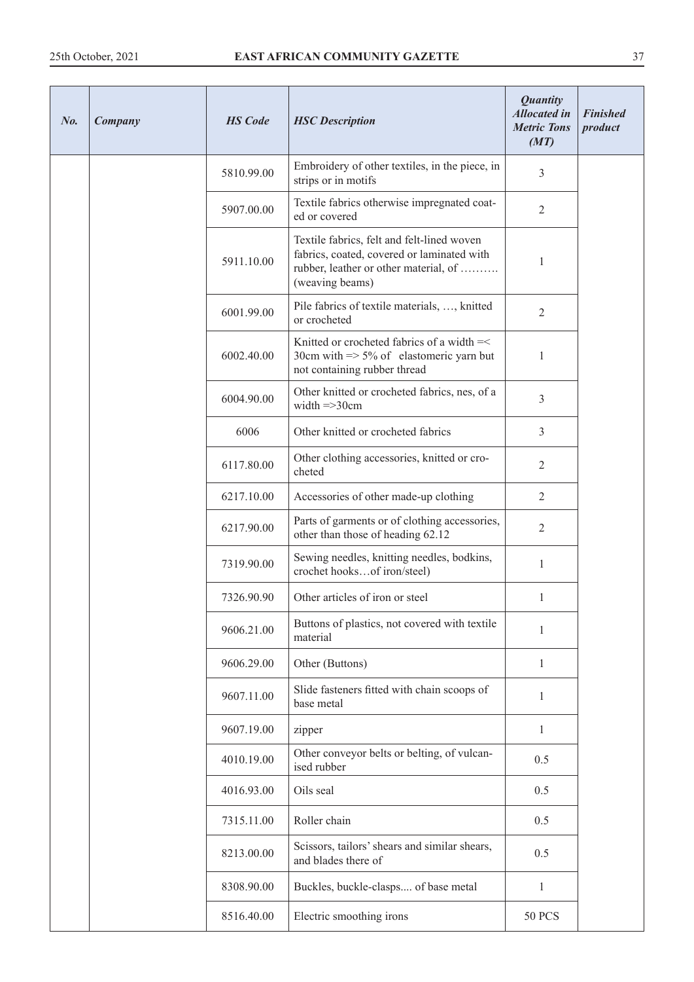| No. | Company | <b>HS</b> Code | <b>HSC</b> Description                                                                                                                               | <b>Quantity</b><br><b>Allocated in</b><br><b>Metric Tons</b><br>(MT) | <b>Finished</b><br>product |
|-----|---------|----------------|------------------------------------------------------------------------------------------------------------------------------------------------------|----------------------------------------------------------------------|----------------------------|
|     |         | 5810.99.00     | Embroidery of other textiles, in the piece, in<br>strips or in motifs                                                                                | 3                                                                    |                            |
|     |         | 5907.00.00     | Textile fabrics otherwise impregnated coat-<br>ed or covered                                                                                         | $\overline{2}$                                                       |                            |
|     |         | 5911.10.00     | Textile fabrics, felt and felt-lined woven<br>fabrics, coated, covered or laminated with<br>rubber, leather or other material, of<br>(weaving beams) | 1                                                                    |                            |
|     |         | 6001.99.00     | Pile fabrics of textile materials, , knitted<br>or crocheted                                                                                         | $\overline{2}$                                                       |                            |
|     |         | 6002.40.00     | Knitted or crocheted fabrics of a width =<<br>30cm with $\approx$ 5% of elastomeric yarn but<br>not containing rubber thread                         | 1                                                                    |                            |
|     |         | 6004.90.00     | Other knitted or crocheted fabrics, nes, of a<br>width $\Rightarrow$ 30cm                                                                            | $\mathfrak{Z}$                                                       |                            |
|     |         | 6006           | Other knitted or crocheted fabrics                                                                                                                   | $\mathfrak{Z}$                                                       |                            |
|     |         | 6117.80.00     | Other clothing accessories, knitted or cro-<br>cheted                                                                                                | $\mathfrak{2}$                                                       |                            |
|     |         | 6217.10.00     | Accessories of other made-up clothing                                                                                                                | $\overline{2}$                                                       |                            |
|     |         | 6217.90.00     | Parts of garments or of clothing accessories,<br>other than those of heading 62.12                                                                   | $\mathfrak{2}$                                                       |                            |
|     |         | 7319.90.00     | Sewing needles, knitting needles, bodkins,<br>crochet hooksof iron/steel)                                                                            | 1                                                                    |                            |
|     |         | 7326.90.90     | Other articles of iron or steel                                                                                                                      | 1                                                                    |                            |
|     |         | 9606.21.00     | Buttons of plastics, not covered with textile<br>material                                                                                            | 1                                                                    |                            |
|     |         | 9606.29.00     | Other (Buttons)                                                                                                                                      | $\mathbf{1}$                                                         |                            |
|     |         | 9607.11.00     | Slide fasteners fitted with chain scoops of<br>base metal                                                                                            | $\mathbf{1}$                                                         |                            |
|     |         | 9607.19.00     | zipper                                                                                                                                               | $\mathbf{1}$                                                         |                            |
|     |         | 4010.19.00     | Other conveyor belts or belting, of vulcan-<br>ised rubber                                                                                           | 0.5                                                                  |                            |
|     |         | 4016.93.00     | Oils seal                                                                                                                                            | 0.5                                                                  |                            |
|     |         | 7315.11.00     | Roller chain                                                                                                                                         | 0.5                                                                  |                            |
|     |         | 8213.00.00     | Scissors, tailors' shears and similar shears,<br>and blades there of                                                                                 | 0.5                                                                  |                            |
|     |         | 8308.90.00     | Buckles, buckle-clasps of base metal                                                                                                                 | 1                                                                    |                            |
|     |         | 8516.40.00     | Electric smoothing irons                                                                                                                             | <b>50 PCS</b>                                                        |                            |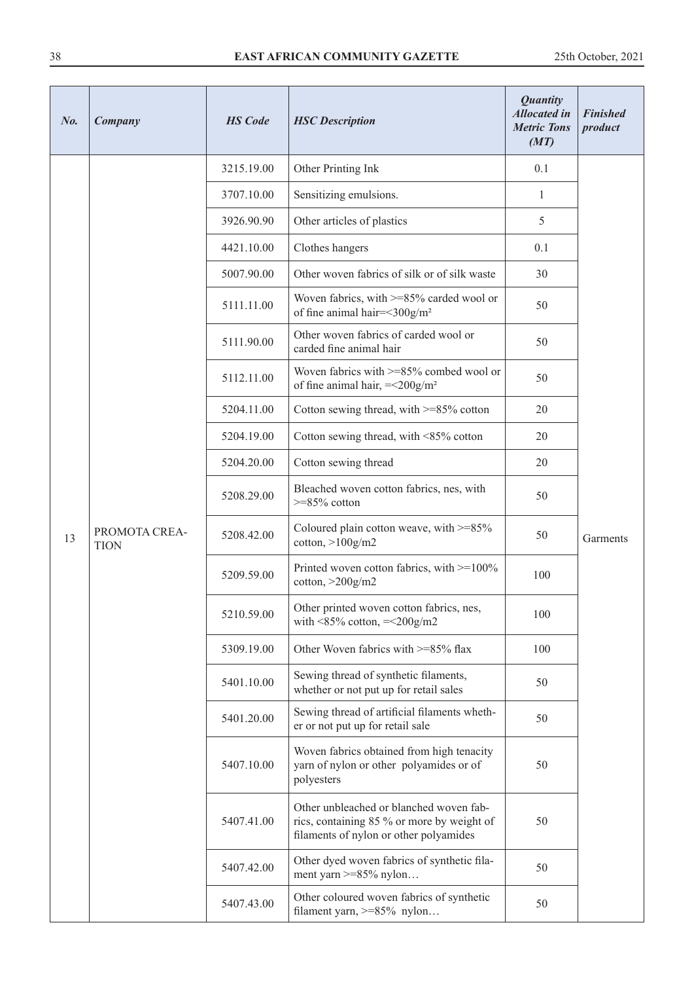| No. | Company                      | <b>HS</b> Code | <b>HSC</b> Description                                                                                                          | <b>Quantity</b><br><b>Allocated in</b><br><b>Metric Tons</b><br>(MT) | <b>Finished</b><br>product |
|-----|------------------------------|----------------|---------------------------------------------------------------------------------------------------------------------------------|----------------------------------------------------------------------|----------------------------|
|     |                              | 3215.19.00     | Other Printing Ink                                                                                                              | 0.1                                                                  |                            |
|     |                              | 3707.10.00     | Sensitizing emulsions.                                                                                                          | 1                                                                    |                            |
|     |                              | 3926.90.90     | Other articles of plastics                                                                                                      | 5                                                                    |                            |
|     |                              | 4421.10.00     | Clothes hangers                                                                                                                 | 0.1                                                                  |                            |
|     |                              | 5007.90.00     | Other woven fabrics of silk or of silk waste                                                                                    | 30                                                                   |                            |
|     |                              | 5111.11.00     | Woven fabrics, with $>= 85\%$ carded wool or<br>of fine animal hair=<300g/m <sup>2</sup>                                        | 50                                                                   |                            |
|     |                              | 5111.90.00     | Other woven fabrics of carded wool or<br>carded fine animal hair                                                                | 50                                                                   |                            |
|     |                              | 5112.11.00     | Woven fabrics with $>= 85\%$ combed wool or<br>of fine animal hair, $=<200g/m2$                                                 | 50                                                                   |                            |
|     |                              | 5204.11.00     | Cotton sewing thread, with >=85% cotton                                                                                         | 20                                                                   |                            |
|     | PROMOTA CREA-<br><b>TION</b> | 5204.19.00     | Cotton sewing thread, with <85% cotton                                                                                          | 20                                                                   | Garments                   |
|     |                              | 5204.20.00     | Cotton sewing thread                                                                                                            | 20                                                                   |                            |
|     |                              | 5208.29.00     | Bleached woven cotton fabrics, nes, with<br>$>=85\%$ cotton                                                                     | 50                                                                   |                            |
| 13  |                              | 5208.42.00     | Coloured plain cotton weave, with $>=85\%$<br>$\cot$ <sub>ton,</sub> $>100$ g/m2                                                | 50                                                                   |                            |
|     |                              | 5209.59.00     | Printed woven cotton fabrics, with $>=100\%$<br>cotton, $>200$ g/m2                                                             | 100                                                                  |                            |
|     |                              | 5210.59.00     | Other printed woven cotton fabrics, nes,<br>with $\leq$ 85% cotton, $=\leq$ 200g/m2                                             | 100                                                                  |                            |
|     |                              | 5309.19.00     | Other Woven fabrics with >=85% flax                                                                                             | 100                                                                  |                            |
|     |                              | 5401.10.00     | Sewing thread of synthetic filaments,<br>whether or not put up for retail sales                                                 | 50                                                                   |                            |
|     |                              | 5401.20.00     | Sewing thread of artificial filaments wheth-<br>er or not put up for retail sale                                                | 50                                                                   |                            |
|     |                              | 5407.10.00     | Woven fabrics obtained from high tenacity<br>yarn of nylon or other polyamides or of<br>polyesters                              | 50                                                                   |                            |
|     |                              | 5407.41.00     | Other unbleached or blanched woven fab-<br>rics, containing 85 % or more by weight of<br>filaments of nylon or other polyamides | 50                                                                   |                            |
|     |                              | 5407.42.00     | Other dyed woven fabrics of synthetic fila-<br>ment yarn $>= 85\%$ nylon                                                        | 50                                                                   |                            |
|     |                              | 5407.43.00     | Other coloured woven fabrics of synthetic<br>filament yarn, >=85% nylon                                                         | 50                                                                   |                            |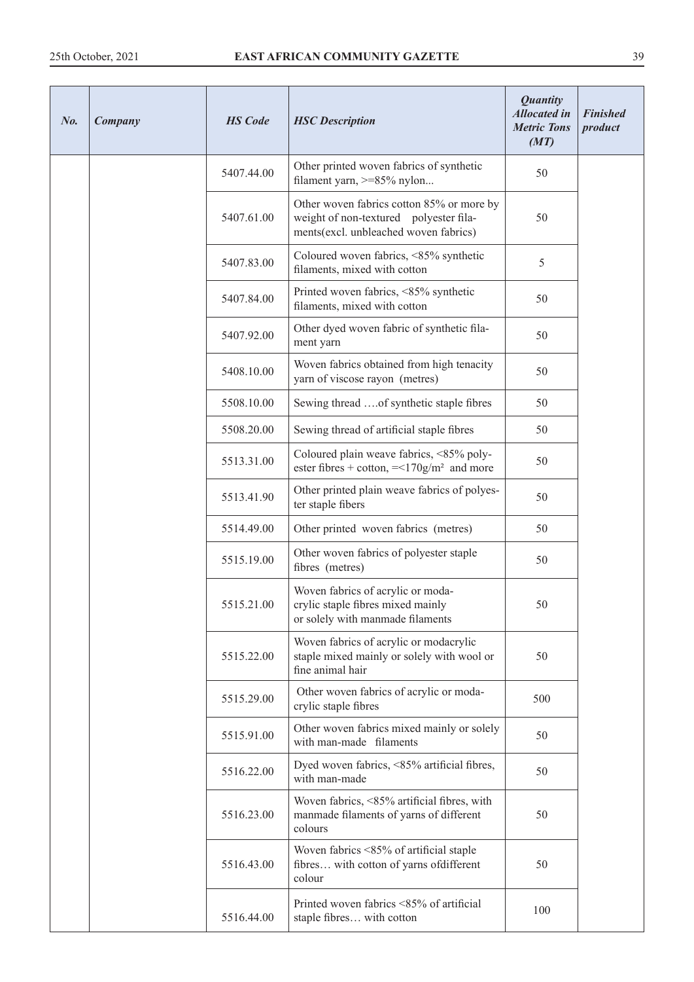| $N_{0}$ . | Company | <b>HS</b> Code | <b>HSC</b> Description                                                                                                       | <b>Quantity</b><br><b>Allocated in</b><br><b>Metric Tons</b><br>(MT) | <b>Finished</b><br>product |
|-----------|---------|----------------|------------------------------------------------------------------------------------------------------------------------------|----------------------------------------------------------------------|----------------------------|
|           |         | 5407.44.00     | Other printed woven fabrics of synthetic<br>filament yarn, >=85% nylon                                                       | 50                                                                   |                            |
|           |         | 5407.61.00     | Other woven fabrics cotton 85% or more by<br>weight of non-textured polyester fila-<br>ments(excl. unbleached woven fabrics) | 50                                                                   |                            |
|           |         | 5407.83.00     | Coloured woven fabrics, <85% synthetic<br>filaments, mixed with cotton                                                       | 5                                                                    |                            |
|           |         | 5407.84.00     | Printed woven fabrics, <85% synthetic<br>filaments, mixed with cotton                                                        | 50                                                                   |                            |
|           |         | 5407.92.00     | Other dyed woven fabric of synthetic fila-<br>ment yarn                                                                      | 50                                                                   |                            |
|           |         | 5408.10.00     | Woven fabrics obtained from high tenacity<br>yarn of viscose rayon (metres)                                                  | 50                                                                   |                            |
|           |         | 5508.10.00     | Sewing thread of synthetic staple fibres                                                                                     | 50                                                                   |                            |
|           |         | 5508.20.00     | Sewing thread of artificial staple fibres                                                                                    | 50                                                                   |                            |
|           |         | 5513.31.00     | Coloured plain weave fabrics, <85% poly-<br>ester fibres + cotton, $=<170g/m2$ and more                                      | 50                                                                   |                            |
|           |         | 5513.41.90     | Other printed plain weave fabrics of polyes-<br>ter staple fibers                                                            | 50                                                                   |                            |
|           |         | 5514.49.00     | Other printed woven fabrics (metres)                                                                                         | 50                                                                   |                            |
|           |         | 5515.19.00     | Other woven fabrics of polyester staple<br>fibres (metres)                                                                   | 50                                                                   |                            |
|           |         | 5515.21.00     | Woven fabrics of acrylic or moda-<br>crylic staple fibres mixed mainly<br>or solely with manmade filaments                   | 50                                                                   |                            |
|           |         | 5515.22.00     | Woven fabrics of acrylic or modacrylic<br>staple mixed mainly or solely with wool or<br>fine animal hair                     | 50                                                                   |                            |
|           |         | 5515.29.00     | Other woven fabrics of acrylic or moda-<br>crylic staple fibres                                                              | 500                                                                  |                            |
|           |         | 5515.91.00     | Other woven fabrics mixed mainly or solely<br>with man-made filaments                                                        | 50                                                                   |                            |
|           |         | 5516.22.00     | Dyed woven fabrics, <85% artificial fibres,<br>with man-made                                                                 | 50                                                                   |                            |
|           |         | 5516.23.00     | Woven fabrics, <85% artificial fibres, with<br>manmade filaments of yarns of different<br>colours                            | 50                                                                   |                            |
|           |         | 5516.43.00     | Woven fabrics <85% of artificial staple<br>fibres with cotton of yarns ofdifferent<br>colour                                 | 50                                                                   |                            |
|           |         | 5516.44.00     | Printed woven fabrics <85% of artificial<br>staple fibres with cotton                                                        | 100                                                                  |                            |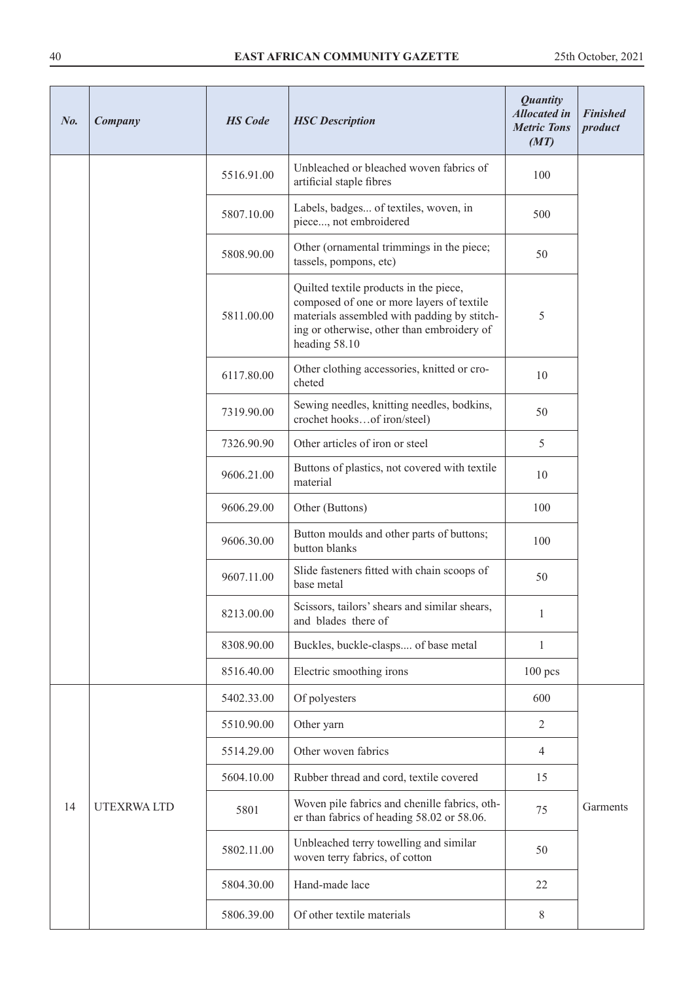| $N_{0}$ . | Company           | <b>HS</b> Code | <b>HSC</b> Description                                                                                                                                                                            | <b>Quantity</b><br><b>Allocated in</b><br><b>Metric Tons</b><br>(MT) | <b>Finished</b><br>product |
|-----------|-------------------|----------------|---------------------------------------------------------------------------------------------------------------------------------------------------------------------------------------------------|----------------------------------------------------------------------|----------------------------|
|           |                   | 5516.91.00     | Unbleached or bleached woven fabrics of<br>artificial staple fibres                                                                                                                               | 100                                                                  |                            |
|           |                   | 5807.10.00     | Labels, badges of textiles, woven, in<br>piece, not embroidered                                                                                                                                   | 500                                                                  |                            |
|           |                   | 5808.90.00     | Other (ornamental trimmings in the piece;<br>tassels, pompons, etc)                                                                                                                               | 50                                                                   |                            |
|           |                   | 5811.00.00     | Quilted textile products in the piece,<br>composed of one or more layers of textile<br>materials assembled with padding by stitch-<br>ing or otherwise, other than embroidery of<br>heading 58.10 | 5                                                                    |                            |
|           |                   | 6117.80.00     | Other clothing accessories, knitted or cro-<br>cheted                                                                                                                                             | 10                                                                   |                            |
|           |                   | 7319.90.00     | Sewing needles, knitting needles, bodkins,<br>crochet hooksof iron/steel)                                                                                                                         | 50                                                                   |                            |
|           |                   | 7326.90.90     | Other articles of iron or steel                                                                                                                                                                   | 5                                                                    |                            |
|           |                   | 9606.21.00     | Buttons of plastics, not covered with textile<br>material                                                                                                                                         | 10                                                                   |                            |
|           |                   | 9606.29.00     | Other (Buttons)                                                                                                                                                                                   | 100                                                                  |                            |
|           |                   | 9606.30.00     | Button moulds and other parts of buttons;<br>button blanks                                                                                                                                        | 100                                                                  |                            |
|           |                   | 9607.11.00     | Slide fasteners fitted with chain scoops of<br>base metal                                                                                                                                         | 50                                                                   |                            |
|           |                   | 8213.00.00     | Scissors, tailors' shears and similar shears,<br>and blades there of                                                                                                                              | 1                                                                    |                            |
|           |                   | 8308.90.00     | Buckles, buckle-clasps of base metal                                                                                                                                                              | $\mathbf{1}$                                                         |                            |
|           |                   | 8516.40.00     | Electric smoothing irons                                                                                                                                                                          | $100$ pcs                                                            |                            |
|           |                   | 5402.33.00     | Of polyesters                                                                                                                                                                                     | 600                                                                  |                            |
|           |                   | 5510.90.00     | Other yarn                                                                                                                                                                                        | $\overline{2}$                                                       |                            |
|           |                   | 5514.29.00     | Other woven fabrics                                                                                                                                                                               | $\overline{4}$                                                       |                            |
|           |                   | 5604.10.00     | Rubber thread and cord, textile covered                                                                                                                                                           | 15                                                                   |                            |
| 14        | <b>UTEXRWALTD</b> | 5801           | Woven pile fabrics and chenille fabrics, oth-<br>er than fabrics of heading 58.02 or 58.06.                                                                                                       | 75                                                                   | Garments                   |
|           |                   | 5802.11.00     | Unbleached terry towelling and similar<br>woven terry fabrics, of cotton                                                                                                                          | 50                                                                   |                            |
|           |                   | 5804.30.00     | Hand-made lace                                                                                                                                                                                    | 22                                                                   |                            |
|           |                   | 5806.39.00     | Of other textile materials                                                                                                                                                                        | 8                                                                    |                            |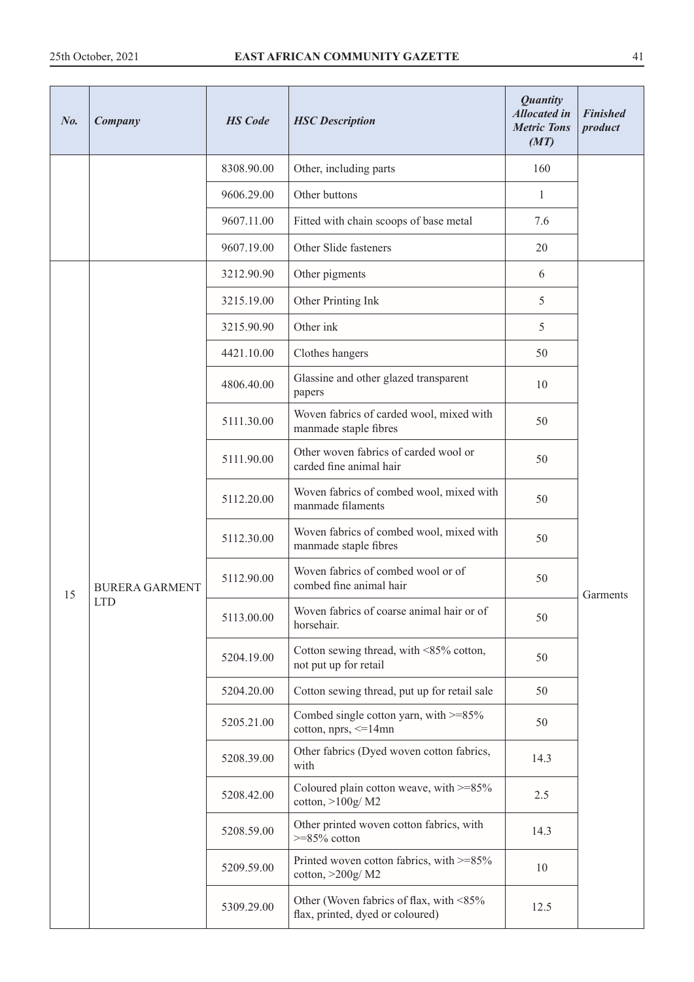| $N_{0}$ | Company               | <b>HS</b> Code | <b>HSC</b> Description                                                      | <b>Quantity</b><br><b>Allocated in</b><br><b>Metric Tons</b><br>(MT) | <b>Finished</b><br>product |
|---------|-----------------------|----------------|-----------------------------------------------------------------------------|----------------------------------------------------------------------|----------------------------|
|         |                       | 8308.90.00     | Other, including parts                                                      | 160                                                                  |                            |
|         |                       | 9606.29.00     | Other buttons                                                               | 1                                                                    |                            |
|         |                       | 9607.11.00     | Fitted with chain scoops of base metal                                      | 7.6                                                                  |                            |
|         |                       | 9607.19.00     | Other Slide fasteners                                                       | 20                                                                   |                            |
|         |                       | 3212.90.90     | Other pigments                                                              | 6                                                                    |                            |
|         |                       | 3215.19.00     | Other Printing Ink                                                          | 5                                                                    |                            |
|         |                       | 3215.90.90     | Other ink                                                                   | 5                                                                    |                            |
|         |                       | 4421.10.00     | Clothes hangers                                                             | 50                                                                   |                            |
|         |                       | 4806.40.00     | Glassine and other glazed transparent<br>papers                             | 10                                                                   |                            |
|         | <b>BURERA GARMENT</b> | 5111.30.00     | Woven fabrics of carded wool, mixed with<br>manmade staple fibres           | 50                                                                   |                            |
|         |                       | 5111.90.00     | Other woven fabrics of carded wool or<br>carded fine animal hair            | 50                                                                   | Garments                   |
|         |                       | 5112.20.00     | Woven fabrics of combed wool, mixed with<br>manmade filaments               | 50                                                                   |                            |
|         |                       | 5112.30.00     | Woven fabrics of combed wool, mixed with<br>manmade staple fibres           | 50                                                                   |                            |
| 15      |                       | 5112.90.00     | Woven fabrics of combed wool or of<br>combed fine animal hair               | 50                                                                   |                            |
|         | <b>LTD</b>            | 5113.00.00     | Woven fabrics of coarse animal hair or of<br>horsehair.                     | 50                                                                   |                            |
|         |                       | 5204.19.00     | Cotton sewing thread, with <85% cotton,<br>not put up for retail            | 50                                                                   |                            |
|         |                       | 5204.20.00     | Cotton sewing thread, put up for retail sale                                | 50                                                                   |                            |
|         |                       | 5205.21.00     | Combed single cotton yarn, with $>=85\%$<br>cotton, $nprs, \leq 14mn$       | 50                                                                   |                            |
|         |                       | 5208.39.00     | Other fabrics (Dyed woven cotton fabrics,<br>with                           | 14.3                                                                 |                            |
|         |                       | 5208.42.00     | Coloured plain cotton weave, with >=85%<br>cotton, $>100g/M2$               | 2.5                                                                  |                            |
|         |                       | 5208.59.00     | Other printed woven cotton fabrics, with<br>$>=85\%$ cotton                 | 14.3                                                                 |                            |
|         |                       | 5209.59.00     | Printed woven cotton fabrics, with >=85%<br>cotton, $>200g/M2$              | 10                                                                   |                            |
|         |                       | 5309.29.00     | Other (Woven fabrics of flax, with <85%<br>flax, printed, dyed or coloured) | 12.5                                                                 |                            |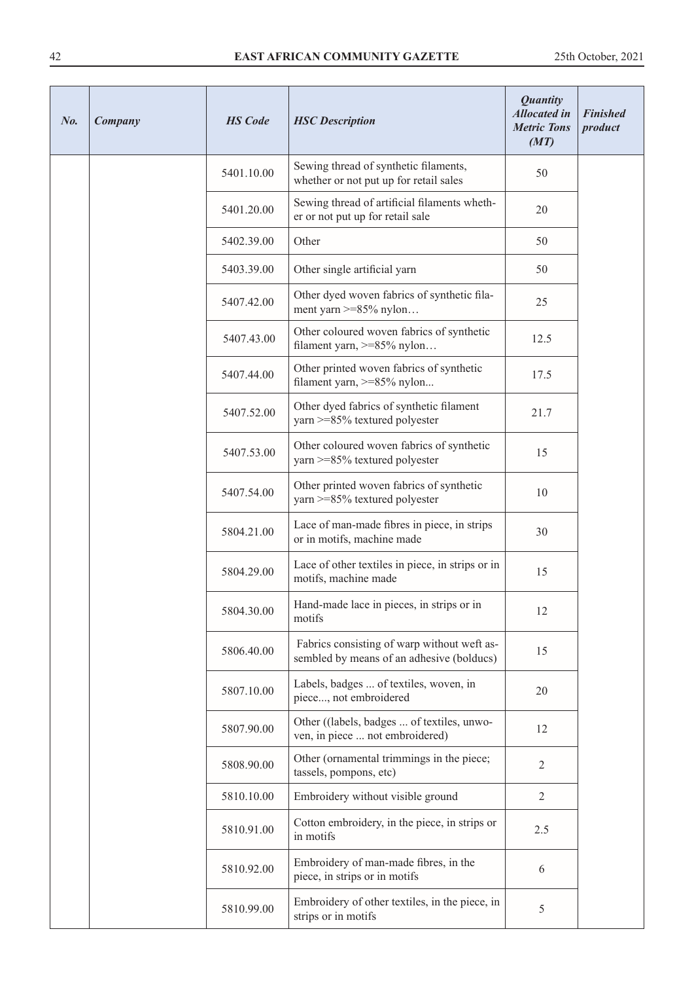| No. | Company | <b>HS</b> Code | <b>HSC</b> Description                                                                   | <b>Quantity</b><br><b>Allocated in</b><br><b>Metric Tons</b><br>(MT) | <b>Finished</b><br>product |
|-----|---------|----------------|------------------------------------------------------------------------------------------|----------------------------------------------------------------------|----------------------------|
|     |         | 5401.10.00     | Sewing thread of synthetic filaments,<br>whether or not put up for retail sales          | 50                                                                   |                            |
|     |         | 5401.20.00     | Sewing thread of artificial filaments wheth-<br>er or not put up for retail sale         | 20                                                                   |                            |
|     |         | 5402.39.00     | Other                                                                                    | 50                                                                   |                            |
|     |         | 5403.39.00     | Other single artificial yarn                                                             | 50                                                                   |                            |
|     |         | 5407.42.00     | Other dyed woven fabrics of synthetic fila-<br>ment yarn $>= 85\%$ nylon                 | 25                                                                   |                            |
|     |         | 5407.43.00     | Other coloured woven fabrics of synthetic<br>filament yarn, $>= 85\%$ nylon              | 12.5                                                                 |                            |
|     |         | 5407.44.00     | Other printed woven fabrics of synthetic<br>filament yarn, >=85% nylon                   | 17.5                                                                 |                            |
|     |         | 5407.52.00     | Other dyed fabrics of synthetic filament<br>yarn >=85% textured polyester                | 21.7                                                                 |                            |
|     |         | 5407.53.00     | Other coloured woven fabrics of synthetic<br>yarn >=85% textured polyester               | 15                                                                   |                            |
|     |         | 5407.54.00     | Other printed woven fabrics of synthetic<br>yarn >=85% textured polyester                | 10                                                                   |                            |
|     |         | 5804.21.00     | Lace of man-made fibres in piece, in strips<br>or in motifs, machine made                | 30                                                                   |                            |
|     |         | 5804.29.00     | Lace of other textiles in piece, in strips or in<br>motifs, machine made                 | 15                                                                   |                            |
|     |         | 5804.30.00     | Hand-made lace in pieces, in strips or in<br>motifs                                      | 12                                                                   |                            |
|     |         | 5806.40.00     | Fabrics consisting of warp without weft as-<br>sembled by means of an adhesive (bolducs) | 15                                                                   |                            |
|     |         | 5807.10.00     | Labels, badges  of textiles, woven, in<br>piece, not embroidered                         | 20                                                                   |                            |
|     |         | 5807.90.00     | Other ((labels, badges  of textiles, unwo-<br>ven, in piece  not embroidered)            | 12                                                                   |                            |
|     |         | 5808.90.00     | Other (ornamental trimmings in the piece;<br>tassels, pompons, etc)                      | $\overline{2}$                                                       |                            |
|     |         | 5810.10.00     | Embroidery without visible ground                                                        | $\overline{2}$                                                       |                            |
|     |         | 5810.91.00     | Cotton embroidery, in the piece, in strips or<br>in motifs                               | 2.5                                                                  |                            |
|     |         | 5810.92.00     | Embroidery of man-made fibres, in the<br>piece, in strips or in motifs                   | 6                                                                    |                            |
|     |         | 5810.99.00     | Embroidery of other textiles, in the piece, in<br>strips or in motifs                    | 5                                                                    |                            |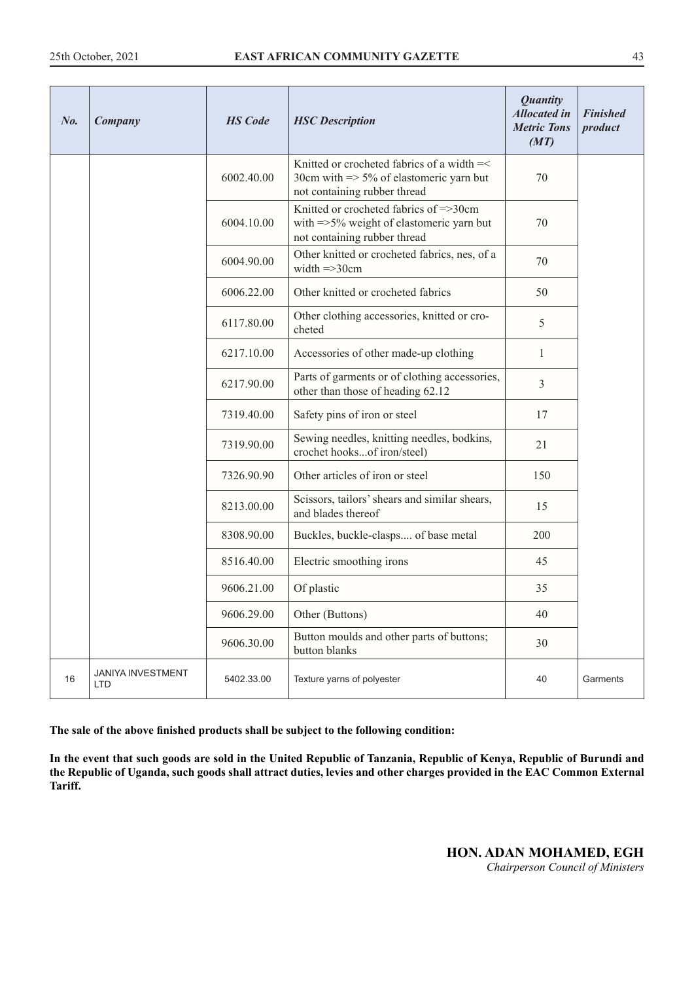| No. | Company                                | <b>HS</b> Code | <b>HSC</b> Description                                                                                                           | <b>Quantity</b><br><b>Allocated in</b><br><b>Metric Tons</b><br>(MT) | <b>Finished</b><br>product |
|-----|----------------------------------------|----------------|----------------------------------------------------------------------------------------------------------------------------------|----------------------------------------------------------------------|----------------------------|
|     |                                        | 6002.40.00     | Knitted or crocheted fabrics of a width =<<br>30cm with $\Rightarrow$ 5% of elastomeric yarn but<br>not containing rubber thread | 70                                                                   |                            |
|     |                                        | 6004.10.00     | Knitted or crocheted fabrics of =>30cm<br>with $\approx$ 5% weight of elastomeric yarn but<br>not containing rubber thread       | 70                                                                   |                            |
|     |                                        | 6004.90.00     | Other knitted or crocheted fabrics, nes, of a<br>width $\Rightarrow$ 30cm                                                        | 70                                                                   |                            |
|     |                                        | 6006.22.00     | Other knitted or crocheted fabrics                                                                                               | 50                                                                   |                            |
|     |                                        | 6117.80.00     | Other clothing accessories, knitted or cro-<br>cheted                                                                            | 5                                                                    |                            |
|     |                                        | 6217.10.00     | Accessories of other made-up clothing                                                                                            | 1                                                                    |                            |
|     |                                        | 6217.90.00     | Parts of garments or of clothing accessories,<br>other than those of heading 62.12                                               | $\overline{3}$                                                       |                            |
|     |                                        | 7319.40.00     | Safety pins of iron or steel                                                                                                     | 17                                                                   |                            |
|     |                                        | 7319.90.00     | Sewing needles, knitting needles, bodkins,<br>crochet hooksof iron/steel)                                                        | 21                                                                   |                            |
|     |                                        | 7326.90.90     | Other articles of iron or steel                                                                                                  | 150                                                                  |                            |
|     |                                        | 8213.00.00     | Scissors, tailors' shears and similar shears,<br>and blades thereof                                                              | 15                                                                   |                            |
|     |                                        | 8308.90.00     | Buckles, buckle-clasps of base metal                                                                                             | 200                                                                  |                            |
|     |                                        | 8516.40.00     | Electric smoothing irons                                                                                                         | 45                                                                   |                            |
|     |                                        | 9606.21.00     | Of plastic                                                                                                                       | 35                                                                   |                            |
|     |                                        | 9606.29.00     | Other (Buttons)                                                                                                                  | 40                                                                   |                            |
|     |                                        | 9606.30.00     | Button moulds and other parts of buttons;<br>button blanks                                                                       | 30                                                                   |                            |
| 16  | <b>JANIYA INVESTMENT</b><br><b>LTD</b> | 5402.33.00     | Texture yarns of polyester                                                                                                       | 40                                                                   | Garments                   |

**In the event that such goods are sold in the United Republic of Tanzania, Republic of Kenya, Republic of Burundi and the Republic of Uganda, such goods shall attract duties, levies and other charges provided in the EAC Common External Tariff.**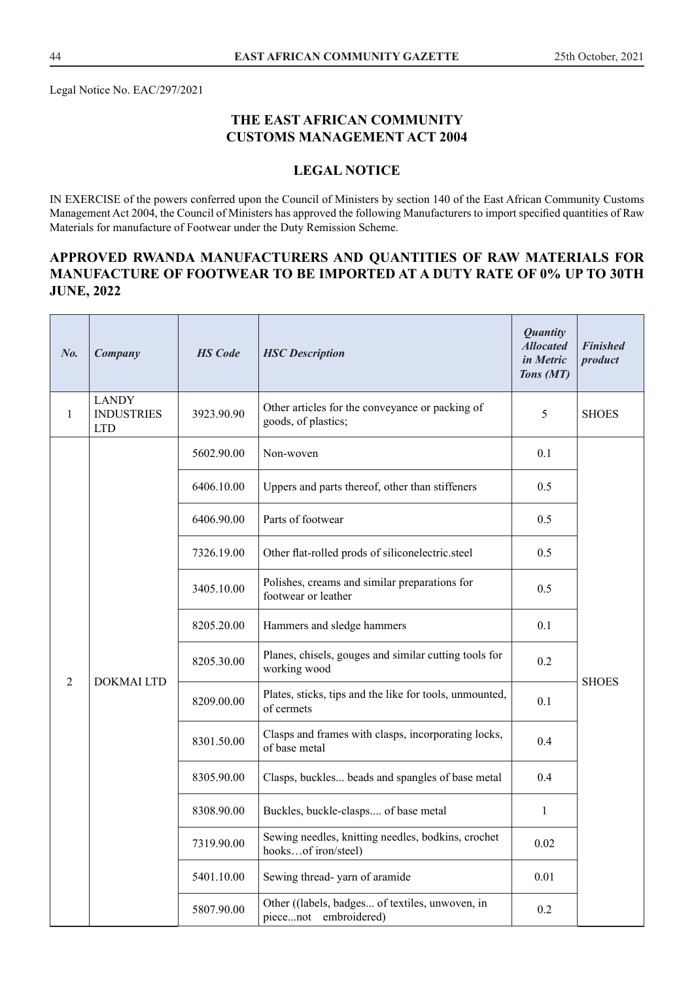Legal Notice No. EAC/297/2021

## **THE EAST AFRICAN COMMUNITY CUSTOMS MANAGEMENT ACT 2004**

## **LEGAL NOTICE**

IN EXERCISE of the powers conferred upon the Council of Ministers by section 140 of the East African Community Customs Management Act 2004, the Council of Ministers has approved the following Manufacturers to import specified quantities of Raw Materials for manufacture of Footwear under the Duty Remission Scheme.

## **APPROVED RWANDA MANUFACTURERS AND QUANTITIES OF RAW MATERIALS FOR MANUFACTURE OF FOOTWEAR TO BE IMPORTED AT A DUTY RATE OF 0% UP TO 30TH JUNE, 2022**

| $N_{0}$ . | Company                                         | <b>HS</b> Code | <b>HSC</b> Description                                                    | <b>Quantity</b><br><b>Allocated</b><br>in Metric<br>Tons (MT) | <b>Finished</b><br>product                                            |     |  |
|-----------|-------------------------------------------------|----------------|---------------------------------------------------------------------------|---------------------------------------------------------------|-----------------------------------------------------------------------|-----|--|
| 1         | <b>LANDY</b><br><b>INDUSTRIES</b><br><b>LTD</b> | 3923.90.90     | Other articles for the conveyance or packing of<br>goods, of plastics;    | 5                                                             | <b>SHOES</b>                                                          |     |  |
|           |                                                 | 5602.90.00     | Non-woven                                                                 | 0.1                                                           |                                                                       |     |  |
|           |                                                 | 6406.10.00     | Uppers and parts thereof, other than stiffeners                           | 0.5                                                           |                                                                       |     |  |
|           |                                                 | 6406.90.00     | Parts of footwear                                                         | 0.5                                                           |                                                                       |     |  |
|           | <b>DOKMAI LTD</b>                               | 7326.19.00     | Other flat-rolled prods of siliconelectric.steel                          | 0.5                                                           |                                                                       |     |  |
|           |                                                 | 3405.10.00     | Polishes, creams and similar preparations for<br>footwear or leather      | 0.5                                                           |                                                                       |     |  |
|           |                                                 | 8205.20.00     | Hammers and sledge hammers                                                | 0.1                                                           |                                                                       |     |  |
|           |                                                 |                |                                                                           | 8205.30.00                                                    | Planes, chisels, gouges and similar cutting tools for<br>working wood | 0.2 |  |
| 2         |                                                 | 8209.00.00     | Plates, sticks, tips and the like for tools, unmounted,<br>of cermets     | 0.1                                                           | <b>SHOES</b>                                                          |     |  |
|           |                                                 | 8301.50.00     | Clasps and frames with clasps, incorporating locks,<br>of base metal      | 0.4                                                           |                                                                       |     |  |
|           |                                                 | 8305.90.00     | Clasps, buckles beads and spangles of base metal                          | 0.4                                                           |                                                                       |     |  |
|           |                                                 | 8308.90.00     | Buckles, buckle-clasps of base metal                                      | $\mathbf{1}$                                                  |                                                                       |     |  |
|           |                                                 | 7319.90.00     | Sewing needles, knitting needles, bodkins, crochet<br>hooksof iron/steel) | 0.02                                                          |                                                                       |     |  |
|           |                                                 | 5401.10.00     | Sewing thread-yarn of aramide                                             | 0.01                                                          |                                                                       |     |  |
|           |                                                 | 5807.90.00     | Other ((labels, badges of textiles, unwoven, in<br>piecenot embroidered)  | 0.2                                                           |                                                                       |     |  |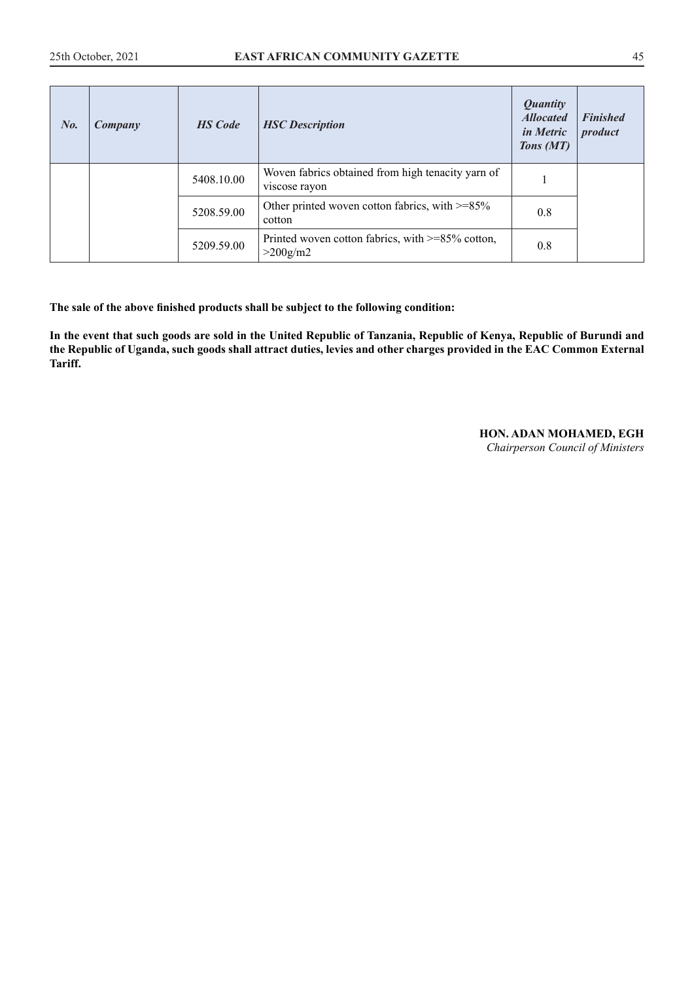| No. | Company | <b>HS</b> Code | <b>HSC</b> Description                                                | <b>Quantity</b><br><b>Allocated</b><br><i>in Metric</i><br>Tons (MT) | <b>Finished</b><br>product |
|-----|---------|----------------|-----------------------------------------------------------------------|----------------------------------------------------------------------|----------------------------|
|     |         | 5408.10.00     | Woven fabrics obtained from high tenacity yarn of<br>viscose rayon    |                                                                      |                            |
|     |         | 5208.59.00     | Other printed woven cotton fabrics, with $\geq$ =85%<br>cotton        | 0.8                                                                  |                            |
|     |         | 5209.59.00     | Printed woven cotton fabrics, with $\geq$ =85% cotton,<br>$>200$ g/m2 | 0.8                                                                  |                            |

**In the event that such goods are sold in the United Republic of Tanzania, Republic of Kenya, Republic of Burundi and the Republic of Uganda, such goods shall attract duties, levies and other charges provided in the EAC Common External Tariff.**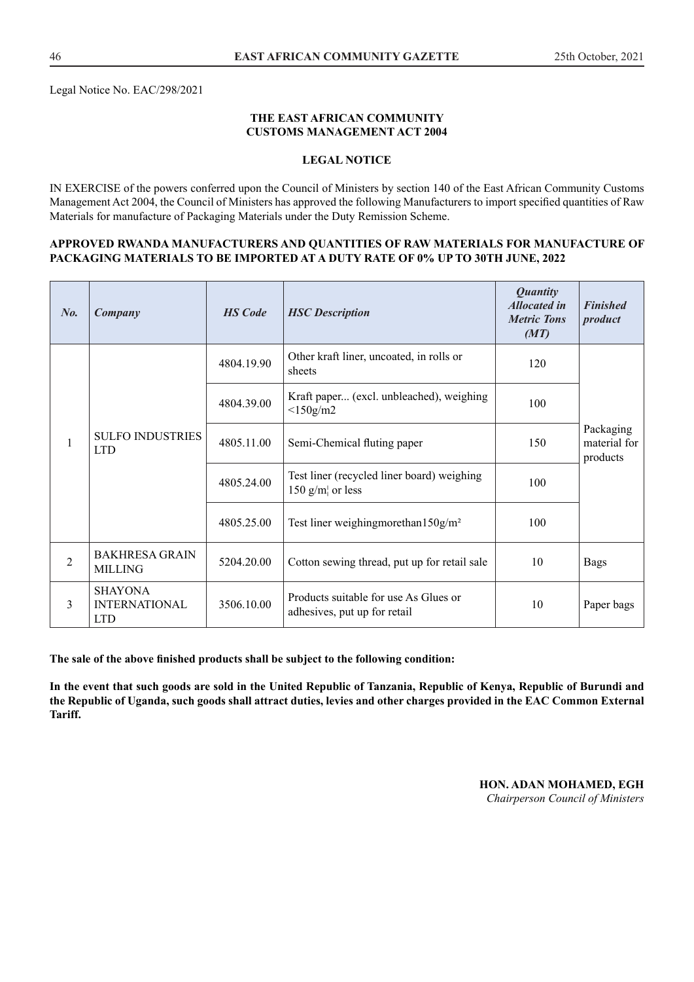Legal Notice No. EAC/298/2021

#### **THE EAST AFRICAN COMMUNITY CUSTOMS MANAGEMENT ACT 2004**

#### **LEGAL NOTICE**

IN EXERCISE of the powers conferred upon the Council of Ministers by section 140 of the East African Community Customs Management Act 2004, the Council of Ministers has approved the following Manufacturers to import specified quantities of Raw Materials for manufacture of Packaging Materials under the Duty Remission Scheme.

#### **APPROVED RWANDA MANUFACTURERS AND QUANTITIES OF RAW MATERIALS FOR MANUFACTURE OF PACKAGING MATERIALS TO BE IMPORTED AT A DUTY RATE OF 0% UP TO 30TH JUNE, 2022**

| $N_{0}$ .      | Company                                              | <b>HS</b> Code | <b>HSC</b> Description                                                | <b>Quantity</b><br><b>Allocated in</b><br><b>Metric Tons</b><br>(MT) | <b>Finished</b><br>product            |
|----------------|------------------------------------------------------|----------------|-----------------------------------------------------------------------|----------------------------------------------------------------------|---------------------------------------|
| 1              | <b>SULFO INDUSTRIES</b><br><b>LTD</b>                | 4804.19.90     | Other kraft liner, uncoated, in rolls or<br>sheets                    | 120                                                                  |                                       |
|                |                                                      | 4804.39.00     | Kraft paper (excl. unbleached), weighing<br>$<$ 150g/m2               | 100                                                                  |                                       |
|                |                                                      | 4805.11.00     | Semi-Chemical fluting paper                                           | 150                                                                  | Packaging<br>material for<br>products |
|                |                                                      | 4805.24.00     | Test liner (recycled liner board) weighing<br>150 $g/m$ or less       | 100                                                                  |                                       |
|                |                                                      | 4805.25.00     | Test liner weighing more than $150$ g/m <sup>2</sup>                  | 100                                                                  |                                       |
| $\overline{2}$ | <b>BAKHRESA GRAIN</b><br>MILLING                     | 5204.20.00     | Cotton sewing thread, put up for retail sale                          | 10                                                                   | <b>Bags</b>                           |
| 3              | <b>SHAYONA</b><br><b>INTERNATIONAL</b><br><b>LTD</b> | 3506.10.00     | Products suitable for use As Glues or<br>adhesives, put up for retail | 10                                                                   | Paper bags                            |

**The sale of the above finished products shall be subject to the following condition:**

**In the event that such goods are sold in the United Republic of Tanzania, Republic of Kenya, Republic of Burundi and the Republic of Uganda, such goods shall attract duties, levies and other charges provided in the EAC Common External Tariff.**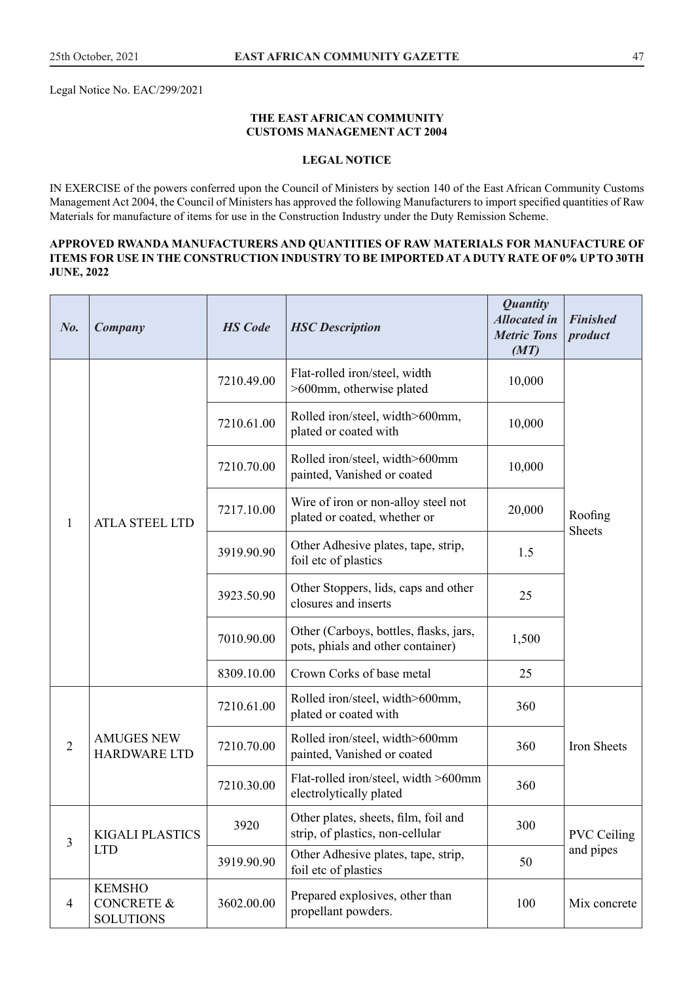Legal Notice No. EAC/299/2021

#### **THE EAST AFRICAN COMMUNITY CUSTOMS MANAGEMENT ACT 2004**

#### **LEGAL NOTICE**

IN EXERCISE of the powers conferred upon the Council of Ministers by section 140 of the East African Community Customs Management Act 2004, the Council of Ministers has approved the following Manufacturers to import specified quantities of Raw Materials for manufacture of items for use in the Construction Industry under the Duty Remission Scheme.

#### **APPROVED RWANDA MANUFACTURERS AND QUANTITIES OF RAW MATERIALS FOR MANUFACTURE OF ITEMS FOR USE IN THE CONSTRUCTION INDUSTRY TO BE IMPORTED AT A DUTY RATE OF 0% UP TO 30TH JUNE, 2022**

| No.            | Company                                                    | <b>HS</b> Code | <b>HSC</b> Description                                                      | <b>Quantity</b><br><b>Allocated</b> in<br><b>Metric Tons</b><br>(MT) | <b>Finished</b><br>product |
|----------------|------------------------------------------------------------|----------------|-----------------------------------------------------------------------------|----------------------------------------------------------------------|----------------------------|
|                |                                                            | 7210.49.00     | Flat-rolled iron/steel, width<br>>600mm, otherwise plated                   | 10,000                                                               |                            |
|                |                                                            | 7210.61.00     | Rolled iron/steel, width>600mm,<br>plated or coated with                    | 10,000                                                               |                            |
|                |                                                            | 7210.70.00     | Rolled iron/steel, width>600mm<br>painted, Vanished or coated               | 10,000                                                               |                            |
| $\mathbf{1}$   | <b>ATLA STEEL LTD</b>                                      | 7217.10.00     | Wire of iron or non-alloy steel not<br>plated or coated, whether or         | 20,000                                                               | Roofing                    |
|                |                                                            | 3919.90.90     | Other Adhesive plates, tape, strip,<br>foil etc of plastics                 | 1.5                                                                  | <b>Sheets</b>              |
|                |                                                            | 3923.50.90     | Other Stoppers, lids, caps and other<br>closures and inserts                | 25                                                                   |                            |
|                |                                                            | 7010.90.00     | Other (Carboys, bottles, flasks, jars,<br>pots, phials and other container) | 1,500                                                                |                            |
|                |                                                            | 8309.10.00     | Crown Corks of base metal                                                   | 25                                                                   |                            |
|                |                                                            | 7210.61.00     | Rolled iron/steel, width>600mm,<br>plated or coated with                    | 360                                                                  |                            |
| $\overline{2}$ | <b>AMUGES NEW</b><br><b>HARDWARE LTD</b>                   | 7210.70.00     | Rolled iron/steel, width>600mm<br>painted, Vanished or coated               | 360                                                                  | Iron Sheets                |
|                |                                                            | 7210.30.00     | Flat-rolled iron/steel, width >600mm<br>electrolytically plated             | 360                                                                  |                            |
| $\overline{3}$ | <b>KIGALI PLASTICS</b>                                     | 3920           | Other plates, sheets, film, foil and<br>strip, of plastics, non-cellular    | 300                                                                  | <b>PVC Ceiling</b>         |
|                | <b>LTD</b>                                                 | 3919.90.90     | Other Adhesive plates, tape, strip,<br>foil etc of plastics                 | 50                                                                   | and pipes                  |
| $\overline{4}$ | <b>KEMSHO</b><br><b>CONCRETE &amp;</b><br><b>SOLUTIONS</b> | 3602.00.00     | Prepared explosives, other than<br>propellant powders.                      | 100                                                                  | Mix concrete               |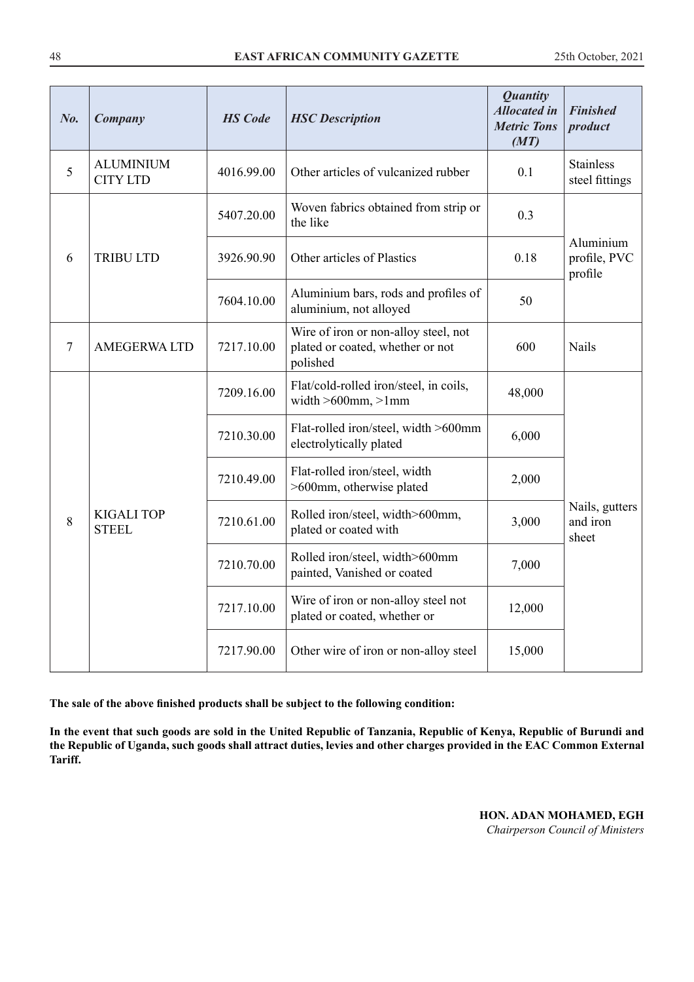| No.            | Company                             | <b>HS</b> Code | <b>HSC</b> Description                                                               | <b>Quantity</b><br><b>Allocated in</b><br><b>Metric Tons</b><br>(MT) | <b>Finished</b><br>product           |
|----------------|-------------------------------------|----------------|--------------------------------------------------------------------------------------|----------------------------------------------------------------------|--------------------------------------|
| 5              | <b>ALUMINIUM</b><br><b>CITY LTD</b> | 4016.99.00     | Other articles of vulcanized rubber                                                  | 0.1                                                                  | <b>Stainless</b><br>steel fittings   |
|                |                                     | 5407.20.00     | Woven fabrics obtained from strip or<br>the like                                     | 0.3                                                                  |                                      |
| 6              | <b>TRIBU LTD</b>                    | 3926.90.90     | Other articles of Plastics                                                           | 0.18                                                                 | Aluminium<br>profile, PVC<br>profile |
|                |                                     | 7604.10.00     | Aluminium bars, rods and profiles of<br>aluminium, not alloyed                       | 50                                                                   |                                      |
| $\overline{7}$ | <b>AMEGERWA LTD</b>                 | 7217.10.00     | Wire of iron or non-alloy steel, not<br>plated or coated, whether or not<br>polished | 600                                                                  | Nails                                |
|                |                                     | 7209.16.00     | Flat/cold-rolled iron/steel, in coils,<br>width $>600$ mm, $>1$ mm                   | 48,000                                                               |                                      |
|                |                                     | 7210.30.00     | Flat-rolled iron/steel, width >600mm<br>electrolytically plated                      | 6,000                                                                |                                      |
|                |                                     | 7210.49.00     | Flat-rolled iron/steel, width<br>>600mm, otherwise plated                            | 2,000                                                                |                                      |
| 8              | <b>KIGALI TOP</b><br><b>STEEL</b>   | 7210.61.00     | Rolled iron/steel, width>600mm,<br>plated or coated with                             | 3,000                                                                | Nails, gutters<br>and iron<br>sheet  |
|                |                                     | 7210.70.00     | Rolled iron/steel, width>600mm<br>painted, Vanished or coated                        | 7,000                                                                |                                      |
|                |                                     | 7217.10.00     | Wire of iron or non-alloy steel not<br>plated or coated, whether or                  | 12,000                                                               |                                      |
|                |                                     | 7217.90.00     | Other wire of iron or non-alloy steel                                                | 15,000                                                               |                                      |

**In the event that such goods are sold in the United Republic of Tanzania, Republic of Kenya, Republic of Burundi and the Republic of Uganda, such goods shall attract duties, levies and other charges provided in the EAC Common External Tariff.**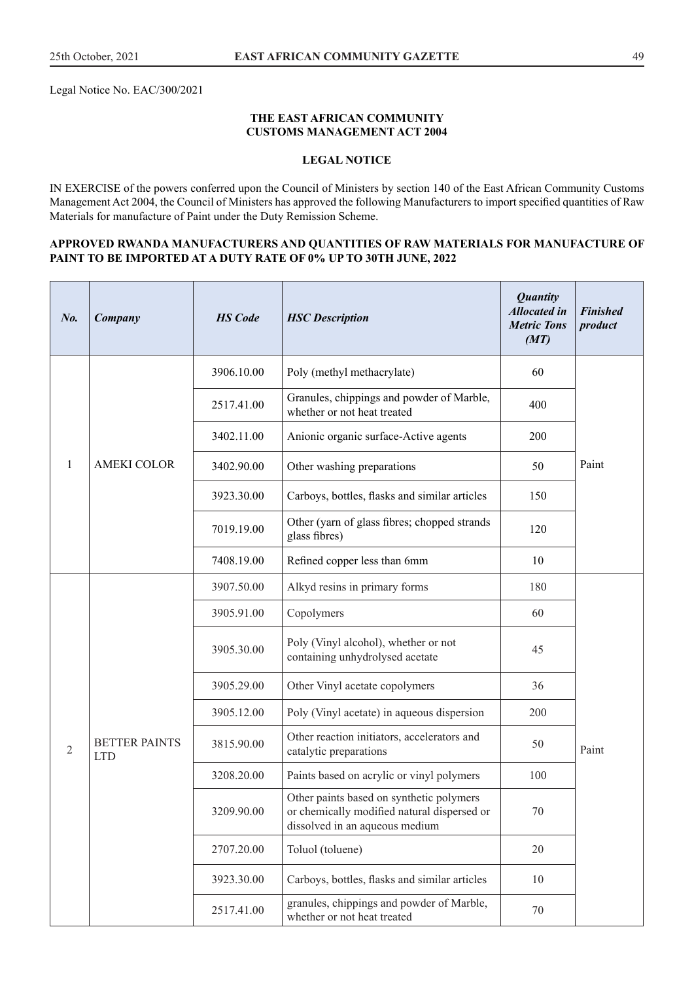Legal Notice No. EAC/300/2021

#### **THE EAST AFRICAN COMMUNITY CUSTOMS MANAGEMENT ACT 2004**

#### **LEGAL NOTICE**

IN EXERCISE of the powers conferred upon the Council of Ministers by section 140 of the East African Community Customs Management Act 2004, the Council of Ministers has approved the following Manufacturers to import specified quantities of Raw Materials for manufacture of Paint under the Duty Remission Scheme.

#### **APPROVED RWANDA MANUFACTURERS AND QUANTITIES OF RAW MATERIALS FOR MANUFACTURE OF PAINT TO BE IMPORTED AT A DUTY RATE OF 0% UP TO 30TH JUNE, 2022**

| No.        | Company                            | <b>HS</b> Code | <b>HSC</b> Description                                                                                                    | <b>Quantity</b><br><b>Allocated</b> in<br><b>Metric Tons</b><br>(MT) | <b>Finished</b><br>product |
|------------|------------------------------------|----------------|---------------------------------------------------------------------------------------------------------------------------|----------------------------------------------------------------------|----------------------------|
|            |                                    | 3906.10.00     | Poly (methyl methacrylate)                                                                                                | 60                                                                   |                            |
|            |                                    | 2517.41.00     | Granules, chippings and powder of Marble,<br>whether or not heat treated                                                  | 400                                                                  |                            |
|            |                                    | 3402.11.00     | Anionic organic surface-Active agents                                                                                     | 200                                                                  |                            |
| 1          | <b>AMEKI COLOR</b>                 | 3402.90.00     | Other washing preparations                                                                                                | 50                                                                   | Paint                      |
|            |                                    | 3923.30.00     | Carboys, bottles, flasks and similar articles                                                                             | 150                                                                  |                            |
|            |                                    | 7019.19.00     | Other (yarn of glass fibres; chopped strands<br>glass fibres)                                                             | 120                                                                  |                            |
|            |                                    | 7408.19.00     | Refined copper less than 6mm                                                                                              | 10                                                                   |                            |
|            |                                    | 3907.50.00     | Alkyd resins in primary forms                                                                                             | 180                                                                  |                            |
|            |                                    | 3905.91.00     | Copolymers                                                                                                                | 60                                                                   |                            |
|            |                                    | 3905.30.00     | Poly (Vinyl alcohol), whether or not<br>containing unhydrolysed acetate                                                   | 45                                                                   |                            |
|            |                                    | 3905.29.00     | Other Vinyl acetate copolymers                                                                                            | 36                                                                   |                            |
|            |                                    | 3905.12.00     | Poly (Vinyl acetate) in aqueous dispersion                                                                                | 200                                                                  |                            |
| $\sqrt{2}$ | <b>BETTER PAINTS</b><br><b>LTD</b> | 3815.90.00     | Other reaction initiators, accelerators and<br>catalytic preparations                                                     | 50                                                                   | Paint                      |
|            |                                    | 3208.20.00     | Paints based on acrylic or vinyl polymers                                                                                 | 100                                                                  |                            |
|            |                                    | 3209.90.00     | Other paints based on synthetic polymers<br>or chemically modified natural dispersed or<br>dissolved in an aqueous medium | 70                                                                   |                            |
|            |                                    | 2707.20.00     | Toluol (toluene)                                                                                                          | 20                                                                   |                            |
|            |                                    | 3923.30.00     | Carboys, bottles, flasks and similar articles                                                                             | 10                                                                   |                            |
|            |                                    | 2517.41.00     | granules, chippings and powder of Marble,<br>whether or not heat treated                                                  | 70                                                                   |                            |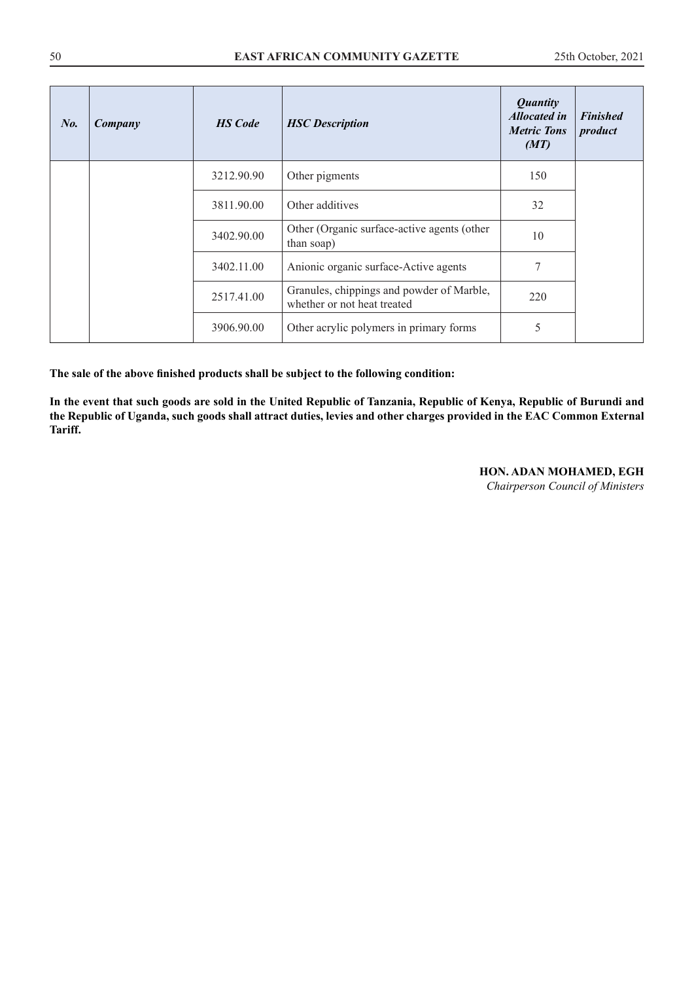| $N_{0}$ | Company | <b>HS</b> Code | <b>HSC</b> Description                                                   | <b>Quantity</b><br><b>Allocated in</b><br><b>Metric Tons</b><br>(MT) | <b>Finished</b><br>product |
|---------|---------|----------------|--------------------------------------------------------------------------|----------------------------------------------------------------------|----------------------------|
|         |         | 3212.90.90     | Other pigments                                                           | 150                                                                  |                            |
|         |         | 3811.90.00     | Other additives                                                          | 32                                                                   |                            |
|         |         | 3402.90.00     | Other (Organic surface-active agents (other<br>than soap)                | 10                                                                   |                            |
|         |         | 3402.11.00     | Anionic organic surface-Active agents                                    | 7                                                                    |                            |
|         |         | 2517.41.00     | Granules, chippings and powder of Marble,<br>whether or not heat treated | 220                                                                  |                            |
|         |         | 3906.90.00     | Other acrylic polymers in primary forms                                  | 5                                                                    |                            |

**In the event that such goods are sold in the United Republic of Tanzania, Republic of Kenya, Republic of Burundi and the Republic of Uganda, such goods shall attract duties, levies and other charges provided in the EAC Common External Tariff.**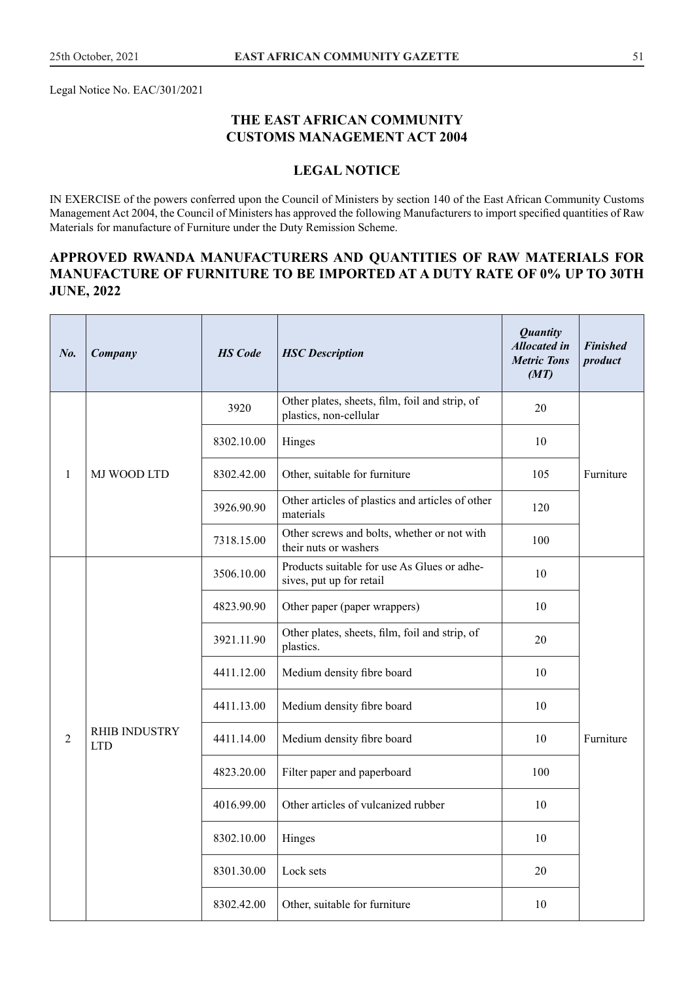Legal Notice No. EAC/301/2021

## **THE EAST AFRICAN COMMUNITY CUSTOMS MANAGEMENT ACT 2004**

## **LEGAL NOTICE**

IN EXERCISE of the powers conferred upon the Council of Ministers by section 140 of the East African Community Customs Management Act 2004, the Council of Ministers has approved the following Manufacturers to import specified quantities of Raw Materials for manufacture of Furniture under the Duty Remission Scheme.

## **APPROVED RWANDA MANUFACTURERS AND QUANTITIES OF RAW MATERIALS FOR MANUFACTURE OF FURNITURE TO BE IMPORTED AT A DUTY RATE OF 0% UP TO 30TH JUNE, 2022**

| No.            | Company                            | <b>HS</b> Code | <b>HSC</b> Description                                                   | <b>Quantity</b><br><b>Allocated in</b><br><b>Metric Tons</b><br>(MT) | <b>Finished</b><br>product |
|----------------|------------------------------------|----------------|--------------------------------------------------------------------------|----------------------------------------------------------------------|----------------------------|
|                |                                    | 3920           | Other plates, sheets, film, foil and strip, of<br>plastics, non-cellular | 20                                                                   |                            |
|                |                                    | 8302.10.00     | Hinges                                                                   | 10                                                                   |                            |
| 1              | MJ WOOD LTD                        | 8302.42.00     | Other, suitable for furniture                                            | 105                                                                  | Furniture                  |
|                |                                    | 3926.90.90     | Other articles of plastics and articles of other<br>materials            | 120                                                                  |                            |
|                |                                    | 7318.15.00     | Other screws and bolts, whether or not with<br>their nuts or washers     | 100                                                                  |                            |
|                |                                    | 3506.10.00     | Products suitable for use As Glues or adhe-<br>sives, put up for retail  | 10                                                                   |                            |
|                |                                    | 4823.90.90     | Other paper (paper wrappers)                                             | 10                                                                   |                            |
|                |                                    | 3921.11.90     | Other plates, sheets, film, foil and strip, of<br>plastics.              | 20                                                                   |                            |
|                |                                    | 4411.12.00     | Medium density fibre board                                               | 10                                                                   |                            |
|                |                                    | 4411.13.00     | Medium density fibre board                                               | 10                                                                   |                            |
| $\overline{c}$ | <b>RHIB INDUSTRY</b><br><b>LTD</b> | 4411.14.00     | Medium density fibre board                                               | 10                                                                   | Furniture                  |
|                |                                    | 4823.20.00     | Filter paper and paperboard                                              | 100                                                                  |                            |
|                |                                    | 4016.99.00     | Other articles of vulcanized rubber                                      | 10                                                                   |                            |
|                |                                    | 8302.10.00     | Hinges                                                                   | $10\,$                                                               |                            |
|                |                                    | 8301.30.00     | Lock sets                                                                | 20                                                                   |                            |
|                |                                    | 8302.42.00     | Other, suitable for furniture                                            | $10\,$                                                               |                            |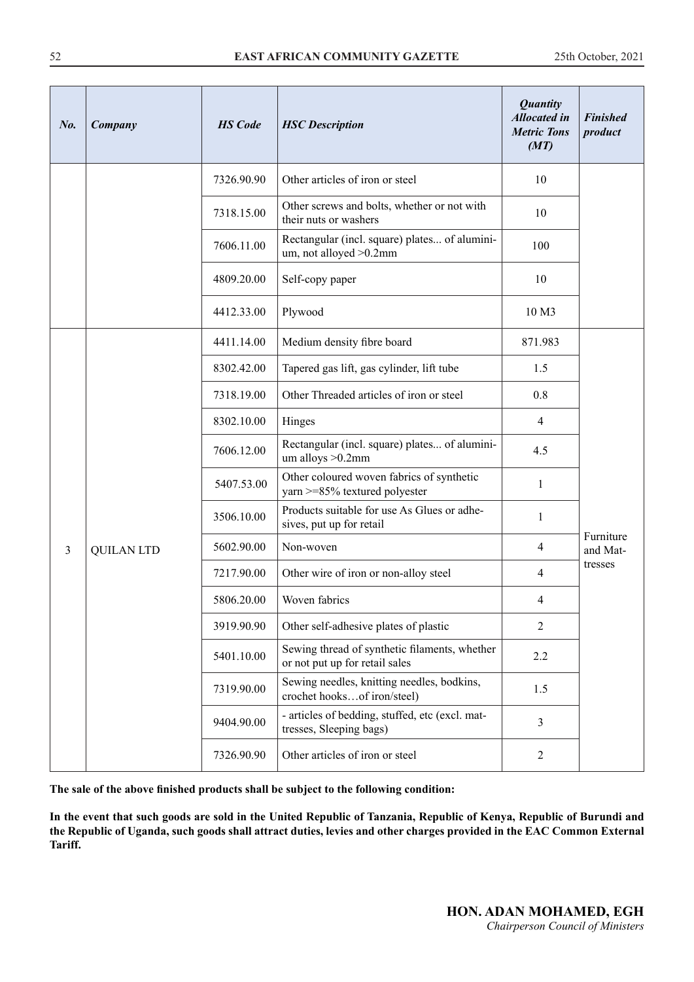| No. | Company           | <b>HS</b> Code | <b>HSC</b> Description                                                          | <b>Quantity</b><br><b>Allocated in</b><br><b>Metric Tons</b><br>(MT) | <b>Finished</b><br>product |
|-----|-------------------|----------------|---------------------------------------------------------------------------------|----------------------------------------------------------------------|----------------------------|
|     |                   | 7326.90.90     | Other articles of iron or steel                                                 | 10                                                                   |                            |
|     |                   | 7318.15.00     | Other screws and bolts, whether or not with<br>their nuts or washers            | 10                                                                   |                            |
|     |                   | 7606.11.00     | Rectangular (incl. square) plates of alumini-<br>um, not alloyed > 0.2mm        | 100                                                                  |                            |
|     |                   | 4809.20.00     | Self-copy paper                                                                 | 10                                                                   |                            |
|     |                   | 4412.33.00     | Plywood                                                                         | 10 M3                                                                |                            |
|     |                   | 4411.14.00     | Medium density fibre board                                                      | 871.983                                                              |                            |
|     |                   | 8302.42.00     | Tapered gas lift, gas cylinder, lift tube                                       | 1.5                                                                  |                            |
|     |                   | 7318.19.00     | Other Threaded articles of iron or steel                                        | 0.8                                                                  |                            |
|     |                   | 8302.10.00     | Hinges                                                                          | $\overline{4}$                                                       |                            |
|     |                   | 7606.12.00     | Rectangular (incl. square) plates of alumini-<br>um alloys >0.2mm               | 4.5                                                                  |                            |
|     |                   | 5407.53.00     | Other coloured woven fabrics of synthetic<br>yarn >=85% textured polyester      | $\mathbf{1}$                                                         |                            |
|     |                   | 3506.10.00     | Products suitable for use As Glues or adhe-<br>sives, put up for retail         | $\mathbf{1}$                                                         |                            |
| 3   | <b>QUILAN LTD</b> | 5602.90.00     | Non-woven                                                                       | $\overline{4}$                                                       | Furniture<br>and Mat-      |
|     |                   | 7217.90.00     | Other wire of iron or non-alloy steel                                           | $\overline{4}$                                                       | tresses                    |
|     |                   | 5806.20.00     | Woven fabrics                                                                   | 4                                                                    |                            |
|     |                   | 3919.90.90     | Other self-adhesive plates of plastic                                           | $\overline{2}$                                                       |                            |
|     |                   | 5401.10.00     | Sewing thread of synthetic filaments, whether<br>or not put up for retail sales | 2.2                                                                  |                            |
|     |                   | 7319.90.00     | Sewing needles, knitting needles, bodkins,<br>crochet hooksof iron/steel)       | 1.5                                                                  |                            |
|     |                   | 9404.90.00     | - articles of bedding, stuffed, etc (excl. mat-<br>tresses, Sleeping bags)      | $\overline{3}$                                                       |                            |
|     |                   | 7326.90.90     | Other articles of iron or steel                                                 | $\mathbf{2}$                                                         |                            |

**In the event that such goods are sold in the United Republic of Tanzania, Republic of Kenya, Republic of Burundi and the Republic of Uganda, such goods shall attract duties, levies and other charges provided in the EAC Common External Tariff.**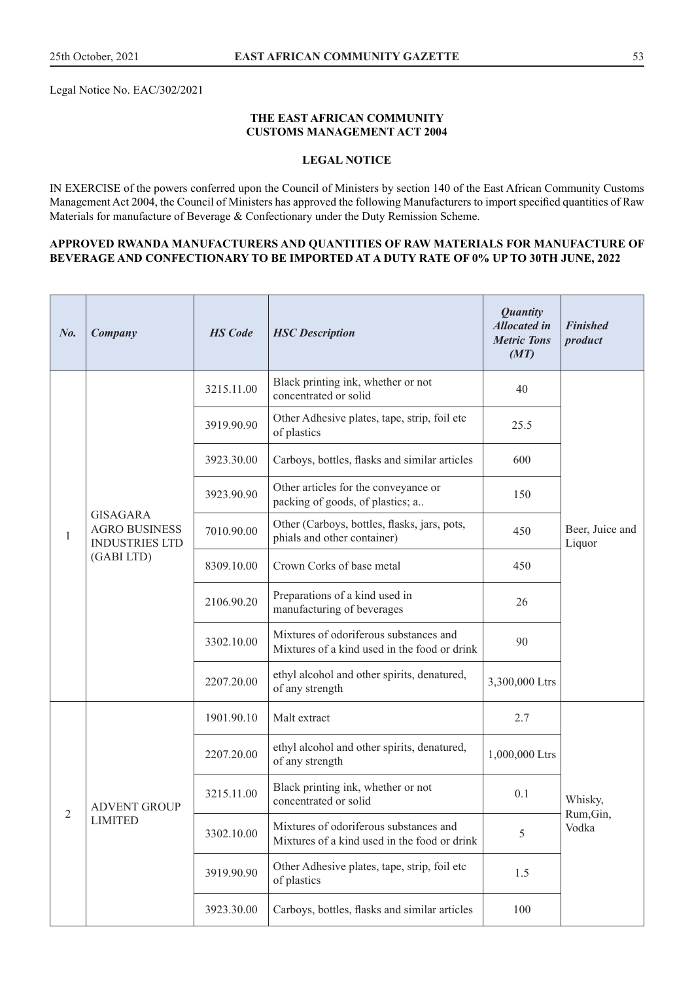Legal Notice No. EAC/302/2021

#### **THE EAST AFRICAN COMMUNITY CUSTOMS MANAGEMENT ACT 2004**

## **LEGAL NOTICE**

IN EXERCISE of the powers conferred upon the Council of Ministers by section 140 of the East African Community Customs Management Act 2004, the Council of Ministers has approved the following Manufacturers to import specified quantities of Raw Materials for manufacture of Beverage & Confectionary under the Duty Remission Scheme.

#### **APPROVED RWANDA MANUFACTURERS AND QUANTITIES OF RAW MATERIALS FOR MANUFACTURE OF BEVERAGE AND CONFECTIONARY TO BE IMPORTED AT A DUTY RATE OF 0% UP TO 30TH JUNE, 2022**

| $N_{0}$ .      | Company                                                          | <b>HS</b> Code | <b>HSC</b> Description                                                                 | <b>Quantity</b><br><b>Allocated in</b><br><b>Metric Tons</b><br>(MT) | <b>Finished</b><br>product |
|----------------|------------------------------------------------------------------|----------------|----------------------------------------------------------------------------------------|----------------------------------------------------------------------|----------------------------|
|                |                                                                  | 3215.11.00     | Black printing ink, whether or not<br>concentrated or solid                            | 40                                                                   |                            |
|                |                                                                  | 3919.90.90     | Other Adhesive plates, tape, strip, foil etc<br>of plastics                            | 25.5                                                                 |                            |
|                |                                                                  | 3923.30.00     | Carboys, bottles, flasks and similar articles                                          | 600                                                                  |                            |
|                |                                                                  | 3923.90.90     | Other articles for the conveyance or<br>packing of goods, of plastics; a               | 150                                                                  |                            |
| $\mathbf{1}$   | <b>GISAGARA</b><br><b>AGRO BUSINESS</b><br><b>INDUSTRIES LTD</b> | 7010.90.00     | Other (Carboys, bottles, flasks, jars, pots,<br>phials and other container)            | 450                                                                  | Beer, Juice and<br>Liquor  |
|                | (GABI LTD)                                                       | 8309.10.00     | Crown Corks of base metal                                                              | 450                                                                  |                            |
|                |                                                                  | 2106.90.20     | Preparations of a kind used in<br>manufacturing of beverages                           | 26                                                                   |                            |
|                |                                                                  | 3302.10.00     | Mixtures of odoriferous substances and<br>Mixtures of a kind used in the food or drink | 90                                                                   |                            |
|                |                                                                  | 2207.20.00     | ethyl alcohol and other spirits, denatured,<br>of any strength                         | 3,300,000 Ltrs                                                       |                            |
|                |                                                                  | 1901.90.10     | Malt extract                                                                           | 2.7                                                                  |                            |
|                |                                                                  | 2207.20.00     | ethyl alcohol and other spirits, denatured,<br>of any strength                         | 1,000,000 Ltrs                                                       |                            |
|                | <b>ADVENT GROUP</b>                                              | 3215.11.00     | Black printing ink, whether or not<br>concentrated or solid                            | 0.1                                                                  | Whisky,                    |
| $\overline{c}$ | <b>LIMITED</b>                                                   | 3302.10.00     | Mixtures of odoriferous substances and<br>Mixtures of a kind used in the food or drink | 5                                                                    | Rum, Gin,<br>Vodka         |
|                |                                                                  | 3919.90.90     | Other Adhesive plates, tape, strip, foil etc<br>of plastics                            | 1.5                                                                  |                            |
|                |                                                                  | 3923.30.00     | Carboys, bottles, flasks and similar articles                                          | 100                                                                  |                            |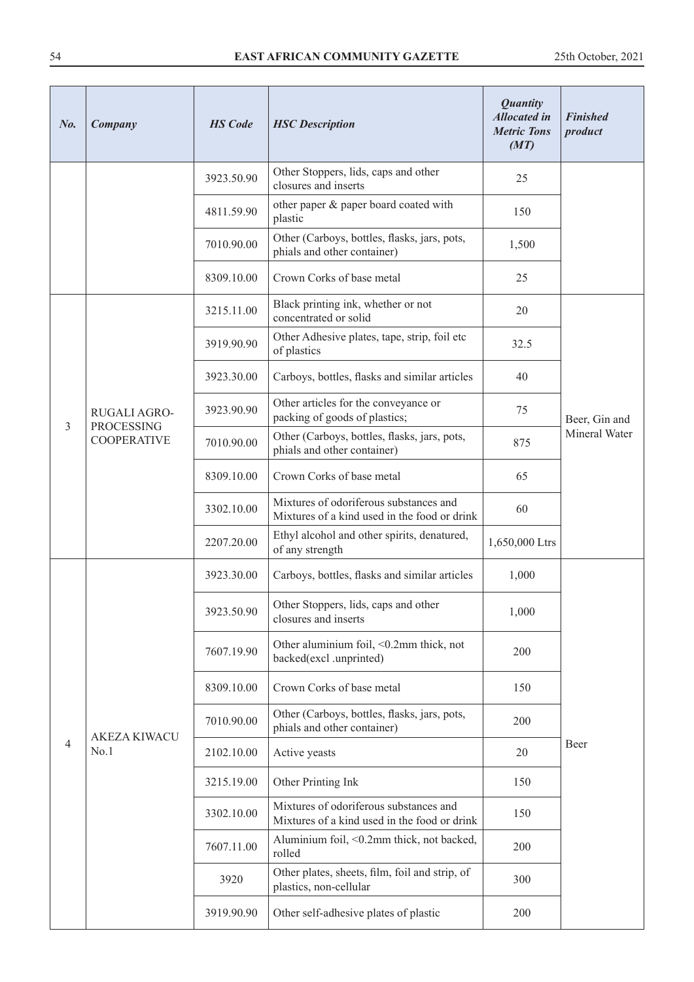| No.            | Company                                 | <b>HS</b> Code | <b>HSC</b> Description                                                                 | <b>Quantity</b><br><b>Allocated in</b><br><b>Metric Tons</b><br>(MT) | <b>Finished</b><br>product |
|----------------|-----------------------------------------|----------------|----------------------------------------------------------------------------------------|----------------------------------------------------------------------|----------------------------|
|                |                                         | 3923.50.90     | Other Stoppers, lids, caps and other<br>closures and inserts                           | 25                                                                   |                            |
|                |                                         | 4811.59.90     | other paper & paper board coated with<br>plastic                                       | 150                                                                  |                            |
|                |                                         | 7010.90.00     | Other (Carboys, bottles, flasks, jars, pots,<br>phials and other container)            | 1,500                                                                |                            |
|                |                                         | 8309.10.00     | Crown Corks of base metal                                                              | 25                                                                   |                            |
|                |                                         | 3215.11.00     | Black printing ink, whether or not<br>concentrated or solid                            | 20                                                                   |                            |
|                |                                         | 3919.90.90     | Other Adhesive plates, tape, strip, foil etc<br>of plastics                            | 32.5                                                                 |                            |
|                |                                         | 3923.30.00     | Carboys, bottles, flasks and similar articles                                          | 40                                                                   |                            |
|                | RUGALI AGRO-                            | 3923.90.90     | Other articles for the conveyance or<br>packing of goods of plastics;                  | 75                                                                   | Beer, Gin and              |
| $\overline{3}$ | <b>PROCESSING</b><br><b>COOPERATIVE</b> | 7010.90.00     | Other (Carboys, bottles, flasks, jars, pots,<br>phials and other container)            | 875                                                                  | Mineral Water              |
|                |                                         | 8309.10.00     | Crown Corks of base metal                                                              | 65                                                                   |                            |
|                |                                         | 3302.10.00     | Mixtures of odoriferous substances and<br>Mixtures of a kind used in the food or drink | 60                                                                   |                            |
|                |                                         | 2207.20.00     | Ethyl alcohol and other spirits, denatured,<br>of any strength                         | 1,650,000 Ltrs                                                       |                            |
|                |                                         | 3923.30.00     | Carboys, bottles, flasks and similar articles                                          | 1,000                                                                |                            |
|                |                                         | 3923.50.90     | Other Stoppers, lids, caps and other<br>closures and inserts                           | 1,000                                                                |                            |
|                |                                         | 7607.19.90     | Other aluminium foil, <0.2mm thick, not<br>backed(excl .unprinted)                     | 200                                                                  |                            |
|                |                                         | 8309.10.00     | Crown Corks of base metal                                                              | 150                                                                  |                            |
|                |                                         | 7010.90.00     | Other (Carboys, bottles, flasks, jars, pots,<br>phials and other container)            | 200                                                                  |                            |
| 4              | <b>AKEZA KIWACU</b><br>No.1             | 2102.10.00     | Active yeasts                                                                          | 20                                                                   | Beer                       |
|                |                                         | 3215.19.00     | Other Printing Ink                                                                     | 150                                                                  |                            |
|                |                                         | 3302.10.00     | Mixtures of odoriferous substances and<br>Mixtures of a kind used in the food or drink | 150                                                                  |                            |
|                |                                         | 7607.11.00     | Aluminium foil, <0.2mm thick, not backed,<br>rolled                                    | 200                                                                  |                            |
|                |                                         | 3920           | Other plates, sheets, film, foil and strip, of<br>plastics, non-cellular               | 300                                                                  |                            |
|                |                                         | 3919.90.90     | Other self-adhesive plates of plastic                                                  | 200                                                                  |                            |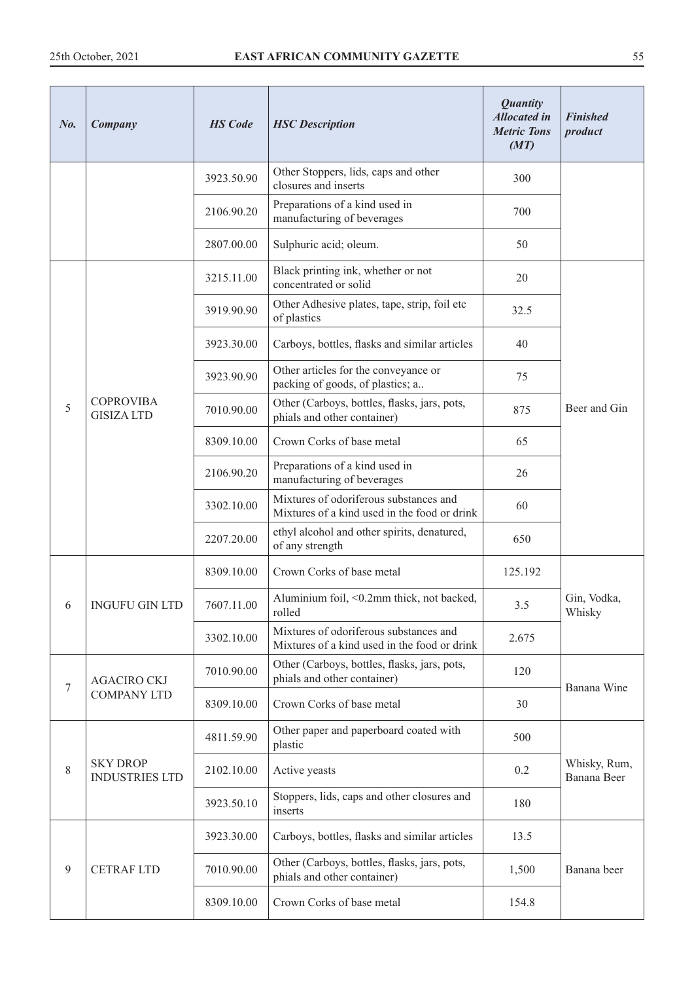| $N_{0}$ .        | Company                                  | <b>HS</b> Code | <b>HSC</b> Description                                                                 | <b>Quantity</b><br><b>Allocated</b> in<br><b>Metric Tons</b><br>(MT) | <b>Finished</b><br>product  |
|------------------|------------------------------------------|----------------|----------------------------------------------------------------------------------------|----------------------------------------------------------------------|-----------------------------|
|                  |                                          | 3923.50.90     | Other Stoppers, lids, caps and other<br>closures and inserts                           | 300                                                                  |                             |
|                  |                                          | 2106.90.20     | Preparations of a kind used in<br>manufacturing of beverages                           | 700                                                                  |                             |
|                  |                                          | 2807.00.00     | Sulphuric acid; oleum.                                                                 | 50                                                                   |                             |
|                  |                                          | 3215.11.00     | Black printing ink, whether or not<br>concentrated or solid                            | 20                                                                   |                             |
|                  |                                          | 3919.90.90     | Other Adhesive plates, tape, strip, foil etc<br>of plastics                            | 32.5                                                                 |                             |
|                  |                                          | 3923.30.00     | Carboys, bottles, flasks and similar articles                                          | 40                                                                   |                             |
|                  |                                          | 3923.90.90     | Other articles for the conveyance or<br>packing of goods, of plastics; a               | 75                                                                   |                             |
| 5                | <b>COPROVIBA</b><br><b>GISIZA LTD</b>    | 7010.90.00     | Other (Carboys, bottles, flasks, jars, pots,<br>phials and other container)            | 875                                                                  | Beer and Gin                |
|                  |                                          | 8309.10.00     | Crown Corks of base metal                                                              | 65                                                                   |                             |
|                  |                                          | 2106.90.20     | Preparations of a kind used in<br>manufacturing of beverages                           | 26                                                                   |                             |
|                  |                                          | 3302.10.00     | Mixtures of odoriferous substances and<br>Mixtures of a kind used in the food or drink | 60                                                                   |                             |
|                  |                                          | 2207.20.00     | ethyl alcohol and other spirits, denatured,<br>of any strength                         | 650                                                                  |                             |
|                  | <b>INGUFU GIN LTD</b>                    | 8309.10.00     | Crown Corks of base metal                                                              | 125.192                                                              |                             |
| 6                |                                          | 7607.11.00     | Aluminium foil, <0.2mm thick, not backed,<br>rolled                                    | 3.5                                                                  | Gin, Vodka,<br>Whisky       |
|                  |                                          | 3302.10.00     | Mixtures of odoriferous substances and<br>Mixtures of a kind used in the food or drink | 2.675                                                                |                             |
| $\boldsymbol{7}$ | <b>AGACIRO CKJ</b>                       | 7010.90.00     | Other (Carboys, bottles, flasks, jars, pots,<br>phials and other container)            | 120                                                                  | Banana Wine                 |
|                  | <b>COMPANY LTD</b>                       | 8309.10.00     | Crown Corks of base metal                                                              | 30                                                                   |                             |
|                  |                                          | 4811.59.90     | Other paper and paperboard coated with<br>plastic                                      | 500                                                                  |                             |
| $8\,$            | <b>SKY DROP</b><br><b>INDUSTRIES LTD</b> | 2102.10.00     | Active yeasts                                                                          | 0.2                                                                  | Whisky, Rum,<br>Banana Beer |
|                  |                                          | 3923.50.10     | Stoppers, lids, caps and other closures and<br>inserts                                 | 180                                                                  |                             |
|                  |                                          | 3923.30.00     | Carboys, bottles, flasks and similar articles                                          | 13.5                                                                 |                             |
| $\overline{9}$   | <b>CETRAF LTD</b>                        | 7010.90.00     | Other (Carboys, bottles, flasks, jars, pots,<br>phials and other container)            | 1,500                                                                | Banana beer                 |
|                  |                                          | 8309.10.00     | Crown Corks of base metal                                                              | 154.8                                                                |                             |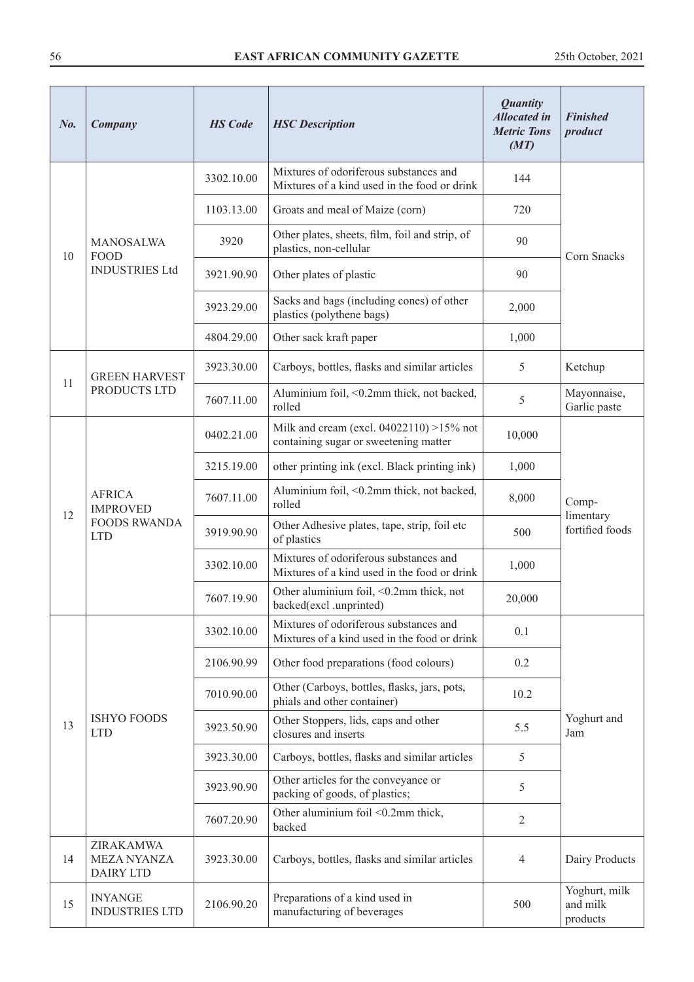| No. | Company                                                               | <b>HS</b> Code | <b>Quantity</b><br><b>Allocated in</b><br><b>HSC</b> Description<br><b>Metric Tons</b><br>(MT) |                | <b>Finished</b><br>product            |                                                                                   |        |  |
|-----|-----------------------------------------------------------------------|----------------|------------------------------------------------------------------------------------------------|----------------|---------------------------------------|-----------------------------------------------------------------------------------|--------|--|
|     |                                                                       | 3302.10.00     | Mixtures of odoriferous substances and<br>Mixtures of a kind used in the food or drink         | 144            |                                       |                                                                                   |        |  |
|     |                                                                       | 1103.13.00     | Groats and meal of Maize (corn)                                                                | 720            |                                       |                                                                                   |        |  |
| 10  | <b>MANOSALWA</b><br><b>FOOD</b>                                       | 3920           | Other plates, sheets, film, foil and strip, of<br>plastics, non-cellular                       | 90             | Corn Snacks                           |                                                                                   |        |  |
|     | <b>INDUSTRIES Ltd</b>                                                 | 3921.90.90     | Other plates of plastic                                                                        | 90             |                                       |                                                                                   |        |  |
|     |                                                                       | 3923.29.00     | Sacks and bags (including cones) of other<br>plastics (polythene bags)                         | 2,000          |                                       |                                                                                   |        |  |
|     |                                                                       | 4804.29.00     | Other sack kraft paper                                                                         | 1,000          |                                       |                                                                                   |        |  |
|     | <b>GREEN HARVEST</b>                                                  | 3923.30.00     | Carboys, bottles, flasks and similar articles                                                  | 5              | Ketchup                               |                                                                                   |        |  |
| 11  | PRODUCTS LTD                                                          | 7607.11.00     | Aluminium foil, <0.2mm thick, not backed,<br>rolled                                            | 5              | Mayonnaise,<br>Garlic paste           |                                                                                   |        |  |
|     | <b>AFRICA</b><br><b>IMPROVED</b><br><b>FOODS RWANDA</b><br><b>LTD</b> |                |                                                                                                |                | 0402.21.00                            | Milk and cream (excl. 04022110) >15% not<br>containing sugar or sweetening matter | 10,000 |  |
|     |                                                                       | 3215.19.00     | other printing ink (excl. Black printing ink)                                                  | 1,000          |                                       |                                                                                   |        |  |
|     |                                                                       | 7607.11.00     | Aluminium foil, <0.2mm thick, not backed,<br>rolled                                            | 8,000          | Comp-                                 |                                                                                   |        |  |
| 12  |                                                                       | 3919.90.90     | Other Adhesive plates, tape, strip, foil etc<br>of plastics                                    | 500            | limentary<br>fortified foods          |                                                                                   |        |  |
|     |                                                                       | 3302.10.00     | Mixtures of odoriferous substances and<br>Mixtures of a kind used in the food or drink         | 1,000          |                                       |                                                                                   |        |  |
|     |                                                                       | 7607.19.90     | Other aluminium foil, <0.2mm thick, not<br>backed(excl .unprinted)                             | 20,000         |                                       |                                                                                   |        |  |
|     |                                                                       | 3302.10.00     | Mixtures of odoriferous substances and<br>Mixtures of a kind used in the food or drink         | 0.1            |                                       |                                                                                   |        |  |
|     |                                                                       | 2106.90.99     | Other food preparations (food colours)                                                         | 0.2            |                                       |                                                                                   |        |  |
|     |                                                                       | 7010.90.00     | Other (Carboys, bottles, flasks, jars, pots,<br>phials and other container)                    | 10.2           |                                       |                                                                                   |        |  |
| 13  | <b>ISHYO FOODS</b><br><b>LTD</b>                                      | 3923.50.90     | Other Stoppers, lids, caps and other<br>closures and inserts                                   | 5.5            | Yoghurt and<br>Jam                    |                                                                                   |        |  |
|     |                                                                       | 3923.30.00     | Carboys, bottles, flasks and similar articles                                                  | 5              |                                       |                                                                                   |        |  |
|     |                                                                       | 3923.90.90     | Other articles for the conveyance or<br>packing of goods, of plastics;                         | 5              |                                       |                                                                                   |        |  |
|     |                                                                       | 7607.20.90     | Other aluminium foil <0.2mm thick,<br>backed                                                   | $\overline{2}$ |                                       |                                                                                   |        |  |
| 14  | ZIRAKAMWA<br><b>MEZA NYANZA</b><br><b>DAIRY LTD</b>                   | 3923.30.00     | Carboys, bottles, flasks and similar articles                                                  | $\overline{4}$ | Dairy Products                        |                                                                                   |        |  |
| 15  | <b>INYANGE</b><br><b>INDUSTRIES LTD</b>                               | 2106.90.20     | Preparations of a kind used in<br>manufacturing of beverages                                   | 500            | Yoghurt, milk<br>and milk<br>products |                                                                                   |        |  |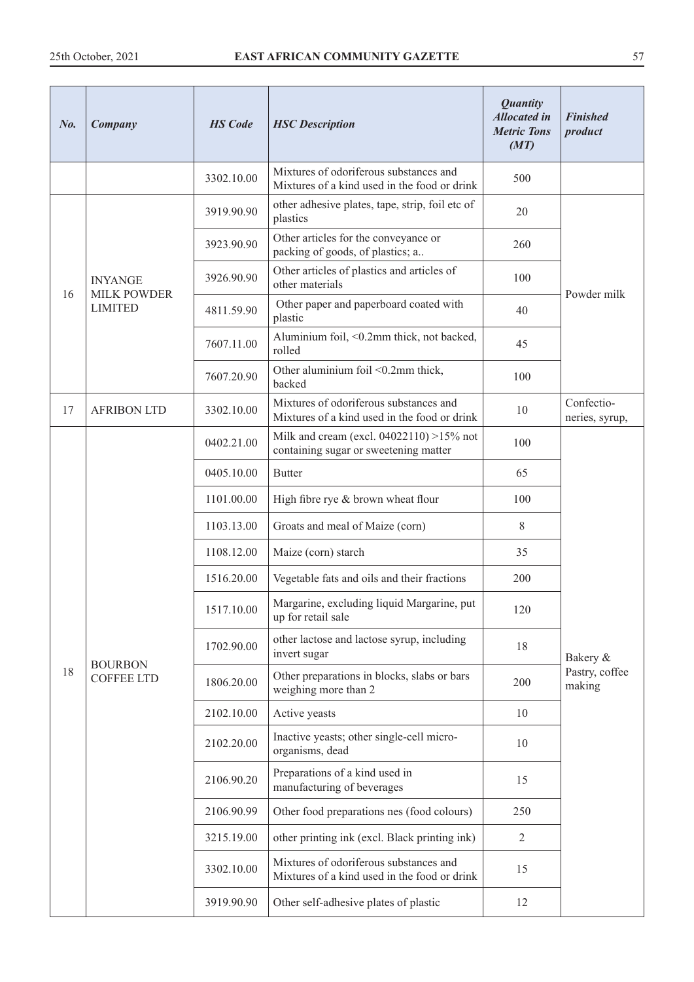| No. | Company                              | <b>HS</b> Code | <b>HSC</b> Description                                                                 | <b>Quantity</b><br><b>Allocated in</b><br><b>Metric Tons</b><br>(MT) | <b>Finished</b><br>product   |
|-----|--------------------------------------|----------------|----------------------------------------------------------------------------------------|----------------------------------------------------------------------|------------------------------|
|     |                                      | 3302.10.00     | Mixtures of odoriferous substances and<br>Mixtures of a kind used in the food or drink | 500                                                                  |                              |
|     |                                      | 3919.90.90     | other adhesive plates, tape, strip, foil etc of<br>plastics                            | 20                                                                   |                              |
|     |                                      | 3923.90.90     | Other articles for the conveyance or<br>packing of goods, of plastics; a               | 260                                                                  |                              |
|     | <b>INYANGE</b>                       | 3926.90.90     | Other articles of plastics and articles of<br>other materials                          | 100                                                                  | Powder milk                  |
| 16  | <b>MILK POWDER</b><br><b>LIMITED</b> | 4811.59.90     | Other paper and paperboard coated with<br>plastic                                      | 40                                                                   |                              |
|     |                                      | 7607.11.00     | Aluminium foil, <0.2mm thick, not backed,<br>rolled                                    | 45                                                                   |                              |
|     |                                      | 7607.20.90     | Other aluminium foil <0.2mm thick,<br>backed                                           | 100                                                                  |                              |
| 17  | <b>AFRIBON LTD</b>                   | 3302.10.00     | Mixtures of odoriferous substances and<br>Mixtures of a kind used in the food or drink | 10                                                                   | Confectio-<br>neries, syrup, |
|     |                                      | 0402.21.00     | Milk and cream (excl. $04022110$ ) >15% not<br>containing sugar or sweetening matter   | 100                                                                  |                              |
|     |                                      | 0405.10.00     | <b>Butter</b>                                                                          | 65                                                                   |                              |
|     |                                      | 1101.00.00     | High fibre rye & brown wheat flour                                                     | 100                                                                  |                              |
|     |                                      | 1103.13.00     | Groats and meal of Maize (corn)                                                        | 8                                                                    |                              |
|     |                                      | 1108.12.00     | Maize (corn) starch                                                                    | 35                                                                   |                              |
|     |                                      | 1516.20.00     | Vegetable fats and oils and their fractions                                            | 200                                                                  |                              |
|     |                                      | 1517.10.00     | Margarine, excluding liquid Margarine, put<br>up for retail sale                       | 120                                                                  |                              |
|     |                                      | 1702.90.00     | other lactose and lactose syrup, including<br>invert sugar                             | 18                                                                   | Bakery &                     |
| 18  | <b>BOURBON</b><br><b>COFFEE LTD</b>  | 1806.20.00     | Other preparations in blocks, slabs or bars<br>weighing more than 2                    | 200                                                                  | Pastry, coffee<br>making     |
|     |                                      | 2102.10.00     | Active yeasts                                                                          | 10                                                                   |                              |
|     |                                      | 2102.20.00     | Inactive yeasts; other single-cell micro-<br>organisms, dead                           | 10                                                                   |                              |
|     |                                      | 2106.90.20     | Preparations of a kind used in<br>manufacturing of beverages                           | 15                                                                   |                              |
|     |                                      | 2106.90.99     | Other food preparations nes (food colours)                                             | 250                                                                  |                              |
|     |                                      | 3215.19.00     | other printing ink (excl. Black printing ink)                                          | $\overline{2}$                                                       |                              |
|     |                                      | 3302.10.00     | Mixtures of odoriferous substances and<br>Mixtures of a kind used in the food or drink | 15                                                                   |                              |
|     |                                      | 3919.90.90     | Other self-adhesive plates of plastic                                                  | 12                                                                   |                              |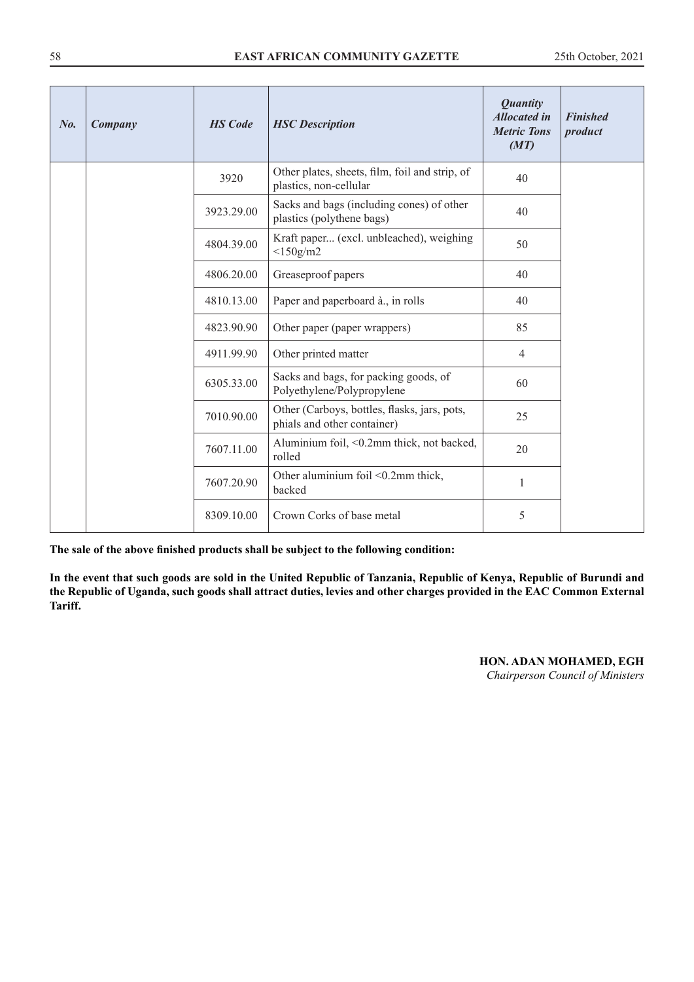| No. | Company | <b>HS</b> Code | <b>HSC</b> Description                                                      | <b>Quantity</b><br><b>Allocated in</b><br><b>Metric Tons</b><br>(MT) | <b>Finished</b><br>product |
|-----|---------|----------------|-----------------------------------------------------------------------------|----------------------------------------------------------------------|----------------------------|
|     |         | 3920           | Other plates, sheets, film, foil and strip, of<br>plastics, non-cellular    | 40                                                                   |                            |
|     |         | 3923.29.00     | Sacks and bags (including cones) of other<br>plastics (polythene bags)      | 40                                                                   |                            |
|     |         | 4804.39.00     | Kraft paper (excl. unbleached), weighing<br>$<$ 150g/m2                     | 50                                                                   |                            |
|     |         | 4806.20.00     | Greaseproof papers                                                          | 40                                                                   |                            |
|     |         | 4810.13.00     | Paper and paperboard à., in rolls                                           | 40                                                                   |                            |
|     |         | 4823.90.90     | Other paper (paper wrappers)                                                | 85                                                                   |                            |
|     |         | 4911.99.90     | Other printed matter                                                        | $\overline{4}$                                                       |                            |
|     |         | 6305.33.00     | Sacks and bags, for packing goods, of<br>Polyethylene/Polypropylene         | 60                                                                   |                            |
|     |         | 7010.90.00     | Other (Carboys, bottles, flasks, jars, pots,<br>phials and other container) | 25                                                                   |                            |
|     |         | 7607.11.00     | Aluminium foil, <0.2mm thick, not backed,<br>rolled                         | 20                                                                   |                            |
|     |         | 7607.20.90     | Other aluminium foil <0.2mm thick,<br>backed                                | $\mathbf{1}$                                                         |                            |
|     |         | 8309.10.00     | Crown Corks of base metal                                                   | 5                                                                    |                            |

**In the event that such goods are sold in the United Republic of Tanzania, Republic of Kenya, Republic of Burundi and the Republic of Uganda, such goods shall attract duties, levies and other charges provided in the EAC Common External Tariff.**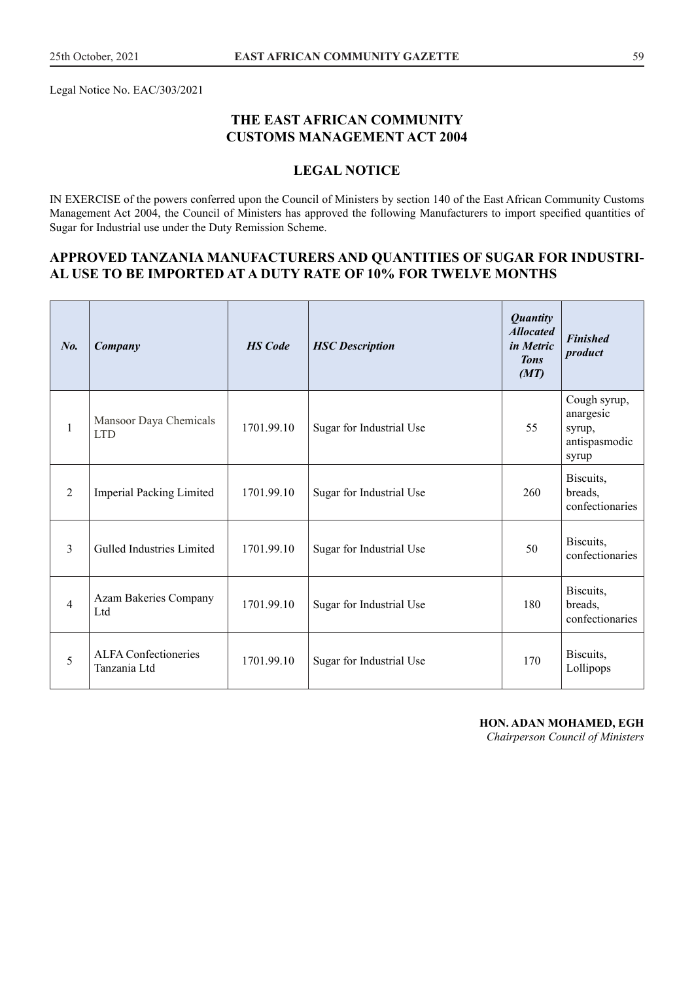Legal Notice No. EAC/303/2021

## **THE EAST AFRICAN COMMUNITY CUSTOMS MANAGEMENT ACT 2004**

## **LEGAL NOTICE**

IN EXERCISE of the powers conferred upon the Council of Ministers by section 140 of the East African Community Customs Management Act 2004, the Council of Ministers has approved the following Manufacturers to import specified quantities of Sugar for Industrial use under the Duty Remission Scheme.

## **APPROVED TANZANIA MANUFACTURERS AND QUANTITIES OF SUGAR FOR INDUSTRI-AL USE TO BE IMPORTED AT A DUTY RATE OF 10% FOR TWELVE MONTHS**

| $N_{0}$        | Company                                     | <b>HS</b> Code | <b>HSC</b> Description   | <b>Quantity</b><br><b>Allocated</b><br>in Metric<br><b>Tons</b><br>(MT) | <b>Finished</b><br>product                                    |
|----------------|---------------------------------------------|----------------|--------------------------|-------------------------------------------------------------------------|---------------------------------------------------------------|
| $\mathbf{1}$   | Mansoor Daya Chemicals<br><b>LTD</b>        | 1701.99.10     | Sugar for Industrial Use | 55                                                                      | Cough syrup,<br>anargesic<br>syrup,<br>antispasmodic<br>syrup |
| $\overline{2}$ | <b>Imperial Packing Limited</b>             | 1701.99.10     | Sugar for Industrial Use | 260                                                                     | Biscuits,<br>breads,<br>confectionaries                       |
| 3              | Gulled Industries Limited                   | 1701.99.10     | Sugar for Industrial Use | 50                                                                      | Biscuits,<br>confectionaries                                  |
| $\overline{4}$ | Azam Bakeries Company<br>L <sub>td</sub>    | 1701.99.10     | Sugar for Industrial Use | 180                                                                     | Biscuits,<br>breads,<br>confectionaries                       |
| 5              | <b>ALFA</b> Confectioneries<br>Tanzania Ltd | 1701.99.10     | Sugar for Industrial Use | 170                                                                     | Biscuits,<br>Lollipops                                        |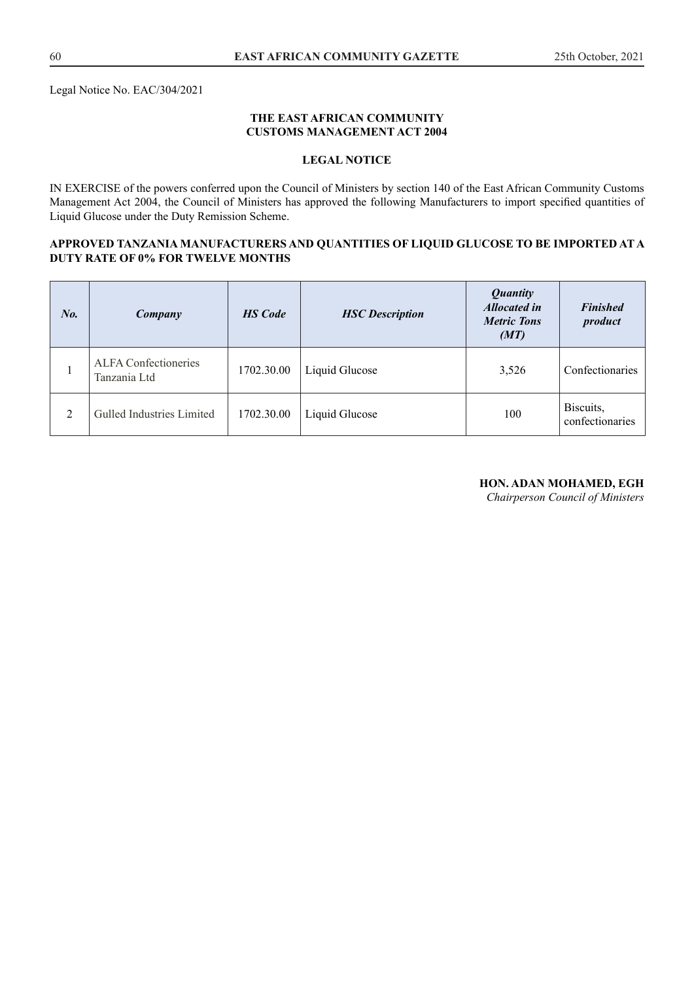Legal Notice No. EAC/304/2021

#### **THE EAST AFRICAN COMMUNITY CUSTOMS MANAGEMENT ACT 2004**

## **LEGAL NOTICE**

IN EXERCISE of the powers conferred upon the Council of Ministers by section 140 of the East African Community Customs Management Act 2004, the Council of Ministers has approved the following Manufacturers to import specified quantities of Liquid Glucose under the Duty Remission Scheme.

#### **APPROVED TANZANIA MANUFACTURERS AND QUANTITIES OF LIQUID GLUCOSE TO BE IMPORTED AT A DUTY RATE OF 0% FOR TWELVE MONTHS**

| No. | Company                                     | <b>HS</b> Code | <b>HSC</b> Description | <b>Quantity</b><br><b>Allocated in</b><br><b>Metric Tons</b><br>(MT) | <b>Finished</b><br>product   |
|-----|---------------------------------------------|----------------|------------------------|----------------------------------------------------------------------|------------------------------|
|     | <b>ALFA Confectioneries</b><br>Tanzania Ltd | 1702.30.00     | Liquid Glucose         | 3,526                                                                | Confectionaries              |
| 2   | Gulled Industries Limited                   | 1702.30.00     | Liquid Glucose         | 100                                                                  | Biscuits,<br>confectionaries |

#### **HON. ADAN MOHAMED, EGH**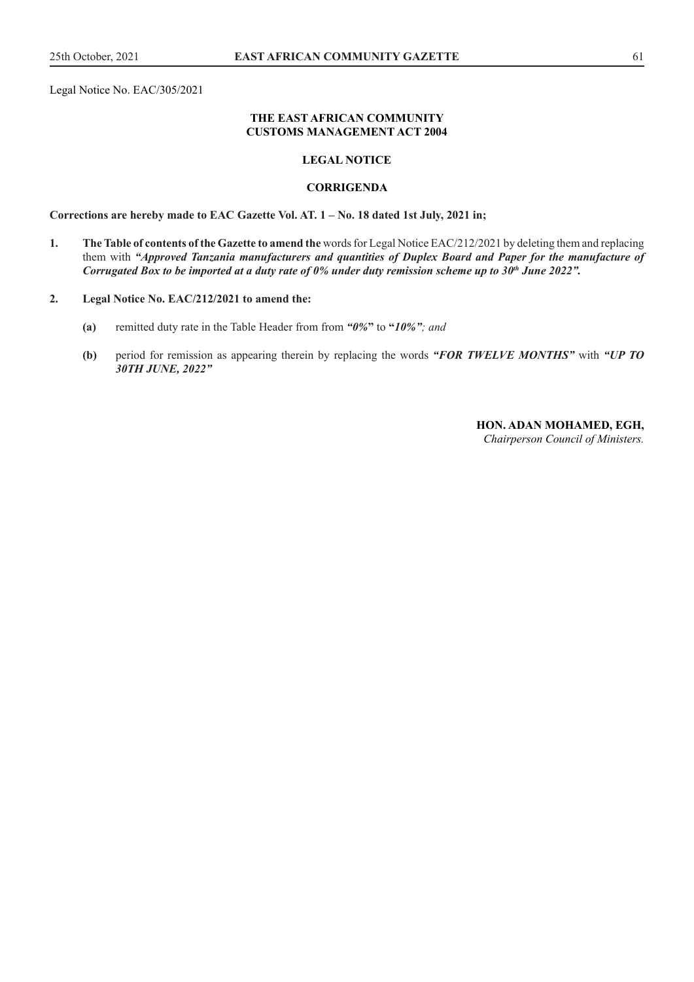Legal Notice No. EAC/305/2021

#### **THE EAST AFRICAN COMMUNITY CUSTOMS MANAGEMENT ACT 2004**

#### **LEGAL NOTICE**

#### **CORRIGENDA**

**Corrections are hereby made to EAC Gazette Vol. AT. 1 – No. 18 dated 1st July, 2021 in;**

**1. The Table of contents of the Gazette to amend the** words for Legal Notice EAC/212/2021 by deleting them and replacing them with *"Approved Tanzania manufacturers and quantities of Duplex Board and Paper for the manufacture of Corrugated Box to be imported at a duty rate of 0% under duty remission scheme up to 30<sup>th</sup> June 2022".* 

#### **2. Legal Notice No. EAC/212/2021 to amend the:**

- **(a)** remitted duty rate in the Table Header from from *"0%***"** to **"***10%"; and*
- **(b)** period for remission as appearing therein by replacing the words *"FOR TWELVE MONTHS"* with *"UP TO 30TH JUNE, 2022"*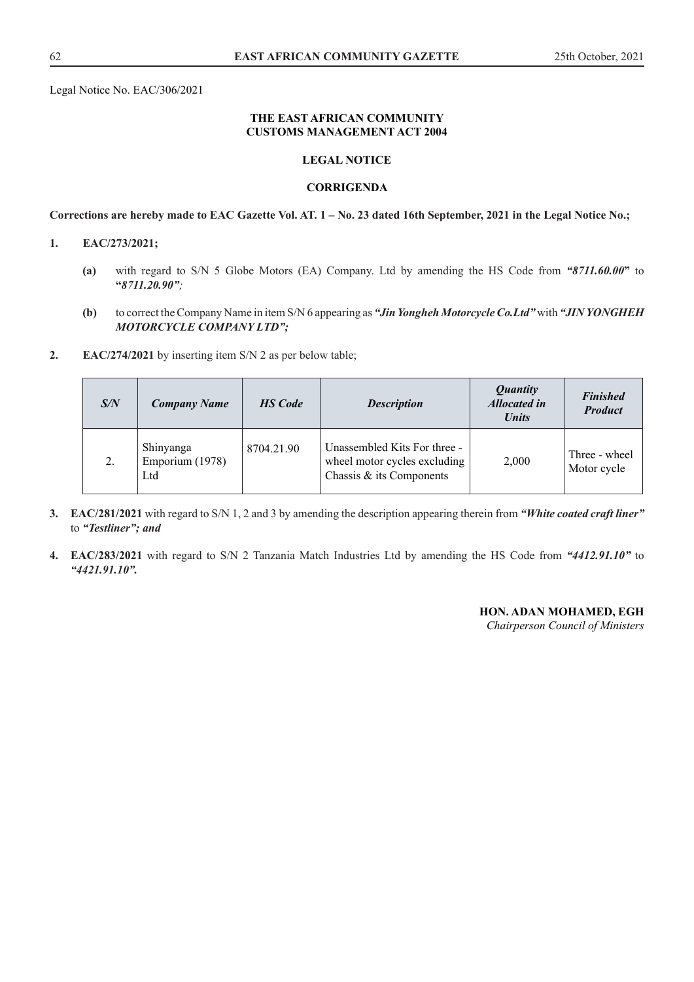Legal Notice No. EAC/306/2021

#### **THE EAST AFRICAN COMMUNITY CUSTOMS MANAGEMENT ACT 2004**

#### **LEGAL NOTICE**

#### **CORRIGENDA**

**Corrections are hereby made to EAC Gazette Vol. AT. 1 – No. 23 dated 16th September, 2021 in the Legal Notice No.;**

#### **1. EAC/273/2021;**

- **(a)** with regard to S/N 5 Globe Motors (EA) Company. Ltd by amending the HS Code from *"8711.60.00***"** to **"***8711.20.90";*
- **(b)** to correct the Company Name in item S/N 6 appearing as *"Jin Yongheh Motorcycle Co.Ltd"* with *"JIN YONGHEH MOTORCYCLE COMPANY LTD";*
- **2. EAC/274/2021** by inserting item S/N 2 as per below table;

| S/N              | <b>Company Name</b>                        | <b>HS</b> Code | <b>Description</b>                                                                       | <i>Quantity</i><br><b>Allocated in</b><br><b>Units</b> | <b>Finished</b><br><b>Product</b> |
|------------------|--------------------------------------------|----------------|------------------------------------------------------------------------------------------|--------------------------------------------------------|-----------------------------------|
| $\overline{2}$ . | <b>Shinyanga</b><br>Emporium (1978)<br>Ltd | 8704.21.90     | Unassembled Kits For three -<br>wheel motor cycles excluding<br>Chassis & its Components | 2,000                                                  | Three - wheel<br>Motor cycle      |

- **3. EAC/281/2021** with regard to S/N 1, 2 and 3 by amending the description appearing therein from *"White coated craft liner"*  to *"Testliner"; and*
- **4. EAC/283/2021** with regard to S/N 2 Tanzania Match Industries Ltd by amending the HS Code from *"4412.91.10"* to *"4421.91.10".*

#### **HON. ADAN MOHAMED, EGH**